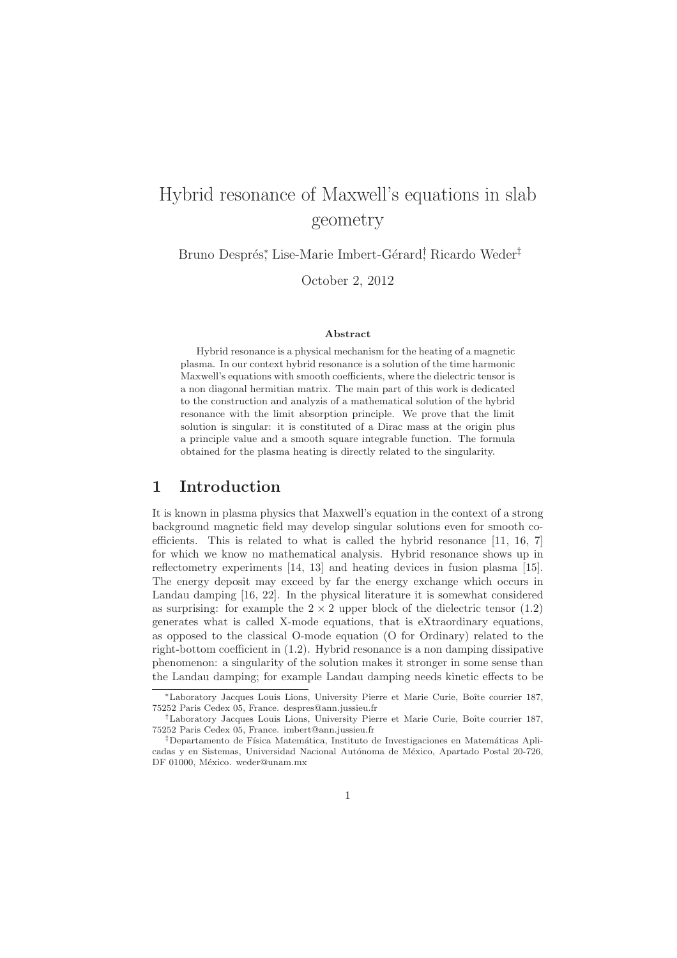# Hybrid resonance of Maxwell's equations in slab geometry

Bruno Després\*, Lise-Marie Imbert-Gérard<sup>†</sup> Ricardo Weder<sup>‡</sup>

October 2, 2012

#### Abstract

Hybrid resonance is a physical mechanism for the heating of a magnetic plasma. In our context hybrid resonance is a solution of the time harmonic Maxwell's equations with smooth coefficients, where the dielectric tensor is a non diagonal hermitian matrix. The main part of this work is dedicated to the construction and analyzis of a mathematical solution of the hybrid resonance with the limit absorption principle. We prove that the limit solution is singular: it is constituted of a Dirac mass at the origin plus a principle value and a smooth square integrable function. The formula obtained for the plasma heating is directly related to the singularity.

# 1 Introduction

It is known in plasma physics that Maxwell's equation in the context of a strong background magnetic field may develop singular solutions even for smooth coefficients. This is related to what is called the hybrid resonance [11, 16, 7] for which we know no mathematical analysis. Hybrid resonance shows up in reflectometry experiments [14, 13] and heating devices in fusion plasma [15]. The energy deposit may exceed by far the energy exchange which occurs in Landau damping [16, 22]. In the physical literature it is somewhat considered as surprising: for example the  $2 \times 2$  upper block of the dielectric tensor (1.2) generates what is called X-mode equations, that is eXtraordinary equations, as opposed to the classical O-mode equation (O for Ordinary) related to the right-bottom coefficient in (1.2). Hybrid resonance is a non damping dissipative phenomenon: a singularity of the solution makes it stronger in some sense than the Landau damping; for example Landau damping needs kinetic effects to be

<sup>∗</sup>Laboratory Jacques Louis Lions, University Pierre et Marie Curie, Boˆıte courrier 187, 75252 Paris Cedex 05, France. despres@ann.jussieu.fr

<sup>†</sup>Laboratory Jacques Louis Lions, University Pierre et Marie Curie, Boˆıte courrier 187, 75252 Paris Cedex 05, France. imbert@ann.jussieu.fr

<sup>&</sup>lt;sup>‡</sup>Departamento de Física Matemática, Instituto de Investigaciones en Matemáticas Aplicadas y en Sistemas, Universidad Nacional Autónoma de México, Apartado Postal 20-726, DF 01000, México. weder@unam.mx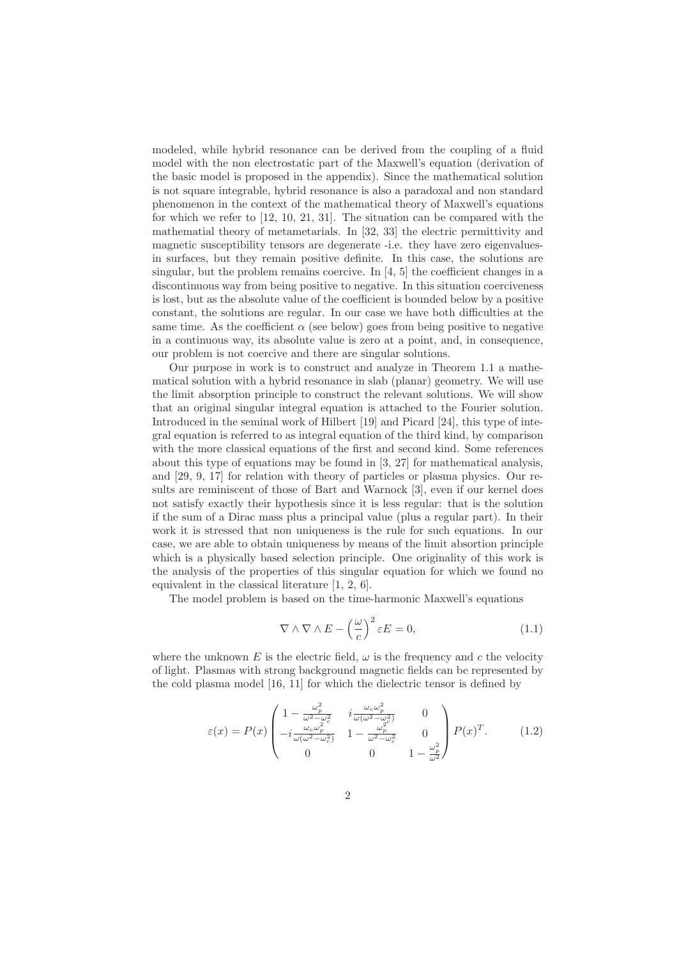modeled, while hybrid resonance can be derived from the coupling of a fluid model with the non electrostatic part of the Maxwell's equation (derivation of the basic model is proposed in the appendix). Since the mathematical solution is not square integrable, hybrid resonance is also a paradoxal and non standard phenomenon in the context of the mathematical theory of Maxwell's equations for which we refer to [12, 10, 21, 31]. The situation can be compared with the mathematial theory of metametarials. In [32, 33] the electric permittivity and magnetic susceptibility tensors are degenerate -i.e. they have zero eigenvaluesin surfaces, but they remain positive definite. In this case, the solutions are singular, but the problem remains coercive. In  $[4, 5]$  the coefficient changes in a discontinuous way from being positive to negative. In this situation coerciveness is lost, but as the absolute value of the coefficient is bounded below by a positive constant, the solutions are regular. In our case we have both difficulties at the same time. As the coefficient  $\alpha$  (see below) goes from being positive to negative in a continuous way, its absolute value is zero at a point, and, in consequence, our problem is not coercive and there are singular solutions.

Our purpose in work is to construct and analyze in Theorem 1.1 a mathematical solution with a hybrid resonance in slab (planar) geometry. We will use the limit absorption principle to construct the relevant solutions. We will show that an original singular integral equation is attached to the Fourier solution. Introduced in the seminal work of Hilbert [19] and Picard [24], this type of integral equation is referred to as integral equation of the third kind, by comparison with the more classical equations of the first and second kind. Some references about this type of equations may be found in [3, 27] for mathematical analysis, and [29, 9, 17] for relation with theory of particles or plasma physics. Our results are reminiscent of those of Bart and Warnock [3], even if our kernel does not satisfy exactly their hypothesis since it is less regular: that is the solution if the sum of a Dirac mass plus a principal value (plus a regular part). In their work it is stressed that non uniqueness is the rule for such equations. In our case, we are able to obtain uniqueness by means of the limit absortion principle which is a physically based selection principle. One originality of this work is the analysis of the properties of this singular equation for which we found no equivalent in the classical literature [1, 2, 6].

The model problem is based on the time-harmonic Maxwell's equations

$$
\nabla \wedge \nabla \wedge E - \left(\frac{\omega}{c}\right)^2 \varepsilon E = 0, \qquad (1.1)
$$

where the unknown E is the electric field,  $\omega$  is the frequency and c the velocity of light. Plasmas with strong background magnetic fields can be represented by the cold plasma model [16, 11] for which the dielectric tensor is defined by

$$
\varepsilon(x) = P(x) \begin{pmatrix} 1 - \frac{\omega_p^2}{\omega^2 - \omega_c^2} & i \frac{\omega_c \omega_p^2}{\omega(\omega^2 - \omega_c^2)} & 0\\ -i \frac{\omega_c \omega_p^2}{\omega(\omega^2 - \omega_c^2)} & 1 - \frac{\omega_p^2}{\omega^2 - \omega_c^2} & 0\\ 0 & 0 & 1 - \frac{\omega_p^2}{\omega^2} \end{pmatrix} P(x)^T.
$$
 (1.2)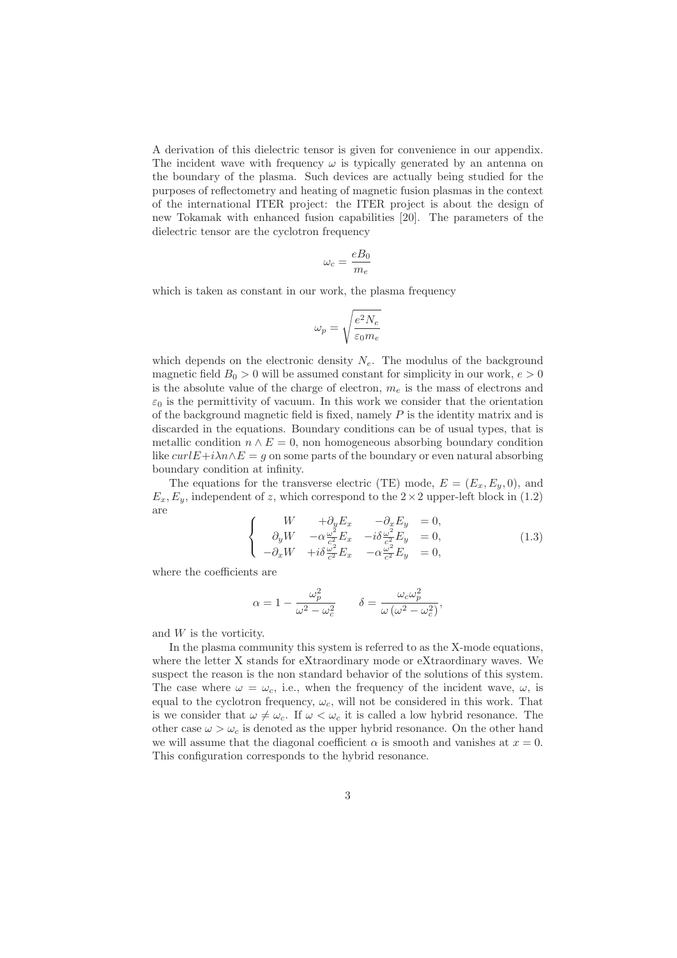A derivation of this dielectric tensor is given for convenience in our appendix. The incident wave with frequency  $\omega$  is typically generated by an antenna on the boundary of the plasma. Such devices are actually being studied for the purposes of reflectometry and heating of magnetic fusion plasmas in the context of the international ITER project: the ITER project is about the design of new Tokamak with enhanced fusion capabilities [20]. The parameters of the dielectric tensor are the cyclotron frequency

$$
\omega_c = \frac{eB_0}{m_e}
$$

which is taken as constant in our work, the plasma frequency

$$
\omega_p=\sqrt{\frac{e^2N_e}{\varepsilon_0m_e}}
$$

which depends on the electronic density  $N_e$ . The modulus of the background magnetic field  $B_0 > 0$  will be assumed constant for simplicity in our work,  $e > 0$ is the absolute value of the charge of electron,  $m_e$  is the mass of electrons and  $\varepsilon_0$  is the permittivity of vacuum. In this work we consider that the orientation of the background magnetic field is fixed, namely  $P$  is the identity matrix and is discarded in the equations. Boundary conditions can be of usual types, that is metallic condition  $n \wedge E = 0$ , non homogeneous absorbing boundary condition like  $curlE+i\lambda n\wedge E=q$  on some parts of the boundary or even natural absorbing boundary condition at infinity.

The equations for the transverse electric (TE) mode,  $E = (E_x, E_y, 0)$ , and  $E_x, E_y$ , independent of z, which correspond to the  $2 \times 2$  upper-left block in (1.2) are

$$
\begin{cases}\nW & +\partial_y E_x & -\partial_x E_y = 0, \\
\partial_y W & -\alpha \frac{\omega^2}{c^2} E_x & -i\delta \frac{\omega^2}{c^2} E_y = 0, \\
-\partial_x W & +i\delta \frac{\omega^2}{c^2} E_x & -\alpha \frac{\omega^2}{c^2} E_y = 0,\n\end{cases}
$$
\n(1.3)

where the coefficients are

$$
\alpha = 1 - \frac{\omega_p^2}{\omega^2 - \omega_c^2} \qquad \delta = \frac{\omega_c \omega_p^2}{\omega (\omega^2 - \omega_c^2)},
$$

and W is the vorticity.

In the plasma community this system is referred to as the X-mode equations, where the letter X stands for eXtraordinary mode or eXtraordinary waves. We suspect the reason is the non standard behavior of the solutions of this system. The case where  $\omega = \omega_c$ , i.e., when the frequency of the incident wave,  $\omega$ , is equal to the cyclotron frequency,  $\omega_c$ , will not be considered in this work. That is we consider that  $\omega \neq \omega_c$ . If  $\omega < \omega_c$  it is called a low hybrid resonance. The other case  $\omega > \omega_c$  is denoted as the upper hybrid resonance. On the other hand we will assume that the diagonal coefficient  $\alpha$  is smooth and vanishes at  $x = 0$ . This configuration corresponds to the hybrid resonance.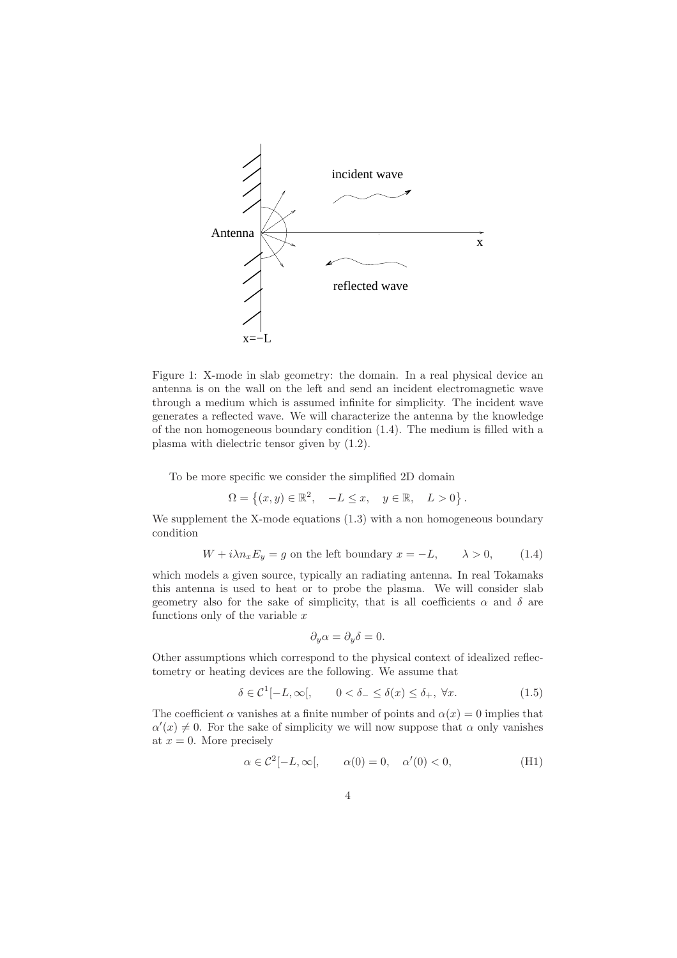

Figure 1: X-mode in slab geometry: the domain. In a real physical device an antenna is on the wall on the left and send an incident electromagnetic wave through a medium which is assumed infinite for simplicity. The incident wave generates a reflected wave. We will characterize the antenna by the knowledge of the non homogeneous boundary condition (1.4). The medium is filled with a plasma with dielectric tensor given by (1.2).

To be more specific we consider the simplified 2D domain

$$
\Omega = \left\{ (x, y) \in \mathbb{R}^2, \quad -L \le x, \quad y \in \mathbb{R}, \quad L > 0 \right\}.
$$

We supplement the X-mode equations  $(1.3)$  with a non homogeneous boundary condition

$$
W + i\lambda n_x E_y = g
$$
 on the left boundary  $x = -L$ ,  $\lambda > 0$ , (1.4)

which models a given source, typically an radiating antenna. In real Tokamaks this antenna is used to heat or to probe the plasma. We will consider slab geometry also for the sake of simplicity, that is all coefficients  $\alpha$  and  $\delta$  are functions only of the variable  $x$ 

$$
\partial_y \alpha = \partial_y \delta = 0.
$$

Other assumptions which correspond to the physical context of idealized reflectometry or heating devices are the following. We assume that

$$
\delta \in \mathcal{C}^1[-L,\infty[, \qquad 0 < \delta_- \le \delta(x) \le \delta_+, \ \forall x. \tag{1.5}
$$

The coefficient  $\alpha$  vanishes at a finite number of points and  $\alpha(x) = 0$  implies that  $\alpha'(x) \neq 0$ . For the sake of simplicity we will now suppose that  $\alpha$  only vanishes at  $x = 0$ . More precisely

$$
\alpha \in \mathcal{C}^2[-L,\infty[, \qquad \alpha(0) = 0, \quad \alpha'(0) < 0,\tag{H1}
$$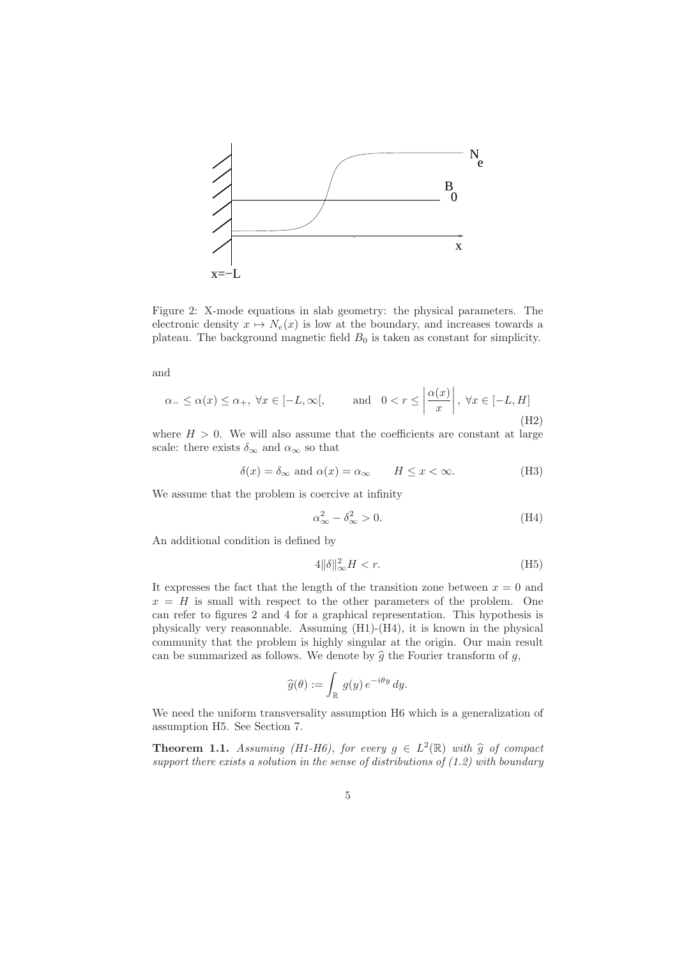

Figure 2: X-mode equations in slab geometry: the physical parameters. The electronic density  $x \mapsto N_e(x)$  is low at the boundary, and increases towards a plateau. The background magnetic field  $B_0$  is taken as constant for simplicity.

and

$$
\alpha_- \le \alpha(x) \le \alpha_+, \ \forall x \in [-L, \infty[, \qquad \text{and} \quad 0 < r \le \left| \frac{\alpha(x)}{x} \right|, \ \forall x \in [-L, H] \tag{H2}
$$

where  $H > 0$ . We will also assume that the coefficients are constant at large scale: there exists  $\delta_{\infty}$  and  $\alpha_{\infty}$  so that

$$
\delta(x) = \delta_{\infty} \text{ and } \alpha(x) = \alpha_{\infty} \qquad H \le x < \infty. \tag{H3}
$$

We assume that the problem is coercive at infinity

$$
\alpha_{\infty}^2 - \delta_{\infty}^2 > 0. \tag{H4}
$$

An additional condition is defined by

$$
4\|\delta\|_{\infty}^2 H < r.\tag{H5}
$$

It expresses the fact that the length of the transition zone between  $x = 0$  and  $x = H$  is small with respect to the other parameters of the problem. One can refer to figures 2 and 4 for a graphical representation. This hypothesis is physically very reasonnable. Assuming  $(H1)-(H4)$ , it is known in the physical community that the problem is highly singular at the origin. Our main result can be summarized as follows. We denote by  $\hat{g}$  the Fourier transform of  $g$ ,

$$
\widehat{g}(\theta) := \int_{\mathbb{R}} g(y) e^{-i\theta y} dy.
$$

We need the uniform transversality assumption  $H6$  which is a generalization of assumption H5. See Section 7.

**Theorem 1.1.** Assuming (H1-H6), for every  $g \in L^2(\mathbb{R})$  with  $\hat{g}$  of compact support there exists a solution in the sense of distributions of  $(1.2)$  with boundary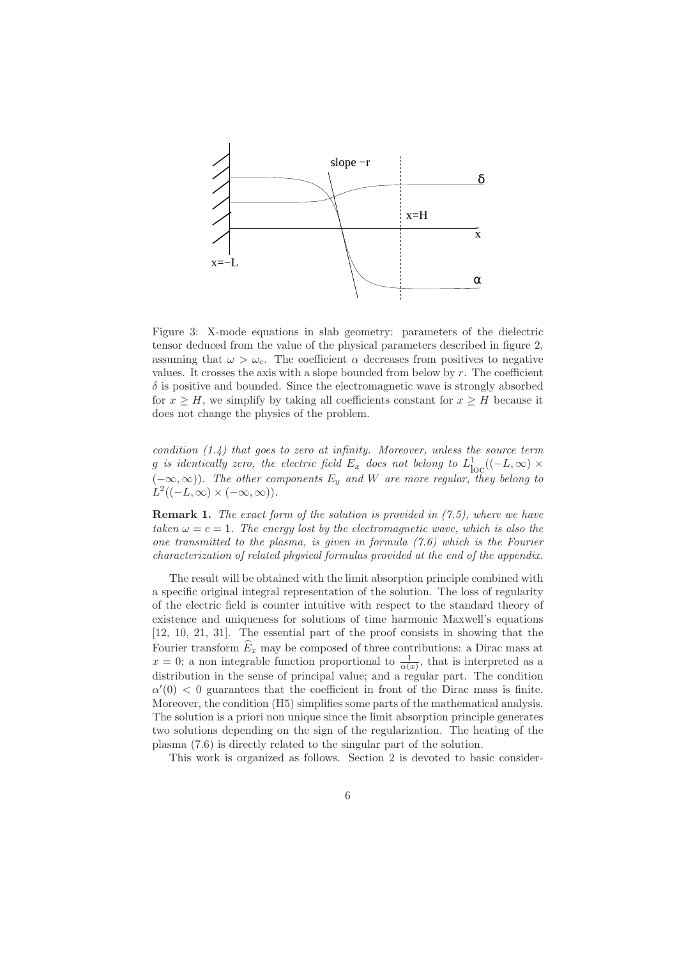

Figure 3: X-mode equations in slab geometry: parameters of the dielectric tensor deduced from the value of the physical parameters described in figure 2, assuming that  $\omega > \omega_c$ . The coefficient  $\alpha$  decreases from positives to negative values. It crosses the axis with a slope bounded from below by  $r$ . The coefficient  $\delta$  is positive and bounded. Since the electromagnetic wave is strongly absorbed for  $x \geq H$ , we simplify by taking all coefficients constant for  $x \geq H$  because it does not change the physics of the problem.

condition  $(1.4)$  that goes to zero at infinity. Moreover, unless the source term g is identically zero, the electric field  $E_x$  does not belong to  $L^1_{\text{loc}}((-L,\infty) \times$  $(-\infty,\infty)$ ). The other components  $E_y$  and W are more regular, they belong to  $L^2((-L,\infty) \times (-\infty,\infty)).$ 

Remark 1. The exact form of the solution is provided in  $(7.5)$ , where we have taken  $\omega = c = 1$ . The energy lost by the electromagnetic wave, which is also the one transmitted to the plasma, is given in formula  $(7.6)$  which is the Fourier characterization of related physical formulas provided at the end of the appendix.

The result will be obtained with the limit absorption principle combined with a specific original integral representation of the solution. The loss of regularity of the electric field is counter intuitive with respect to the standard theory of existence and uniqueness for solutions of time harmonic Maxwell's equations [12, 10, 21, 31]. The essential part of the proof consists in showing that the Fourier transform  $\widehat{E}_x$  may be composed of three contributions: a Dirac mass at  $x = 0$ ; a non integrable function proportional to  $\frac{1}{\alpha(x)}$ , that is interpreted as a distribution in the sense of principal value; and a regular part. The condition  $\alpha'(0)$  < 0 guarantees that the coefficient in front of the Dirac mass is finite. Moreover, the condition (H5) simplifies some parts of the mathematical analysis. The solution is a priori non unique since the limit absorption principle generates two solutions depending on the sign of the regularization. The heating of the plasma (7.6) is directly related to the singular part of the solution.

This work is organized as follows. Section 2 is devoted to basic consider-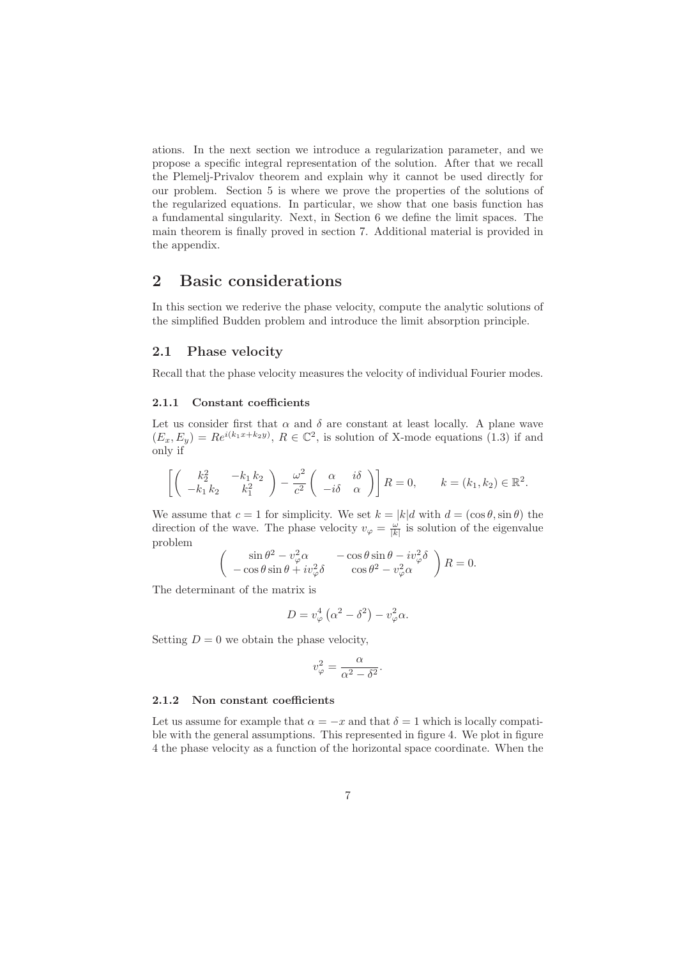ations. In the next section we introduce a regularization parameter, and we propose a specific integral representation of the solution. After that we recall the Plemelj-Privalov theorem and explain why it cannot be used directly for our problem. Section 5 is where we prove the properties of the solutions of the regularized equations. In particular, we show that one basis function has a fundamental singularity. Next, in Section 6 we define the limit spaces. The main theorem is finally proved in section 7. Additional material is provided in the appendix.

## 2 Basic considerations

In this section we rederive the phase velocity, compute the analytic solutions of the simplified Budden problem and introduce the limit absorption principle.

#### 2.1 Phase velocity

Recall that the phase velocity measures the velocity of individual Fourier modes.

#### 2.1.1 Constant coefficients

Let us consider first that  $\alpha$  and  $\delta$  are constant at least locally. A plane wave  $(E_x, E_y) = Re^{i(k_1x+k_2y)}$ ,  $R \in \mathbb{C}^2$ , is solution of X-mode equations (1.3) if and only if

$$
\left[ \begin{pmatrix} k_2^2 & -k_1 k_2 \\ -k_1 k_2 & k_1^2 \end{pmatrix} - \frac{\omega^2}{c^2} \begin{pmatrix} \alpha & i\delta \\ -i\delta & \alpha \end{pmatrix} \right] R = 0, \qquad k = (k_1, k_2) \in \mathbb{R}^2.
$$

We assume that  $c = 1$  for simplicity. We set  $k = |k|d$  with  $d = (\cos \theta, \sin \theta)$  the direction of the wave. The phase velocity  $v_{\varphi} = \frac{\omega}{|k|}$  is solution of the eigenvalue problem

$$
\begin{pmatrix}\n\sin \theta^2 - v_\varphi^2 \alpha & -\cos \theta \sin \theta - iv_\varphi^2 \delta \\
-\cos \theta \sin \theta + iv_\varphi^2 \delta & \cos \theta^2 - v_\varphi^2 \alpha\n\end{pmatrix} R = 0.
$$

The determinant of the matrix is

$$
D = v_{\varphi}^{4} \left( \alpha^{2} - \delta^{2} \right) - v_{\varphi}^{2} \alpha.
$$

Setting  $D = 0$  we obtain the phase velocity,

$$
v_{\varphi}^2 = \frac{\alpha}{\alpha^2 - \delta^2}.
$$

#### 2.1.2 Non constant coefficients

Let us assume for example that  $\alpha = -x$  and that  $\delta = 1$  which is locally compatible with the general assumptions. This represented in figure 4. We plot in figure 4 the phase velocity as a function of the horizontal space coordinate. When the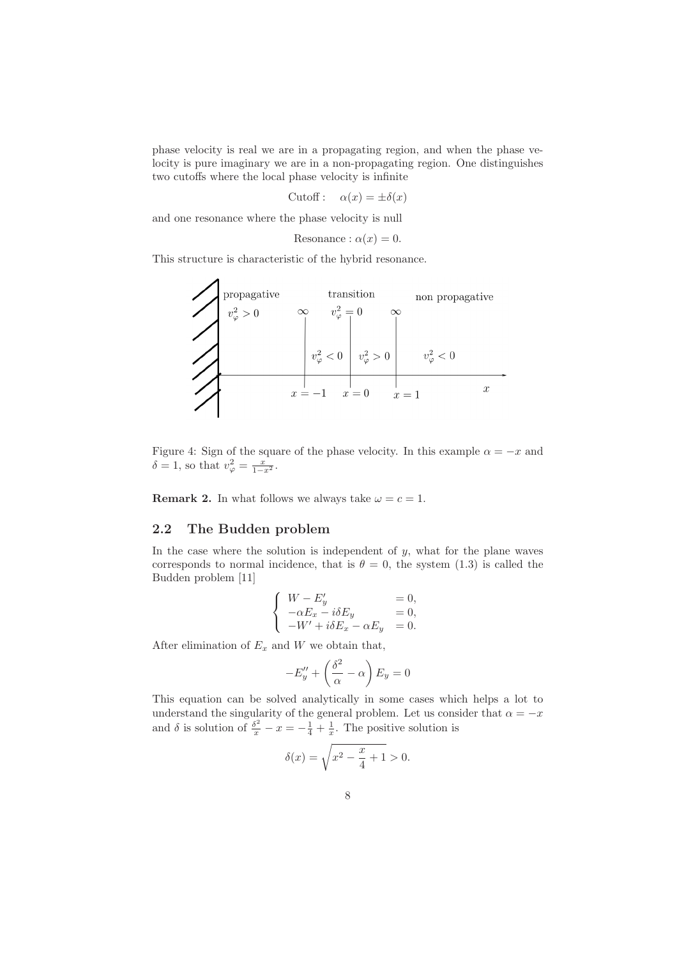phase velocity is real we are in a propagating region, and when the phase velocity is pure imaginary we are in a non-propagating region. One distinguishes two cutoffs where the local phase velocity is infinite

Cutoff:  $\alpha(x) = \pm \delta(x)$ 

and one resonance where the phase velocity is null

Resonance: 
$$
\alpha(x) = 0
$$
.

This structure is characteristic of the hybrid resonance.

propagative  
\n
$$
v_{\varphi}^2 > 0
$$
  $v_{\varphi}^2 = 0$   $v_{\varphi}^2 = 0$   $v_{\varphi}^2 > 0$   
\n $v_{\varphi}^2 < 0$   $v_{\varphi}^2 > 0$   $v_{\varphi}^2 < 0$   
\n $x = -1$   $x = 0$   $x = 1$ 

Figure 4: Sign of the square of the phase velocity. In this example  $\alpha = -x$  and  $\delta = 1$ , so that  $v_{\varphi}^2 = \frac{x}{1 - x^2}$ .

**Remark 2.** In what follows we always take  $\omega = c = 1$ .

### 2.2 The Budden problem

In the case where the solution is independent of  $y$ , what for the plane waves corresponds to normal incidence, that is  $\theta = 0$ , the system (1.3) is called the Budden problem [11]

$$
\left\{\begin{array}{lll} W-E'_y&=0,\\ -\alpha E_x-i\delta E_y&=0,\\ -W'+i\delta E_x-\alpha E_y&=0.\end{array}\right.
$$

After elimination of  $E_x$  and W we obtain that,

$$
-E_y'' + \left(\frac{\delta^2}{\alpha} - \alpha\right) E_y = 0
$$

This equation can be solved analytically in some cases which helps a lot to understand the singularity of the general problem. Let us consider that  $\alpha = -x$ and  $\delta$  is solution of  $\frac{\delta^2}{x} - x = -\frac{1}{4} + \frac{1}{x}$ . The positive solution is

$$
\delta(x) = \sqrt{x^2 - \frac{x}{4} + 1} > 0.
$$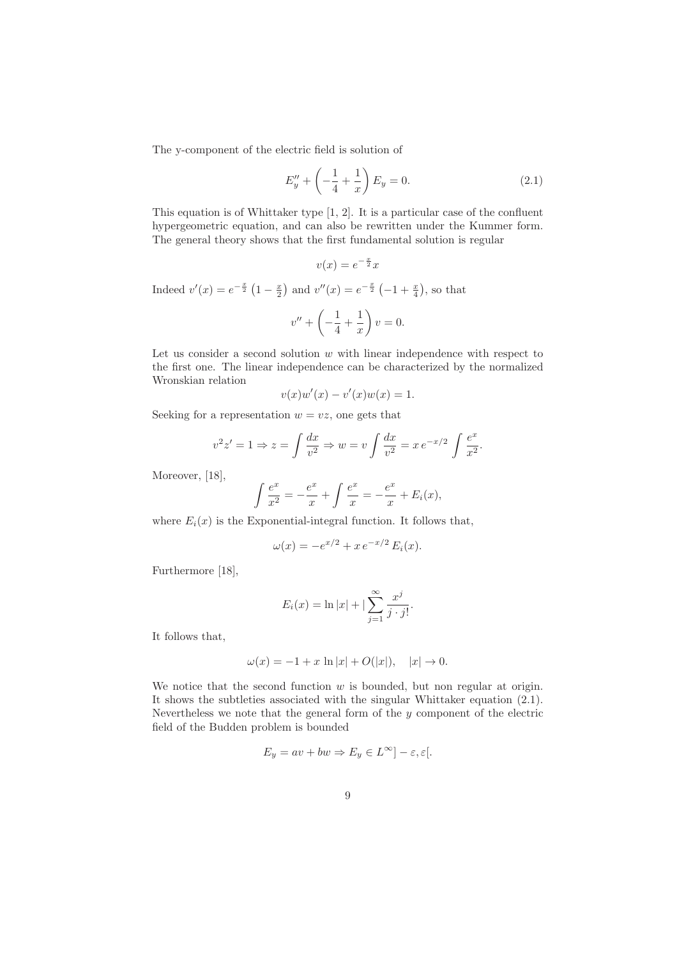The y-component of the electric field is solution of

$$
E''_y + \left(-\frac{1}{4} + \frac{1}{x}\right) E_y = 0.
$$
 (2.1)

This equation is of Whittaker type [1, 2]. It is a particular case of the confluent hypergeometric equation, and can also be rewritten under the Kummer form. The general theory shows that the first fundamental solution is regular

$$
v(x) = e^{-\frac{x}{2}}x
$$

Indeed  $v'(x) = e^{-\frac{x}{2}} (1 - \frac{x}{2})$  and  $v''(x) = e^{-\frac{x}{2}} (-1 + \frac{x}{4})$ , so that

$$
v'' + \left(-\frac{1}{4} + \frac{1}{x}\right)v = 0.
$$

Let us consider a second solution  $w$  with linear independence with respect to the first one. The linear independence can be characterized by the normalized Wronskian relation

$$
v(x)w'(x) - v'(x)w(x) = 1.
$$

Seeking for a representation  $w = vz$ , one gets that

$$
v^2 z' = 1 \Rightarrow z = \int \frac{dx}{v^2} \Rightarrow w = v \int \frac{dx}{v^2} = x e^{-x/2} \int \frac{e^x}{x^2}.
$$

Moreover, [18],

$$
\int \frac{e^x}{x^2} = -\frac{e^x}{x} + \int \frac{e^x}{x} = -\frac{e^x}{x} + E_i(x),
$$

where  $E_i(x)$  is the Exponential-integral function. It follows that,

$$
\omega(x) = -e^{x/2} + xe^{-x/2} E_i(x).
$$

Furthermore [18],

$$
E_i(x) = \ln |x| + \left| \sum_{j=1}^{\infty} \frac{x^j}{j \cdot j!} \right|
$$

It follows that,

$$
\omega(x) = -1 + x \ln|x| + O(|x|), \quad |x| \to 0.
$$

We notice that the second function  $w$  is bounded, but non regular at origin. It shows the subtleties associated with the singular Whittaker equation (2.1). Nevertheless we note that the general form of the  $y$  component of the electric field of the Budden problem is bounded

$$
E_y = av + bw \Rightarrow E_y \in L^{\infty}] - \varepsilon, \varepsilon[.
$$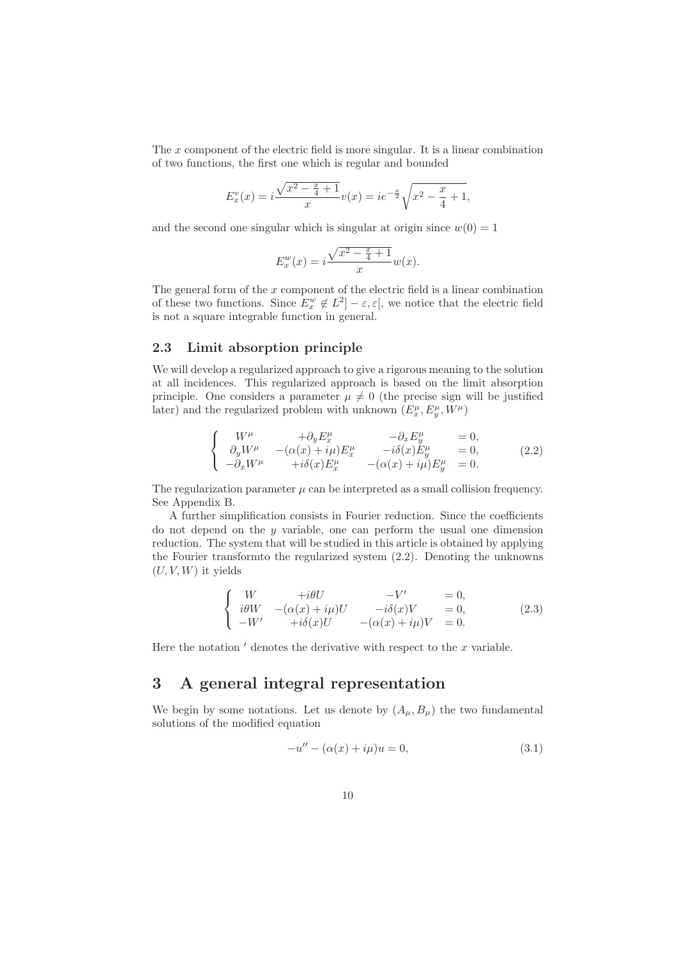The x component of the electric field is more singular. It is a linear combination of two functions, the first one which is regular and bounded

$$
E_x^v(x) = i\frac{\sqrt{x^2 - \frac{x}{4} + 1}}{x}v(x) = ie^{-\frac{x}{2}}\sqrt{x^2 - \frac{x}{4} + 1},
$$

and the second one singular which is singular at origin since  $w(0) = 1$ 

$$
E_x^w(x) = i \frac{\sqrt{x^2 - \frac{x}{4} + 1}}{x} w(x).
$$

The general form of the  $x$  component of the electric field is a linear combination of these two functions. Since  $E_x^w \notin L^2$  –  $\varepsilon, \varepsilon$ , we notice that the electric field is not a square integrable function in general.

#### 2.3 Limit absorption principle

We will develop a regularized approach to give a rigorous meaning to the solution at all incidences. This regularized approach is based on the limit absorption principle. One considers a parameter  $\mu \neq 0$  (the precise sign will be justified later) and the regularized problem with unknown  $(E_x^{\mu}, E_y^{\mu}, W^{\mu})$ 

$$
\begin{cases}\nW^{\mu} & +\partial_y E^{\mu}_x & -\partial_x E^{\mu}_y = 0, \\
\partial_y W^{\mu} & -(\alpha(x) + i\mu) E^{\mu}_x & -i\delta(x) E^{\mu}_y = 0, \\
-\partial_x W^{\mu} & +i\delta(x) E^{\mu}_x & -(\alpha(x) + i\mu) E^{\mu}_y = 0.\n\end{cases}
$$
\n(2.2)

The regularization parameter  $\mu$  can be interpreted as a small collision frequency. See Appendix B.

A further simplification consists in Fourier reduction. Since the coefficients do not depend on the  $y$  variable, one can perform the usual one dimension reduction. The system that will be studied in this article is obtained by applying the Fourier transformto the regularized system (2.2). Denoting the unknowns  $(U, V, W)$  it yields

$$
\begin{cases}\nW & +i\theta U & -V' = 0, \\
i\theta W & -(\alpha(x) + i\mu)U & -i\delta(x)V = 0, \\
-W' & +i\delta(x)U & -(\alpha(x) + i\mu)V = 0.\n\end{cases}
$$
\n(2.3)

Here the notation  $\prime$  denotes the derivative with respect to the  $x$  variable.

# 3 A general integral representation

We begin by some notations. Let us denote by  $(A_\mu, B_\mu)$  the two fundamental solutions of the modified equation

$$
-u'' - (\alpha(x) + i\mu)u = 0,
$$
\n(3.1)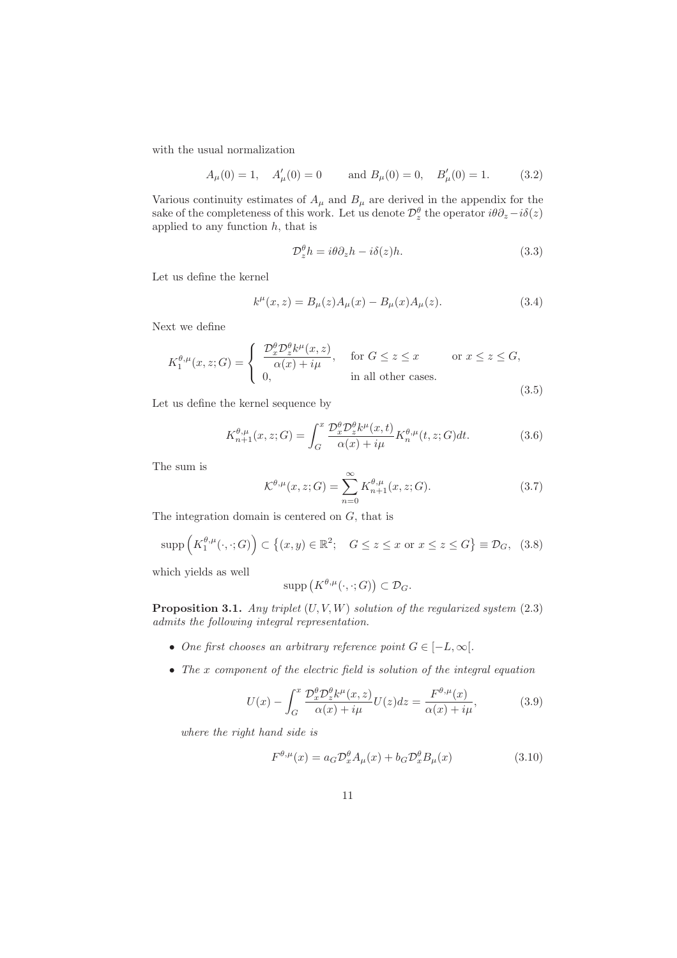with the usual normalization

$$
A_{\mu}(0) = 1
$$
,  $A'_{\mu}(0) = 0$  and  $B_{\mu}(0) = 0$ ,  $B'_{\mu}(0) = 1$ . (3.2)

Various continuity estimates of  $A_\mu$  and  $B_\mu$  are derived in the appendix for the sake of the completeness of this work. Let us denote  $\mathcal{D}_z^{\theta}$  the operator  $i\theta\partial_z - i\delta(z)$ applied to any function  $h$ , that is

$$
\mathcal{D}_z^{\theta} h = i\theta \partial_z h - i\delta(z)h. \tag{3.3}
$$

Let us define the kernel

$$
k^{\mu}(x, z) = B_{\mu}(z)A_{\mu}(x) - B_{\mu}(x)A_{\mu}(z).
$$
 (3.4)

Next we define

$$
K_1^{\theta,\mu}(x,z;G) = \begin{cases} \frac{\mathcal{D}_x^{\theta} \mathcal{D}_z^{\theta} k^{\mu}(x,z)}{\alpha(x) + i\mu}, & \text{for } G \le z \le x & \text{or } x \le z \le G, \\ 0, & \text{in all other cases.} \end{cases}
$$
 (3.5)

Let us define the kernel sequence by

$$
K_{n+1}^{\theta,\mu}(x,z;G) = \int_G^x \frac{\mathcal{D}_x^{\theta} \mathcal{D}_z^{\theta} k^{\mu}(x,t)}{\alpha(x) + i\mu} K_n^{\theta,\mu}(t,z;G) dt.
$$
 (3.6)

The sum is

$$
\mathcal{K}^{\theta,\mu}(x,z;G) = \sum_{n=0}^{\infty} K_{n+1}^{\theta,\mu}(x,z;G).
$$
 (3.7)

The integration domain is centered on G, that is

$$
\operatorname{supp}\left(K_1^{\theta,\mu}(\cdot,\cdot;G)\right) \subset \left\{(x,y) \in \mathbb{R}^2; \quad G \le z \le x \text{ or } x \le z \le G\right\} \equiv \mathcal{D}_G, \tag{3.8}
$$

which yields as well

$$
\mathrm{supp}\left(K^{\theta,\mu}(\cdot,\cdot;G)\right)\subset\mathcal{D}_G.
$$

**Proposition 3.1.** Any triplet  $(U, V, W)$  solution of the regularized system  $(2.3)$ admits the following integral representation.

- One first chooses an arbitrary reference point  $G \in [-L,\infty[$ .
- The x component of the electric field is solution of the integral equation

$$
U(x) - \int_G^x \frac{\mathcal{D}_x^{\theta} \mathcal{D}_z^{\theta} k^{\mu}(x, z)}{\alpha(x) + i\mu} U(z) dz = \frac{F^{\theta, \mu}(x)}{\alpha(x) + i\mu},
$$
(3.9)

where the right hand side is

$$
F^{\theta,\mu}(x) = a_G \mathcal{D}_x^{\theta} A_{\mu}(x) + b_G \mathcal{D}_x^{\theta} B_{\mu}(x)
$$
\n(3.10)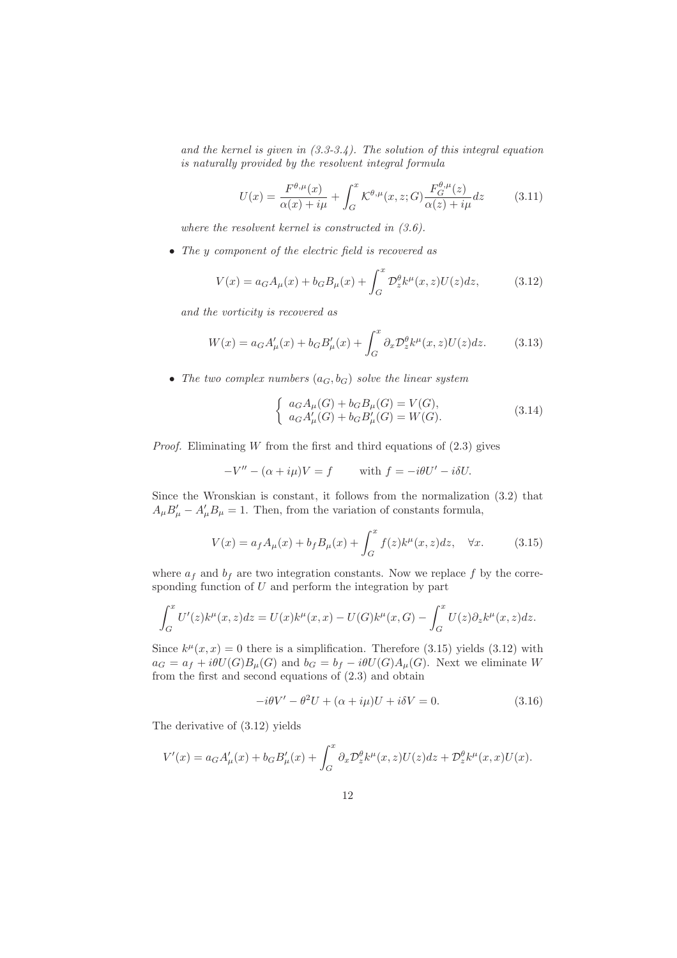and the kernel is given in  $(3.3-3.4)$ . The solution of this integral equation is naturally provided by the resolvent integral formula

$$
U(x) = \frac{F^{\theta,\mu}(x)}{\alpha(x) + i\mu} + \int_G^x \mathcal{K}^{\theta,\mu}(x,z;G) \frac{F_G^{\theta,\mu}(z)}{\alpha(z) + i\mu} dz
$$
(3.11)

where the resolvent kernel is constructed in  $(3.6)$ .

• The y component of the electric field is recovered as

$$
V(x) = a_G A_\mu(x) + b_G B_\mu(x) + \int_G^x \mathcal{D}_z^\theta k^\mu(x, z) U(z) dz,
$$
 (3.12)

and the vorticity is recovered as

$$
W(x) = a_G A'_{\mu}(x) + b_G B'_{\mu}(x) + \int_G^x \partial_x \mathcal{D}_z^{\theta} k^{\mu}(x, z) U(z) dz.
$$
 (3.13)

• The two complex numbers  $(a_G, b_G)$  solve the linear system

$$
\begin{cases}\n a_G A_\mu(G) + b_G B_\mu(G) = V(G), \\
 a_G A'_\mu(G) + b_G B'_\mu(G) = W(G).\n\end{cases}
$$
\n(3.14)

*Proof.* Eliminating  $W$  from the first and third equations of  $(2.3)$  gives

$$
-V'' - (\alpha + i\mu)V = f \quad \text{with } f = -i\theta U' - i\delta U.
$$

Since the Wronskian is constant, it follows from the normalization (3.2) that  $A_{\mu}B'_{\mu} - A'_{\mu}B_{\mu} = 1$ . Then, from the variation of constants formula,

$$
V(x) = a_f A_\mu(x) + b_f B_\mu(x) + \int_G^x f(z)k^\mu(x, z)dz, \quad \forall x.
$$
 (3.15)

where  $a_f$  and  $b_f$  are two integration constants. Now we replace f by the corresponding function of  $U$  and perform the integration by part

$$
\int_G^x U'(z)k^{\mu}(x,z)dz = U(x)k^{\mu}(x,x) - U(G)k^{\mu}(x,G) - \int_G^x U(z)\partial_z k^{\mu}(x,z)dz.
$$

Since  $k^{\mu}(x, x) = 0$  there is a simplification. Therefore (3.15) yields (3.12) with  $a_G = a_f + i\theta U(G)B_\mu(G)$  and  $b_G = b_f - i\theta U(G)A_\mu(G)$ . Next we eliminate W from the first and second equations of (2.3) and obtain

$$
-i\theta V' - \theta^2 U + (\alpha + i\mu)U + i\delta V = 0.
$$
\n(3.16)

The derivative of (3.12) yields

$$
V'(x) = a_G A'_{\mu}(x) + b_G B'_{\mu}(x) + \int_G^x \partial_x \mathcal{D}_z^{\theta} k^{\mu}(x, z) U(z) dz + \mathcal{D}_z^{\theta} k^{\mu}(x, x) U(x).
$$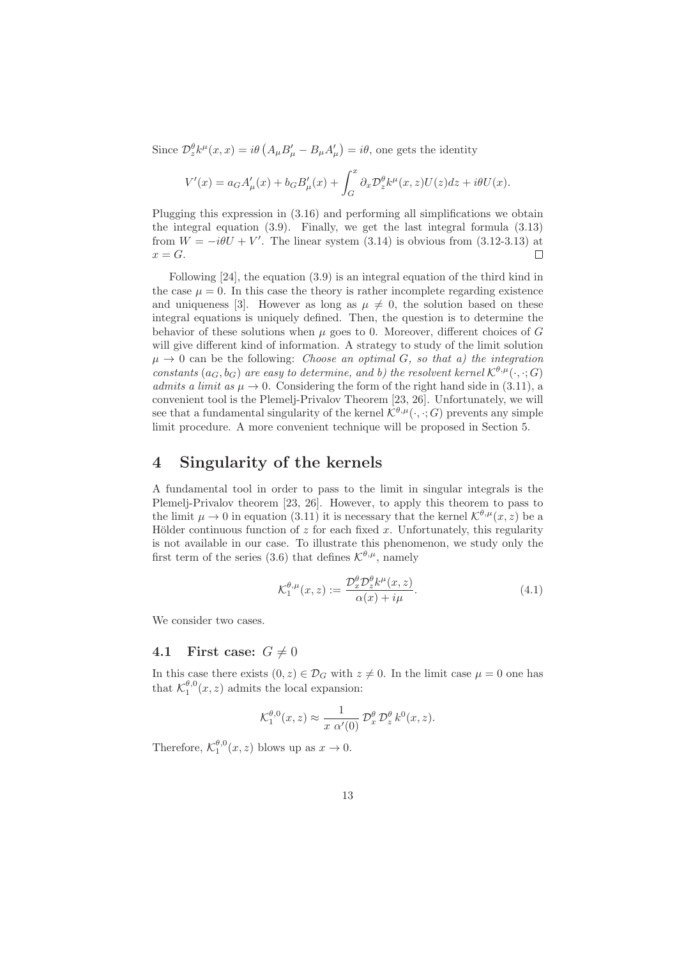Since  $\mathcal{D}_z^{\theta} k^{\mu}(x,x) = i \theta \left( A_{\mu} B'_{\mu} - B_{\mu} A'_{\mu} \right) = i \theta$ , one gets the identity

$$
V'(x) = a_G A'_{\mu}(x) + b_G B'_{\mu}(x) + \int_G^x \partial_x \mathcal{D}_z^{\theta} k^{\mu}(x, z) U(z) dz + i\theta U(x).
$$

Plugging this expression in (3.16) and performing all simplifications we obtain the integral equation (3.9). Finally, we get the last integral formula (3.13) from  $W = -i\theta U + V'$ . The linear system (3.14) is obvious from (3.12-3.13) at  $x = G$ .  $\Box$ 

Following [24], the equation (3.9) is an integral equation of the third kind in the case  $\mu = 0$ . In this case the theory is rather incomplete regarding existence and uniqueness [3]. However as long as  $\mu \neq 0$ , the solution based on these integral equations is uniquely defined. Then, the question is to determine the behavior of these solutions when  $\mu$  goes to 0. Moreover, different choices of G will give different kind of information. A strategy to study of the limit solution  $\mu \to 0$  can be the following: *Choose an optimal G, so that a) the integration* constants  $(a_G, b_G)$  are easy to determine, and b) the resolvent kernel  $\mathcal{K}^{\theta,\mu}(\cdot, \cdot; G)$ admits a limit as  $\mu \to 0$ . Considering the form of the right hand side in (3.11), a convenient tool is the Plemelj-Privalov Theorem [23, 26]. Unfortunately, we will see that a fundamental singularity of the kernel  $\mathcal{K}^{\theta,\mu}(\cdot,\cdot;G)$  prevents any simple limit procedure. A more convenient technique will be proposed in Section 5.

## 4 Singularity of the kernels

A fundamental tool in order to pass to the limit in singular integrals is the Plemelj-Privalov theorem [23, 26]. However, to apply this theorem to pass to the limit  $\mu \to 0$  in equation (3.11) it is necessary that the kernel  $\mathcal{K}^{\theta,\mu}(x,z)$  be a Hölder continuous function of  $z$  for each fixed  $x$ . Unfortunately, this regularity is not available in our case. To illustrate this phenomenon, we study only the first term of the series (3.6) that defines  $\mathcal{K}^{\theta,\mu}$ , namely

$$
\mathcal{K}_1^{\theta,\mu}(x,z) := \frac{\mathcal{D}_x^{\theta} \mathcal{D}_z^{\theta} k^{\mu}(x,z)}{\alpha(x) + i\mu}.
$$
\n(4.1)

We consider two cases.

#### 4.1 First case:  $G \neq 0$

In this case there exists  $(0, z) \in \mathcal{D}_G$  with  $z \neq 0$ . In the limit case  $\mu = 0$  one has that  $\mathcal{K}_1^{\theta,0}(x,z)$  admits the local expansion:

$$
\mathcal{K}_1^{\theta,0}(x,z) \approx \frac{1}{x \alpha'(0)} \mathcal{D}_x^{\theta} \mathcal{D}_z^{\theta} k^0(x,z).
$$

Therefore,  $\mathcal{K}_1^{\theta,0}(x,z)$  blows up as  $x \to 0$ .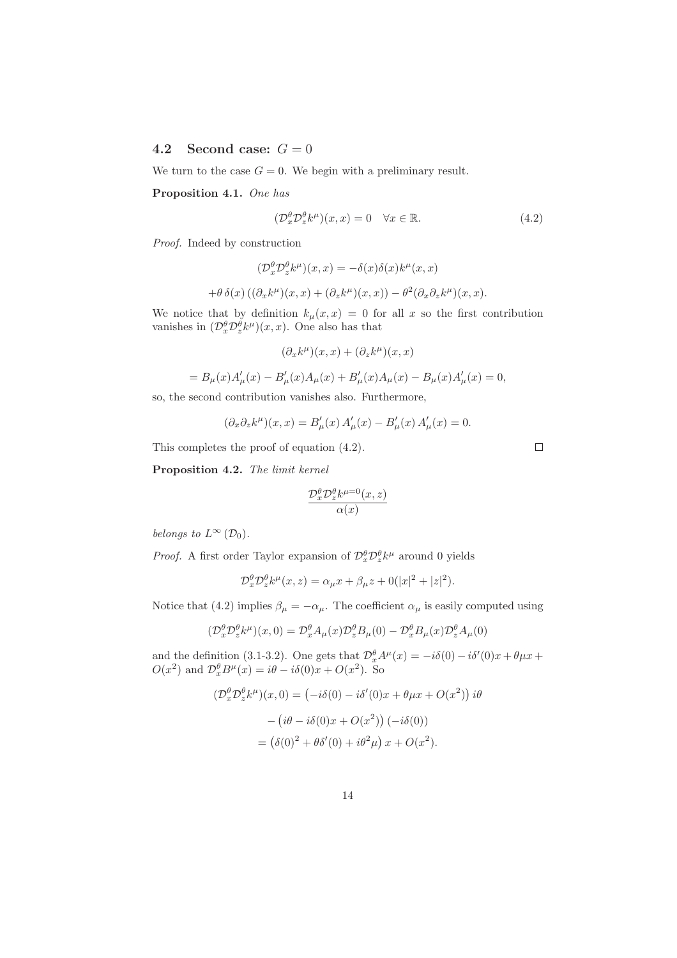## 4.2 Second case:  $G = 0$

We turn to the case  $G = 0$ . We begin with a preliminary result.

Proposition 4.1. One has

$$
(\mathcal{D}_x^{\theta} \mathcal{D}_z^{\theta} k^{\mu})(x, x) = 0 \quad \forall x \in \mathbb{R}.
$$
 (4.2)

Proof. Indeed by construction

$$
(\mathcal{D}_x^{\theta} \mathcal{D}_z^{\theta} k^{\mu})(x, x) = -\delta(x)\delta(x)k^{\mu}(x, x)
$$

$$
+\theta \delta(x) ((\partial_x k^{\mu})(x, x) + (\partial_z k^{\mu})(x, x)) - \theta^2 (\partial_x \partial_z k^{\mu})(x, x).
$$

We notice that by definition  $k_{\mu}(x, x) = 0$  for all x so the first contribution vanishes in  $(\mathcal{D}_x^{\theta} \mathcal{D}_z^{\theta} k^{\mu})(x, x)$ . One also has that

$$
(\partial_x k^{\mu})(x,x) + (\partial_z k^{\mu})(x,x)
$$

$$
=B_{\mu}(x)A'_{\mu}(x) - B'_{\mu}(x)A_{\mu}(x) + B'_{\mu}(x)A_{\mu}(x) - B_{\mu}(x)A'_{\mu}(x) = 0,
$$

so, the second contribution vanishes also. Furthermore,

$$
(\partial_x \partial_z k^{\mu})(x, x) = B'_{\mu}(x) A'_{\mu}(x) - B'_{\mu}(x) A'_{\mu}(x) = 0.
$$

This completes the proof of equation (4.2).

Proposition 4.2. The limit kernel

$$
\frac{\mathcal{D}_x^{\theta} \mathcal{D}_z^{\theta} k^{\mu=0}(x,z)}{\alpha(x)}
$$

belongs to  $L^{\infty}(\mathcal{D}_0)$ .

*Proof.* A first order Taylor expansion of  $\mathcal{D}_x^{\theta} \mathcal{D}_z^{\theta} k^{\mu}$  around 0 yields

$$
\mathcal{D}_x^{\theta} \mathcal{D}_z^{\theta} k^{\mu}(x, z) = \alpha_{\mu} x + \beta_{\mu} z + 0(|x|^2 + |z|^2).
$$

Notice that (4.2) implies  $\beta_{\mu} = -\alpha_{\mu}$ . The coefficient  $\alpha_{\mu}$  is easily computed using

$$
(\mathcal{D}_x^{\theta} \mathcal{D}_z^{\theta} k^{\mu})(x,0) = \mathcal{D}_x^{\theta} A_{\mu}(x) \mathcal{D}_z^{\theta} B_{\mu}(0) - \mathcal{D}_x^{\theta} B_{\mu}(x) \mathcal{D}_z^{\theta} A_{\mu}(0)
$$

and the definition (3.1-3.2). One gets that  $\mathcal{D}_{x}^{\theta} A^{\mu}(x) = -i\delta(0) - i\delta'(0)x + \theta \mu x +$  $O(x^2)$  and  $\mathcal{D}_x^{\theta} B^{\mu}(x) = i\theta - i\delta(0)x + O(x^2)$ . So

$$
(\mathcal{D}_x^{\theta} \mathcal{D}_z^{\theta} k^{\mu})(x,0) = (-i\delta(0) - i\delta'(0)x + \theta \mu x + O(x^2)) i\theta
$$

$$
- (i\theta - i\delta(0)x + O(x^2)) (-i\delta(0))
$$

$$
= (\delta(0)^2 + \theta\delta'(0) + i\theta^2 \mu) x + O(x^2).
$$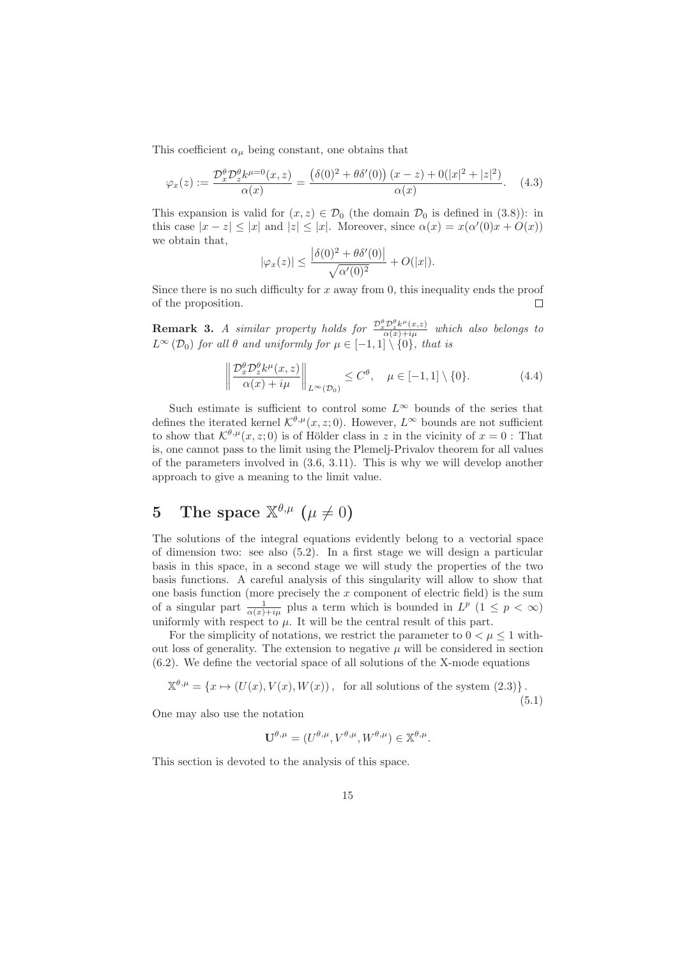This coefficient  $\alpha_{\mu}$  being constant, one obtains that

$$
\varphi_x(z) := \frac{\mathcal{D}_x^{\theta} \mathcal{D}_z^{\theta} k^{\mu=0}(x, z)}{\alpha(x)} = \frac{\left(\delta(0)^2 + \theta \delta'(0)\right)(x - z) + 0(|x|^2 + |z|^2)}{\alpha(x)}.\tag{4.3}
$$

This expansion is valid for  $(x, z) \in \mathcal{D}_0$  (the domain  $\mathcal{D}_0$  is defined in (3.8)): in this case  $|x - z| \le |x|$  and  $|z| \le |x|$ . Moreover, since  $\alpha(x) = x(\alpha'(0)x + O(x))$ we obtain that,

$$
|\varphi_x(z)| \le \frac{\left|\delta(0)^2 + \theta \delta'(0)\right|}{\sqrt{\alpha'(0)^2}} + O(|x|).
$$

Since there is no such difficulty for  $x$  away from 0, this inequality ends the proof of the proposition.  $\Box$ 

**Remark 3.** A similar property holds for  $\frac{\mathcal{D}_x^{\theta}\mathcal{D}_z^{\theta}k^{\mu}(x,z)}{\alpha(x)+i\mu}$  which also belongs to  $L^{\infty}(\mathcal{D}_0)$  for all  $\theta$  and uniformly for  $\mu \in [-1,1] \setminus \{0\}$ , that is

$$
\left\| \frac{\mathcal{D}_x^{\theta} \mathcal{D}_z^{\theta} k^{\mu}(x, z)}{\alpha(x) + i\mu} \right\|_{L^{\infty}(\mathcal{D}_0)} \le C^{\theta}, \quad \mu \in [-1, 1] \setminus \{0\}. \tag{4.4}
$$

Such estimate is sufficient to control some  $L^{\infty}$  bounds of the series that defines the iterated kernel  $\mathcal{K}^{\theta,\mu}(x, z; 0)$ . However,  $L^{\infty}$  bounds are not sufficient to show that  $\mathcal{K}^{\theta,\mu}(x,z;0)$  is of Hölder class in z in the vicinity of  $x=0$ : That is, one cannot pass to the limit using the Plemelj-Privalov theorem for all values of the parameters involved in (3.6, 3.11). This is why we will develop another approach to give a meaning to the limit value.

# 5 The space  $\mathbb{X}^{\theta,\mu}$   $(\mu \neq 0)$

The solutions of the integral equations evidently belong to a vectorial space of dimension two: see also (5.2). In a first stage we will design a particular basis in this space, in a second stage we will study the properties of the two basis functions. A careful analysis of this singularity will allow to show that one basis function (more precisely the  $x$  component of electric field) is the sum of a singular part  $\frac{1}{\alpha(x)+i\mu}$  plus a term which is bounded in  $L^p$   $(1 \leq p < \infty)$ uniformly with respect to  $\mu$ . It will be the central result of this part.

For the simplicity of notations, we restrict the parameter to  $0 < \mu \leq 1$  without loss of generality. The extension to negative  $\mu$  will be considered in section (6.2). We define the vectorial space of all solutions of the X-mode equations

$$
\mathbb{X}^{\theta,\mu} = \{x \mapsto (U(x), V(x), W(x)), \text{ for all solutions of the system (2.3)}\}.
$$
\n(5.1)

One may also use the notation

$$
\mathbf{U}^{\theta,\mu} = (U^{\theta,\mu}, V^{\theta,\mu}, W^{\theta,\mu}) \in \mathbb{X}^{\theta,\mu}.
$$

This section is devoted to the analysis of this space.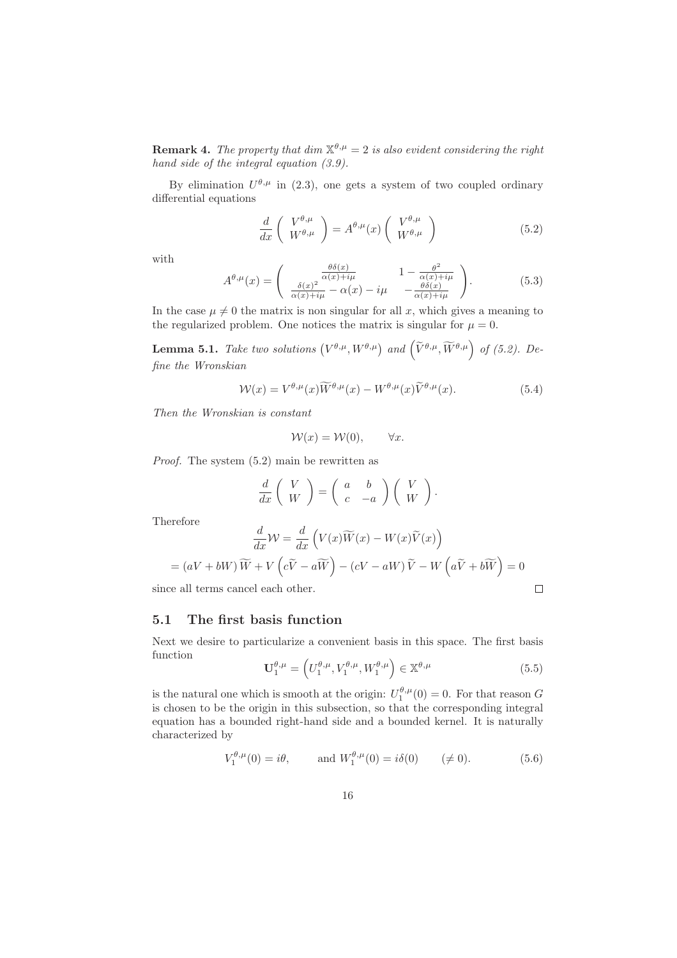**Remark 4.** The property that dim  $\mathbb{X}^{\theta,\mu} = 2$  is also evident considering the right hand side of the integral equation (3.9).

By elimination  $U^{\theta,\mu}$  in (2.3), one gets a system of two coupled ordinary differential equations

$$
\frac{d}{dx}\left(\begin{array}{c}V^{\theta,\mu}\\W^{\theta,\mu}\end{array}\right) = A^{\theta,\mu}(x)\left(\begin{array}{c}V^{\theta,\mu}\\W^{\theta,\mu}\end{array}\right) \tag{5.2}
$$

with

$$
A^{\theta,\mu}(x) = \begin{pmatrix} \frac{\theta\delta(x)}{\alpha(x)+i\mu} & 1 - \frac{\theta^2}{\alpha(x)+i\mu} \\ \frac{\delta(x)^2}{\alpha(x)+i\mu} - \alpha(x) - i\mu & -\frac{\theta\delta(x)}{\alpha(x)+i\mu} \end{pmatrix}.
$$
 (5.3)

In the case  $\mu \neq 0$  the matrix is non singular for all x, which gives a meaning to the regularized problem. One notices the matrix is singular for  $\mu = 0$ .

**Lemma 5.1.** Take two solutions  $(V^{\theta,\mu}, W^{\theta,\mu})$  and  $(\widetilde{V}^{\theta,\mu}, \widetilde{W}^{\theta,\mu})$  of (5.2). Define the Wronskian

$$
\mathcal{W}(x) = V^{\theta,\mu}(x)\widetilde{W}^{\theta,\mu}(x) - W^{\theta,\mu}(x)\widetilde{V}^{\theta,\mu}(x).
$$
\n(5.4)

Then the Wronskian is constant

$$
\mathcal{W}(x) = \mathcal{W}(0), \qquad \forall x.
$$

Proof. The system (5.2) main be rewritten as

$$
\frac{d}{dx}\left(\begin{array}{c}V\\W\end{array}\right)=\left(\begin{array}{cc}a&b\\c&-a\end{array}\right)\left(\begin{array}{c}V\\W\end{array}\right).
$$

Therefore

$$
\frac{d}{dx}W = \frac{d}{dx}\left(V(x)\widetilde{W}(x) - W(x)\widetilde{V}(x)\right)
$$

$$
= (aV + bW)\widetilde{W} + V\left(c\widetilde{V} - a\widetilde{W}\right) - (cV - aW)\widetilde{V} - W\left(a\widetilde{V} + b\widetilde{W}\right) = 0
$$

since all terms cancel each other.

## 5.1 The first basis function

Next we desire to particularize a convenient basis in this space. The first basis function

$$
\mathbf{U}_{1}^{\theta,\mu} = \left( U_{1}^{\theta,\mu}, V_{1}^{\theta,\mu}, W_{1}^{\theta,\mu} \right) \in \mathbb{X}^{\theta,\mu}
$$
\n(5.5)

 $\Box$ 

is the natural one which is smooth at the origin:  $U_1^{\theta,\mu}(0) = 0$ . For that reason G is chosen to be the origin in this subsection, so that the corresponding integral equation has a bounded right-hand side and a bounded kernel. It is naturally characterized by

$$
V_1^{\theta,\mu}(0) = i\theta, \qquad \text{and } W_1^{\theta,\mu}(0) = i\delta(0) \qquad (\neq 0). \tag{5.6}
$$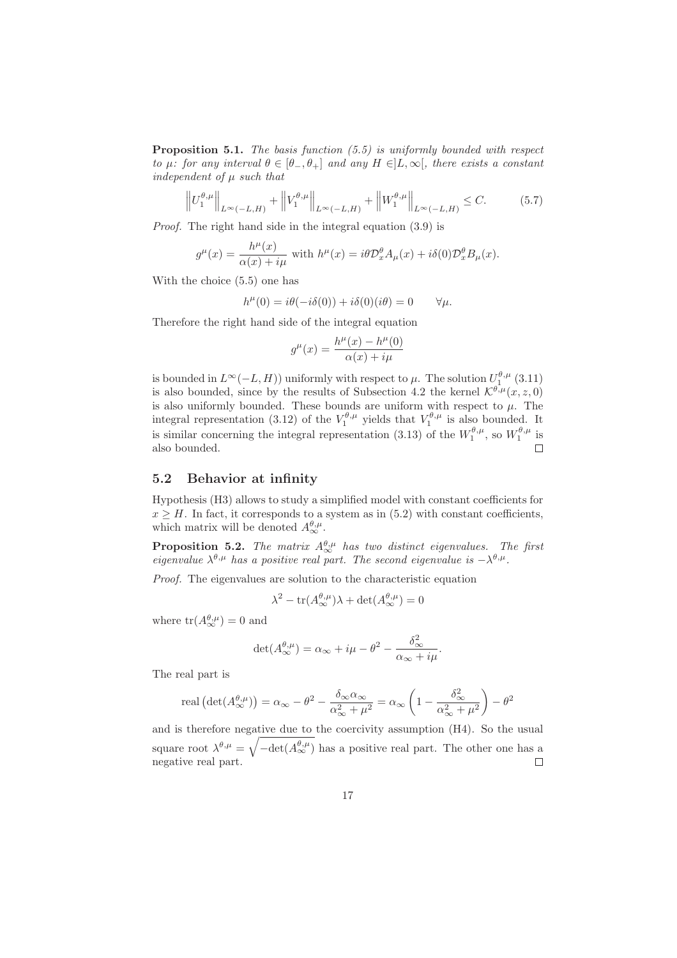**Proposition 5.1.** The basis function  $(5.5)$  is uniformly bounded with respect to  $\mu$ : for any interval  $\theta \in [\theta_-, \theta_+]$  and any  $H \in ]L, \infty[$ , there exists a constant independent of  $\mu$  such that

$$
\left\| U_1^{\theta,\mu} \right\|_{L^{\infty}(-L,H)} + \left\| V_1^{\theta,\mu} \right\|_{L^{\infty}(-L,H)} + \left\| W_1^{\theta,\mu} \right\|_{L^{\infty}(-L,H)} \le C. \tag{5.7}
$$

Proof. The right hand side in the integral equation (3.9) is

$$
g^{\mu}(x) = \frac{h^{\mu}(x)}{\alpha(x) + i\mu}
$$
 with  $h^{\mu}(x) = i\theta \mathcal{D}_x^{\theta} A_{\mu}(x) + i\delta(0) \mathcal{D}_x^{\theta} B_{\mu}(x)$ .

With the choice (5.5) one has

$$
h^{\mu}(0) = i\theta(-i\delta(0)) + i\delta(0)(i\theta) = 0 \qquad \forall \mu.
$$

Therefore the right hand side of the integral equation

$$
g^{\mu}(x) = \frac{h^{\mu}(x) - h^{\mu}(0)}{\alpha(x) + i\mu}
$$

is bounded in  $L^{\infty}(-L, H)$  uniformly with respect to  $\mu$ . The solution  $U_1^{\theta, \mu}$  (3.11) is also bounded, since by the results of Subsection 4.2 the kernel  $\mathcal{K}^{\theta,\mu}(x,z,0)$ is also uniformly bounded. These bounds are uniform with respect to  $\mu$ . The integral representation (3.12) of the  $V_1^{\theta,\mu}$  yields that  $V_1^{\theta,\mu}$  is also bounded. It is similar concerning the integral representation (3.13) of the  $W_1^{\theta,\mu}$ , so  $W_1^{\theta,\mu}$  is also bounded.  $\Box$ 

## 5.2 Behavior at infinity

Hypothesis (H3) allows to study a simplified model with constant coefficients for  $x \geq H$ . In fact, it corresponds to a system as in (5.2) with constant coefficients, which matrix will be denoted  $A_{\infty}^{\theta,\mu}$ .

**Proposition 5.2.** The matrix  $A_{\infty}^{\theta,\mu}$  has two distinct eigenvalues. The first eigenvalue  $\lambda^{\theta,\mu}$  has a positive real part. The second eigenvalue is  $-\lambda^{\theta,\mu}$ .

Proof. The eigenvalues are solution to the characteristic equation

$$
\lambda^2 - \text{tr}(A_{\infty}^{\theta,\mu})\lambda + \det(A_{\infty}^{\theta,\mu}) = 0
$$

where  $tr(A_{\infty}^{\theta,\mu})=0$  and

$$
\det(A_{\infty}^{\theta,\mu}) = \alpha_{\infty} + i\mu - \theta^2 - \frac{\delta_{\infty}^2}{\alpha_{\infty} + i\mu}.
$$

The real part is

real 
$$
(\det(A_{\infty}^{\theta,\mu})) = \alpha_{\infty} - \theta^2 - \frac{\delta_{\infty}\alpha_{\infty}}{\alpha_{\infty}^2 + \mu^2} = \alpha_{\infty} \left(1 - \frac{\delta_{\infty}^2}{\alpha_{\infty}^2 + \mu^2}\right) - \theta^2
$$

and is therefore negative due to the coercivity assumption (H4). So the usual square root  $\lambda^{\theta,\mu} = \sqrt{-\det(A_{\infty}^{\theta,\mu})}$  has a positive real part. The other one has a negative real part.  $\Box$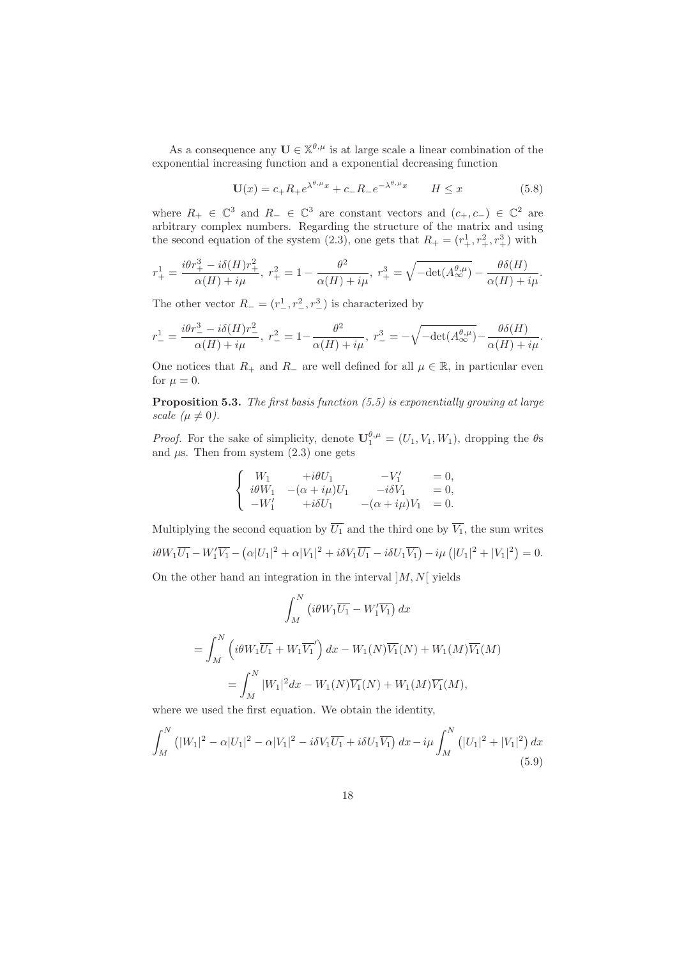As a consequence any  $\mathbf{U} \in \mathbb{X}^{\theta,\mu}$  is at large scale a linear combination of the exponential increasing function and a exponential decreasing function

$$
\mathbf{U}(x) = c_{+}R_{+}e^{\lambda^{\theta,\mu}x} + c_{-}R_{-}e^{-\lambda^{\theta,\mu}x} \qquad H \le x \tag{5.8}
$$

where  $R_+ \in \mathbb{C}^3$  and  $R_- \in \mathbb{C}^3$  are constant vectors and  $(c_+, c_-) \in \mathbb{C}^2$  are arbitrary complex numbers. Regarding the structure of the matrix and using the second equation of the system (2.3), one gets that  $R_{+} = (r_{+}^{1}, r_{+}^{2}, r_{+}^{3})$  with

$$
r_{+}^{1} = \frac{i\theta r_{+}^{3} - i\delta(H)r_{+}^{2}}{\alpha(H) + i\mu}, \ r_{+}^{2} = 1 - \frac{\theta^{2}}{\alpha(H) + i\mu}, \ r_{+}^{3} = \sqrt{-\det(A_{\infty}^{\theta,\mu})} - \frac{\theta\delta(H)}{\alpha(H) + i\mu}.
$$

The other vector  $R_{-} = (r_{-}^{1}, r_{-}^{2}, r_{-}^{3})$  is characterized by

$$
r_{-}^{1} = \frac{i\theta r_{-}^{3} - i\delta(H)r_{-}^{2}}{\alpha(H) + i\mu}, \ r_{-}^{2} = 1 - \frac{\theta^{2}}{\alpha(H) + i\mu}, \ r_{-}^{3} = -\sqrt{-\det(A_{\infty}^{\theta,\mu})} - \frac{\theta\delta(H)}{\alpha(H) + i\mu}.
$$

One notices that  $R_+$  and  $R_-\$  are well defined for all  $\mu \in \mathbb{R}$ , in particular even for  $\mu = 0$ .

**Proposition 5.3.** The first basis function  $(5.5)$  is exponentially growing at large scale  $(\mu \neq 0)$ .

*Proof.* For the sake of simplicity, denote  $\mathbf{U}_1^{\theta,\mu} = (U_1, V_1, W_1)$ , dropping the  $\theta$ s and  $\mu$ s. Then from system  $(2.3)$  one gets

$$
\label{eq:2.1} \left\{ \begin{array}{lll} W_1 & +i\theta U_1 & -V'_1 & =0, \\ i\theta W_1 & -(\alpha+i\mu)U_1 & -i\delta V_1 & =0, \\ -W'_1 & +i\delta U_1 & -(\alpha+i\mu)V_1 & =0. \end{array} \right.
$$

Multiplying the second equation by  $\overline{U_1}$  and the third one by  $\overline{V_1}$ , the sum writes  $i\theta W_1 \overline{U_1} - W_1' \overline{V_1} - (\alpha |U_1|^2 + \alpha |V_1|^2 + i\delta V_1 \overline{U_1} - i\delta U_1 \overline{V_1}) - i\mu (|U_1|^2 + |V_1|^2) = 0.$ On the other hand an integration in the interval  $|M, N|$  yields

$$
\int_M^N \left(i\theta W_1 \overline{U_1} - W_1' \overline{V_1}\right) dx
$$
  
= 
$$
\int_M^N \left(i\theta W_1 \overline{U_1} + W_1 \overline{V_1}'\right) dx - W_1(N) \overline{V_1}(N) + W_1(M) \overline{V_1}(M)
$$
  
= 
$$
\int_M^N |W_1|^2 dx - W_1(N) \overline{V_1}(N) + W_1(M) \overline{V_1}(M),
$$

where we used the first equation. We obtain the identity,

$$
\int_{M}^{N} (|W_{1}|^{2} - \alpha |U_{1}|^{2} - \alpha |V_{1}|^{2} - i\delta V_{1}\overline{U_{1}} + i\delta U_{1}\overline{V_{1}}) dx - i\mu \int_{M}^{N} (|U_{1}|^{2} + |V_{1}|^{2}) dx
$$
\n(5.9)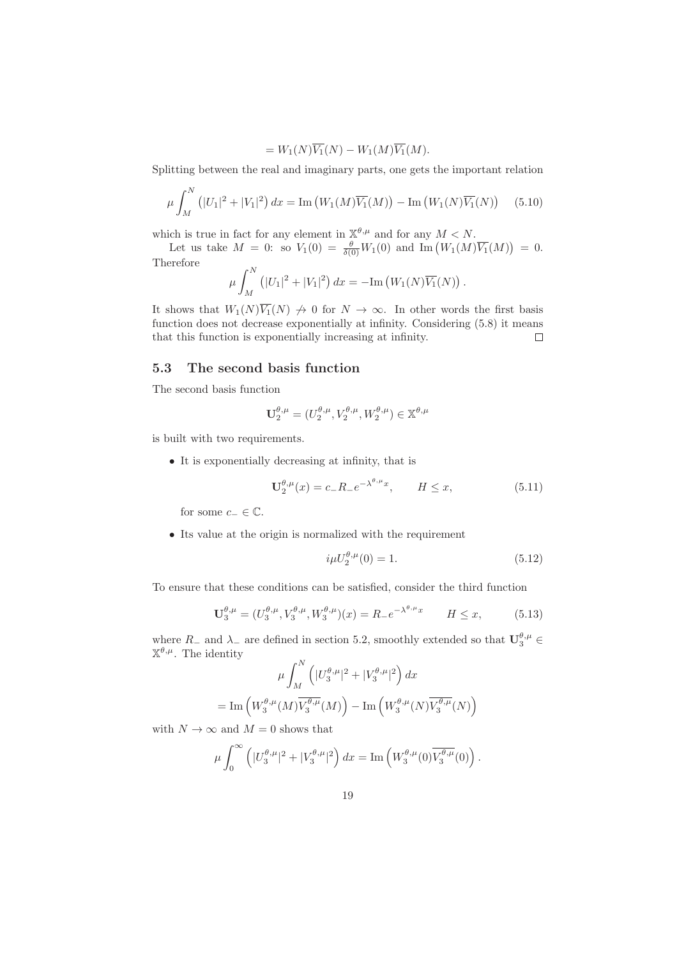$$
= W_1(N)\overline{V_1}(N) - W_1(M)\overline{V_1}(M).
$$

Splitting between the real and imaginary parts, one gets the important relation

$$
\mu \int_{M}^{N} (|U_{1}|^{2} + |V_{1}|^{2}) dx = \text{Im}(W_{1}(M)\overline{V_{1}}(M)) - \text{Im}(W_{1}(N)\overline{V_{1}}(N)) \quad (5.10)
$$

which is true in fact for any element in  $\mathbb{X}^{\theta,\mu}$  and for any  $M < N$ .

Let us take  $M = 0$ : so  $V_1(0) = \frac{\theta}{\delta(0)} W_1(0)$  and  $\text{Im}(W_1(M)\overline{V_1}(M)) = 0$ . Therefore

$$
\mu \int_M^N (|U_1|^2 + |V_1|^2) \, dx = -\mathrm{Im} \left( W_1(N) \overline{V_1}(N) \right).
$$

It shows that  $W_1(N)\overline{V_1}(N) \nrightarrow 0$  for  $N \rightarrow \infty$ . In other words the first basis function does not decrease exponentially at infinity. Considering (5.8) it means that this function is exponentially increasing at infinity.  $\Box$ 

## 5.3 The second basis function

The second basis function

$$
\mathbf{U}_{2}^{\theta,\mu} = (U_{2}^{\theta,\mu}, V_{2}^{\theta,\mu}, W_{2}^{\theta,\mu}) \in \mathbb{X}^{\theta,\mu}
$$

is built with two requirements.

• It is exponentially decreasing at infinity, that is

$$
\mathbf{U}_{2}^{\theta,\mu}(x) = c_{-}R_{-}e^{-\lambda^{\theta,\mu}x}, \qquad H \le x,\tag{5.11}
$$

for some  $c_-\in\mathbb{C}$ .

• Its value at the origin is normalized with the requirement

$$
i\mu U_2^{\theta,\mu}(0) = 1.
$$
\n(5.12)

To ensure that these conditions can be satisfied, consider the third function

$$
\mathbf{U}_{3}^{\theta,\mu} = (U_{3}^{\theta,\mu}, V_{3}^{\theta,\mu}, W_{3}^{\theta,\mu})(x) = R_{-}e^{-\lambda^{\theta,\mu}x} \qquad H \le x,\tag{5.13}
$$

where  $R_$  and  $\lambda_$  are defined in section 5.2, smoothly extended so that  $\mathbf{U}_{3}^{\theta,\mu} \in$  $\mathbb{X}^{\theta,\mu}$ . The identity  $\sim N$ 

$$
\mu \int_M^N \left( |U_3^{\theta,\mu}|^2 + |V_3^{\theta,\mu}|^2 \right) dx
$$
  
= Im  $\left( W_3^{\theta,\mu}(M) \overline{V_3^{\theta,\mu}}(M) \right)$  – Im  $\left( W_3^{\theta,\mu}(N) \overline{V_3^{\theta,\mu}}(N) \right)$ 

with  $N \to \infty$  and  $M = 0$  shows that

$$
\mu \int_0^\infty \left( |U_3^{\theta,\mu}|^2 + |V_3^{\theta,\mu}|^2 \right) dx = \text{Im}\left( W_3^{\theta,\mu}(0) \overline{V_3^{\theta,\mu}}(0) \right).
$$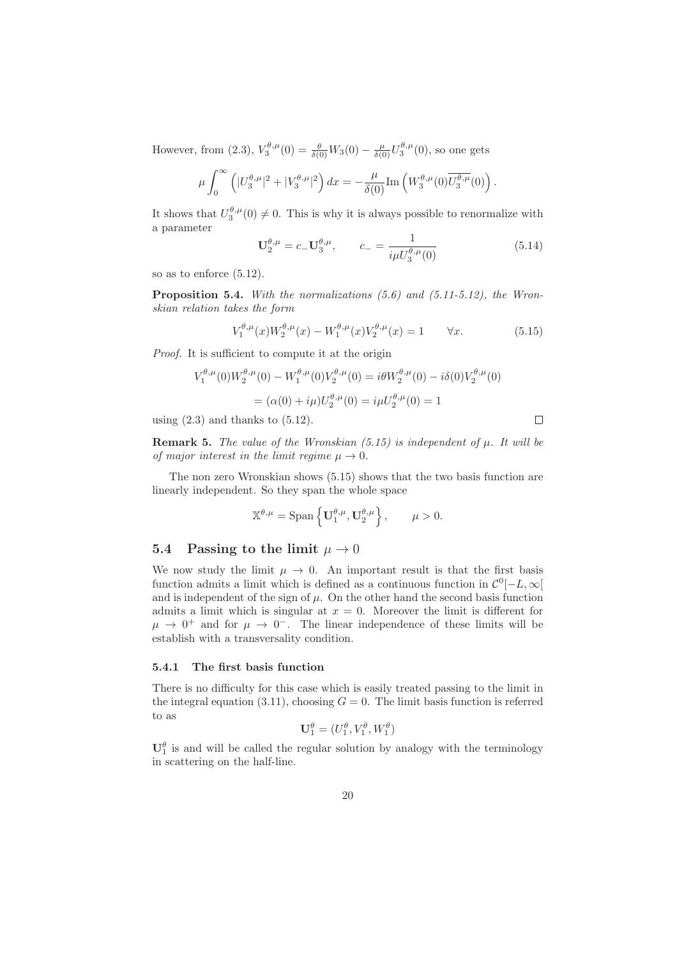However, from (2.3),  $V_3^{\theta,\mu}(0) = \frac{\theta}{\delta(0)} W_3(0) - \frac{\mu}{\delta(0)} U_3^{\theta,\mu}(0)$ , so one gets

$$
\mu \int_0^\infty \left( |U_3^{\theta,\mu}|^2 + |V_3^{\theta,\mu}|^2 \right) dx = -\frac{\mu}{\delta(0)} \text{Im} \left( W_3^{\theta,\mu}(0) \overline{U_3^{\theta,\mu}}(0) \right).
$$

It shows that  $U_3^{\theta,\mu}(0) \neq 0$ . This is why it is always possible to renormalize with a parameter

$$
\mathbf{U}_{2}^{\theta,\mu} = c_{-} \mathbf{U}_{3}^{\theta,\mu}, \qquad c_{-} = \frac{1}{i\mu U_{3}^{\theta,\mu}(0)} \tag{5.14}
$$

so as to enforce (5.12).

**Proposition 5.4.** With the normalizations  $(5.6)$  and  $(5.11-5.12)$ , the Wronskian relation takes the form

$$
V_1^{\theta,\mu}(x)W_2^{\theta,\mu}(x) - W_1^{\theta,\mu}(x)V_2^{\theta,\mu}(x) = 1 \qquad \forall x.
$$
 (5.15)

 $\Box$ 

Proof. It is sufficient to compute it at the origin

$$
V_1^{\theta,\mu}(0)W_2^{\theta,\mu}(0) - W_1^{\theta,\mu}(0)V_2^{\theta,\mu}(0) = i\theta W_2^{\theta,\mu}(0) - i\delta(0)V_2^{\theta,\mu}(0)
$$

$$
= (\alpha(0) + i\mu)U_2^{\theta,\mu}(0) = i\mu U_2^{\theta,\mu}(0) = 1
$$

using  $(2.3)$  and thanks to  $(5.12)$ .

**Remark 5.** The value of the Wronskian  $(5.15)$  is independent of  $\mu$ . It will be of major interest in the limit regime  $\mu \to 0$ .

The non zero Wronskian shows (5.15) shows that the two basis function are linearly independent. So they span the whole space

$$
\mathbb{X}^{\theta,\mu} = \text{Span}\left\{ \mathbf{U}_1^{\theta,\mu}, \mathbf{U}_2^{\theta,\mu} \right\}, \qquad \mu > 0.
$$

#### 5.4 Passing to the limit  $\mu \to 0$

We now study the limit  $\mu \to 0$ . An important result is that the first basis function admits a limit which is defined as a continuous function in  $\mathcal{C}^0[-L,\infty[$ and is independent of the sign of  $\mu$ . On the other hand the second basis function admits a limit which is singular at  $x = 0$ . Moreover the limit is different for  $\mu \rightarrow 0^+$  and for  $\mu \rightarrow 0^-$ . The linear independence of these limits will be establish with a transversality condition.

#### 5.4.1 The first basis function

There is no difficulty for this case which is easily treated passing to the limit in the integral equation (3.11), choosing  $G = 0$ . The limit basis function is referred to as

$$
\mathbf{U}_1^{\theta} = (U_1^{\theta}, V_1^{\theta}, W_1^{\theta})
$$

 $U_1^{\theta}$  is and will be called the regular solution by analogy with the terminology in scattering on the half-line.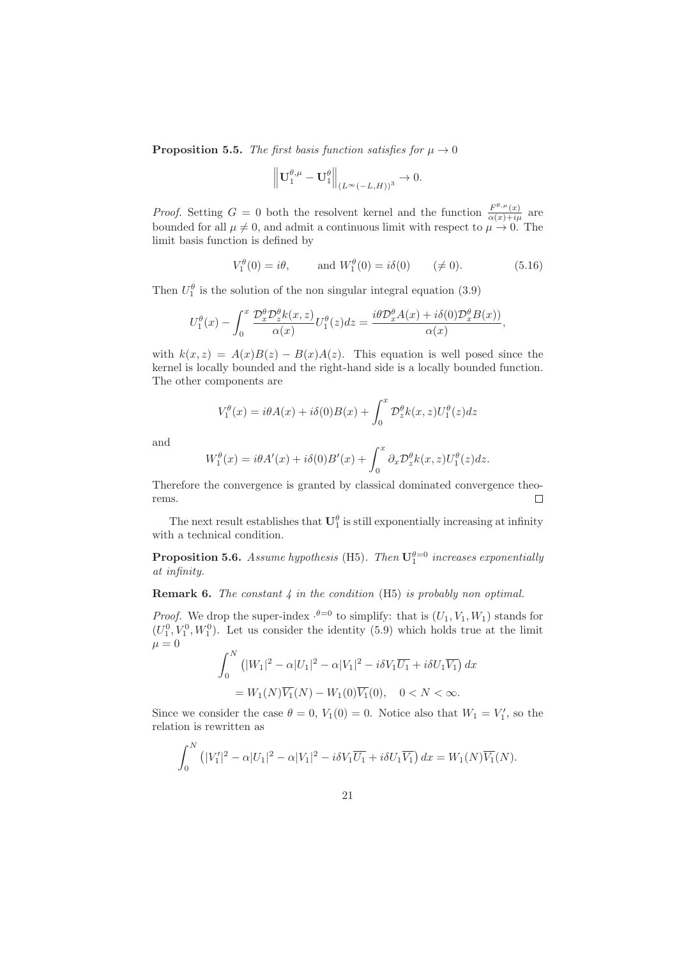**Proposition 5.5.** The first basis function satisfies for  $\mu \to 0$ 

$$
\left\| \mathbf{U}^{\theta,\mu}_1-\mathbf{U}^{\theta}_1 \right\|_{(L^{\infty}(-L,H))^3} \rightarrow 0.
$$

*Proof.* Setting  $G = 0$  both the resolvent kernel and the function  $\frac{F^{\theta,\mu}(x)}{\alpha(x)+i\mu}$  are bounded for all  $\mu \neq 0$ , and admit a continuous limit with respect to  $\mu \to 0$ . The limit basis function is defined by

$$
V_1^{\theta}(0) = i\theta, \quad \text{and } W_1^{\theta}(0) = i\delta(0) \quad (\neq 0). \tag{5.16}
$$

Then  $U_1^{\theta}$  is the solution of the non singular integral equation (3.9)

$$
U_1^{\theta}(x) - \int_0^x \frac{\mathcal{D}_x^{\theta} \mathcal{D}_z^{\theta} k(x, z)}{\alpha(x)} U_1^{\theta}(z) dz = \frac{i\theta \mathcal{D}_x^{\theta} A(x) + i\delta(0) \mathcal{D}_x^{\theta} B(x)}{\alpha(x)},
$$

with  $k(x, z) = A(x)B(z) - B(x)A(z)$ . This equation is well posed since the kernel is locally bounded and the right-hand side is a locally bounded function. The other components are

$$
V_1^{\theta}(x) = i\theta A(x) + i\delta(0)B(x) + \int_0^x \mathcal{D}_z^{\theta} k(x, z) U_1^{\theta}(z) dz
$$

and

$$
W_1^{\theta}(x) = i\theta A'(x) + i\delta(0)B'(x) + \int_0^x \partial_x \mathcal{D}_z^{\theta} k(x, z) U_1^{\theta}(z) dz.
$$

Therefore the convergence is granted by classical dominated convergence theorems.  $\Box$ 

The next result establishes that  $\mathbf{U}_1^{\theta}$  is still exponentially increasing at infinity with a technical condition.

**Proposition 5.6.** Assume hypothesis (H5). Then  $\mathbf{U}_1^{\theta=0}$  increases exponentially at infinity.

**Remark 6.** The constant  $\downarrow$  in the condition (H5) is probably non optimal.

*Proof.* We drop the super-index  $\cdot^{\theta=0}$  to simplify: that is  $(U_1, V_1, W_1)$  stands for  $(U_1^0, V_1^0, W_1^0)$ . Let us consider the identity (5.9) which holds true at the limit  $\mu = 0$ 

$$
\int_0^N \left( |W_1|^2 - \alpha |U_1|^2 - \alpha |V_1|^2 - i \delta V_1 \overline{U_1} + i \delta U_1 \overline{V_1} \right) dx
$$
  
=  $W_1(N) \overline{V_1}(N) - W_1(0) \overline{V_1}(0), \quad 0 < N < \infty.$ 

Since we consider the case  $\theta = 0$ ,  $V_1(0) = 0$ . Notice also that  $W_1 = V'_1$ , so the relation is rewritten as

$$
\int_0^N \left( |V_1'|^2 - \alpha |U_1|^2 - \alpha |V_1|^2 - i \delta V_1 \overline{U_1} + i \delta U_1 \overline{V_1} \right) dx = W_1(N) \overline{V_1}(N).
$$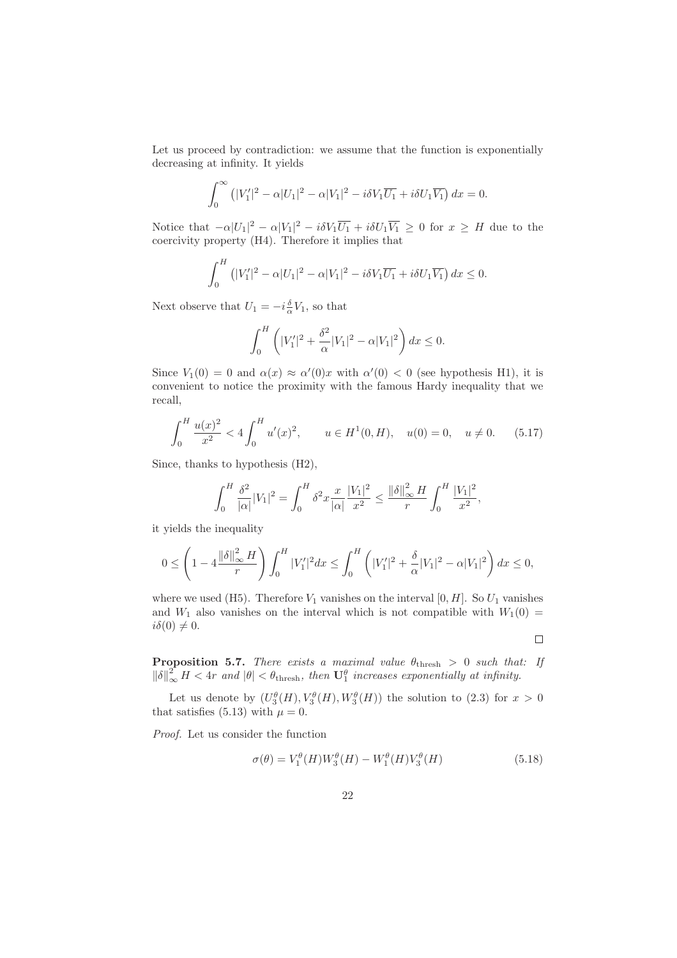Let us proceed by contradiction: we assume that the function is exponentially decreasing at infinity. It yields

$$
\int_0^\infty \left( |V_1'|^2 - \alpha |U_1|^2 - \alpha |V_1|^2 - i \delta V_1 \overline{U_1} + i \delta U_1 \overline{V_1} \right) dx = 0.
$$

Notice that  $-\alpha |U_1|^2 - \alpha |V_1|^2 - i \delta V_1 \overline{U_1} + i \delta U_1 \overline{V_1} \ge 0$  for  $x \ge H$  due to the coercivity property (H4). Therefore it implies that

$$
\int_0^H \left( |V_1'|^2 - \alpha |U_1|^2 - \alpha |V_1|^2 - i \delta V_1 \overline{U_1} + i \delta U_1 \overline{V_1} \right) dx \le 0.
$$

Next observe that  $U_1 = -i\frac{\delta}{\alpha}V_1$ , so that

$$
\int_0^H \left( |V_1'|^2 + \frac{\delta^2}{\alpha}|V_1|^2 - \alpha |V_1|^2 \right) dx \le 0.
$$

Since  $V_1(0) = 0$  and  $\alpha(x) \approx \alpha'(0)x$  with  $\alpha'(0) < 0$  (see hypothesis H1), it is convenient to notice the proximity with the famous Hardy inequality that we recall,

$$
\int_0^H \frac{u(x)^2}{x^2} < 4 \int_0^H u'(x)^2, \qquad u \in H^1(0, H), \quad u(0) = 0, \quad u \neq 0. \tag{5.17}
$$

Since, thanks to hypothesis (H2),

$$
\int_0^H \frac{\delta^2}{|\alpha|} |V_1|^2 = \int_0^H \delta^2 x \frac{x}{|\alpha|} \frac{|V_1|^2}{x^2} \le \frac{\|\delta\|_{\infty}^2 H}{r} \int_0^H \frac{|V_1|^2}{x^2},
$$

it yields the inequality

$$
0 \le \left(1 - 4\frac{\|\delta\|_{\infty}^2 H}{r}\right) \int_0^H |V_1'|^2 dx \le \int_0^H \left(|V_1'|^2 + \frac{\delta}{\alpha}|V_1|^2 - \alpha|V_1|^2\right) dx \le 0,
$$

where we used (H5). Therefore  $V_1$  vanishes on the interval [0, H]. So  $U_1$  vanishes and  $W_1$  also vanishes on the interval which is not compatible with  $W_1(0)$  =  $i\delta(0) \neq 0.$ 

 $\Box$ 

**Proposition 5.7.** There exists a maximal value  $\theta_{\text{thresh}} > 0$  such that: If  $\|\delta\|_{\infty}^2 H < 4r$  and  $|\theta| < \theta_{\text{thresh}}$ , then  $\mathbf{U}_1^{\theta}$  increases exponentially at infinity.

Let us denote by  $(U_3^{\theta}(H), V_3^{\theta}(H), W_3^{\theta}(H))$  the solution to (2.3) for  $x > 0$ that satisfies (5.13) with  $\mu = 0$ .

Proof. Let us consider the function

$$
\sigma(\theta) = V_1^{\theta}(H)W_3^{\theta}(H) - W_1^{\theta}(H)V_3^{\theta}(H)
$$
\n(5.18)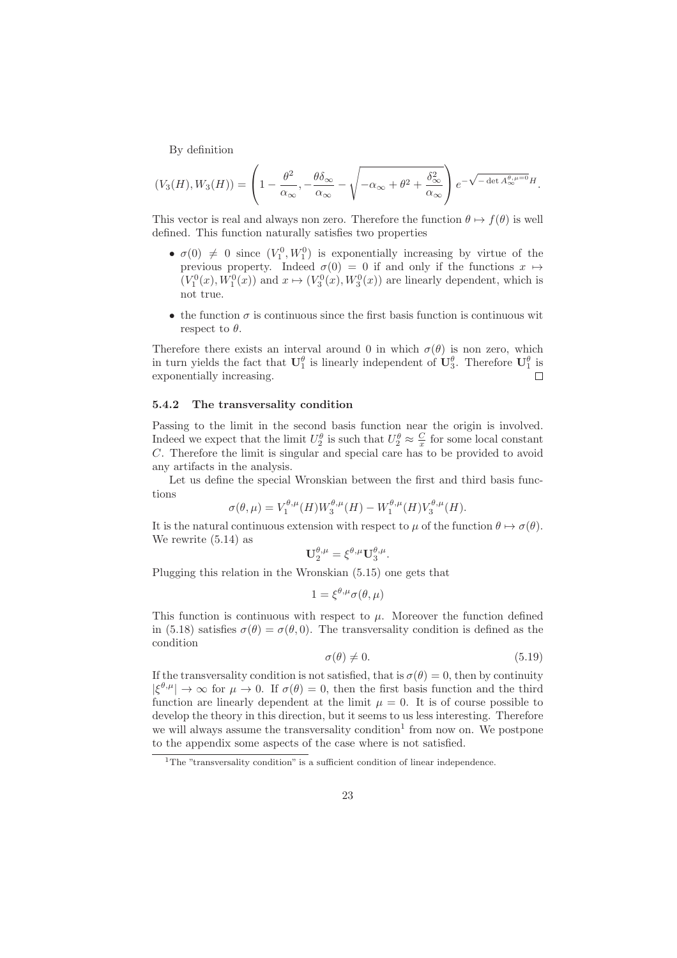By definition

$$
(V_3(H), W_3(H)) = \left(1 - \frac{\theta^2}{\alpha_{\infty}}, -\frac{\theta \delta_{\infty}}{\alpha_{\infty}} - \sqrt{-\alpha_{\infty} + \theta^2 + \frac{\delta_{\infty}^2}{\alpha_{\infty}}}\right) e^{-\sqrt{-\det A_{\infty}^{\theta, \mu=0}}H}.
$$

This vector is real and always non zero. Therefore the function  $\theta \mapsto f(\theta)$  is well defined. This function naturally satisfies two properties

- $\sigma(0) \neq 0$  since  $(V_1^0, W_1^0)$  is exponentially increasing by virtue of the previous property. Indeed  $\sigma(0) = 0$  if and only if the functions  $x \mapsto$  $(V_1^0(x), W_1^0(x))$  and  $x \mapsto (V_3^0(x), W_3^0(x))$  are linearly dependent, which is not true.
- the function  $\sigma$  is continuous since the first basis function is continuous wit respect to  $\theta$ .

Therefore there exists an interval around 0 in which  $\sigma(\theta)$  is non zero, which in turn yields the fact that  $\mathbf{U}_1^{\theta}$  is linearly independent of  $\mathbf{U}_3^{\theta}$ . Therefore  $\mathbf{U}_1^{\theta}$  is  $\Box$ exponentially increasing.

#### 5.4.2 The transversality condition

Passing to the limit in the second basis function near the origin is involved. Indeed we expect that the limit  $U_2^{\theta}$  is such that  $U_2^{\theta} \approx \frac{C}{x}$  for some local constant C. Therefore the limit is singular and special care has to be provided to avoid any artifacts in the analysis.

Let us define the special Wronskian between the first and third basis functions

$$
\sigma(\theta,\mu) = V_1^{\theta,\mu}(H)W_3^{\theta,\mu}(H) - W_1^{\theta,\mu}(H)V_3^{\theta,\mu}(H).
$$

It is the natural continuous extension with respect to  $\mu$  of the function  $\theta \mapsto \sigma(\theta)$ . We rewrite (5.14) as

$$
\mathbf{U}_{2}^{\theta,\mu}=\xi^{\theta,\mu}\mathbf{U}_{3}^{\theta,\mu}.
$$

Plugging this relation in the Wronskian (5.15) one gets that

$$
1 = \xi^{\theta,\mu}\sigma(\theta,\mu)
$$

This function is continuous with respect to  $\mu$ . Moreover the function defined in (5.18) satisfies  $\sigma(\theta) = \sigma(\theta, 0)$ . The transversality condition is defined as the condition

$$
\sigma(\theta) \neq 0. \tag{5.19}
$$

If the transversality condition is not satisfied, that is  $\sigma(\theta) = 0$ , then by continuity  $|\xi^{\theta,\mu}| \to \infty$  for  $\mu \to 0$ . If  $\sigma(\theta) = 0$ , then the first basis function and the third function are linearly dependent at the limit  $\mu = 0$ . It is of course possible to develop the theory in this direction, but it seems to us less interesting. Therefore we will always assume the transversality condition<sup>1</sup> from now on. We postpone to the appendix some aspects of the case where is not satisfied.

 $1$ <sup>1</sup>The "transversality condition" is a sufficient condition of linear independence.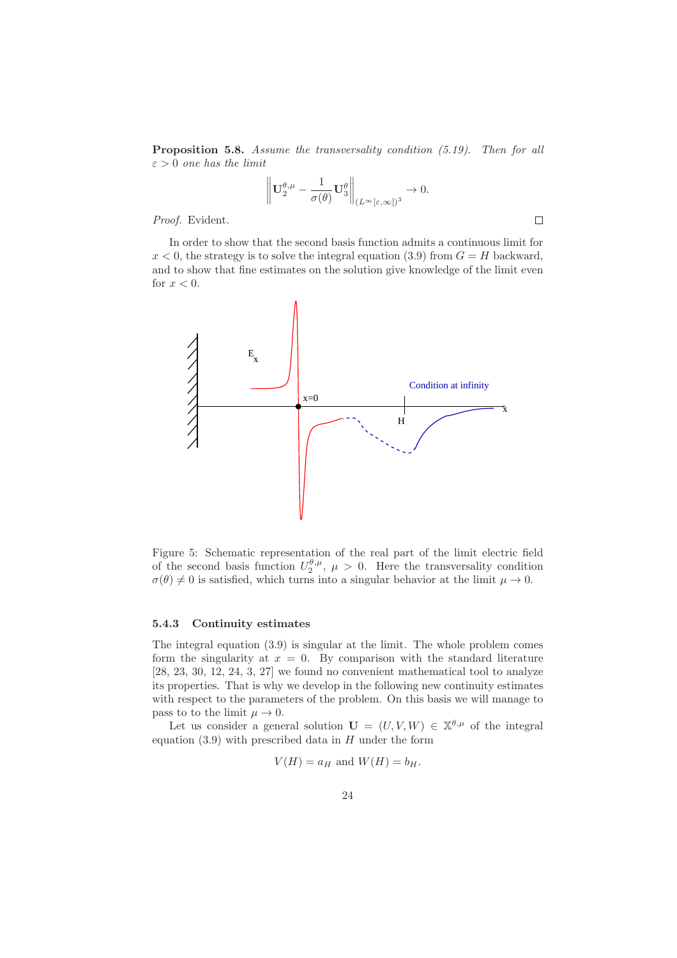Proposition 5.8. Assume the transversality condition (5.19). Then for all  $\varepsilon > 0$  one has the limit

$$
\left\| \mathbf{U}^{\theta,\mu}_2 - \frac{1}{\sigma(\theta)} \mathbf{U}^{\theta}_3 \right\|_{(L^{\infty}[\varepsilon,\infty[)^3} \to 0.
$$

 $\Box$ 

Proof. Evident.

In order to show that the second basis function admits a continuous limit for  $x < 0$ , the strategy is to solve the integral equation (3.9) from  $G = H$  backward, and to show that fine estimates on the solution give knowledge of the limit even for  $x < 0$ .

![](_page_23_Figure_4.jpeg)

Figure 5: Schematic representation of the real part of the limit electric field of the second basis function  $U_2^{\theta,\mu}$ ,  $\mu > 0$ . Here the transversality condition  $\sigma(\theta) \neq 0$  is satisfied, which turns into a singular behavior at the limit  $\mu \to 0$ .

#### 5.4.3 Continuity estimates

The integral equation (3.9) is singular at the limit. The whole problem comes form the singularity at  $x = 0$ . By comparison with the standard literature [28, 23, 30, 12, 24, 3, 27] we found no convenient mathematical tool to analyze its properties. That is why we develop in the following new continuity estimates with respect to the parameters of the problem. On this basis we will manage to pass to to the limit  $\mu \to 0$ .

Let us consider a general solution  $\mathbf{U} = (U, V, W) \in \mathbb{X}^{\theta, \mu}$  of the integral equation  $(3.9)$  with prescribed data in H under the form

$$
V(H) = a_H \text{ and } W(H) = b_H.
$$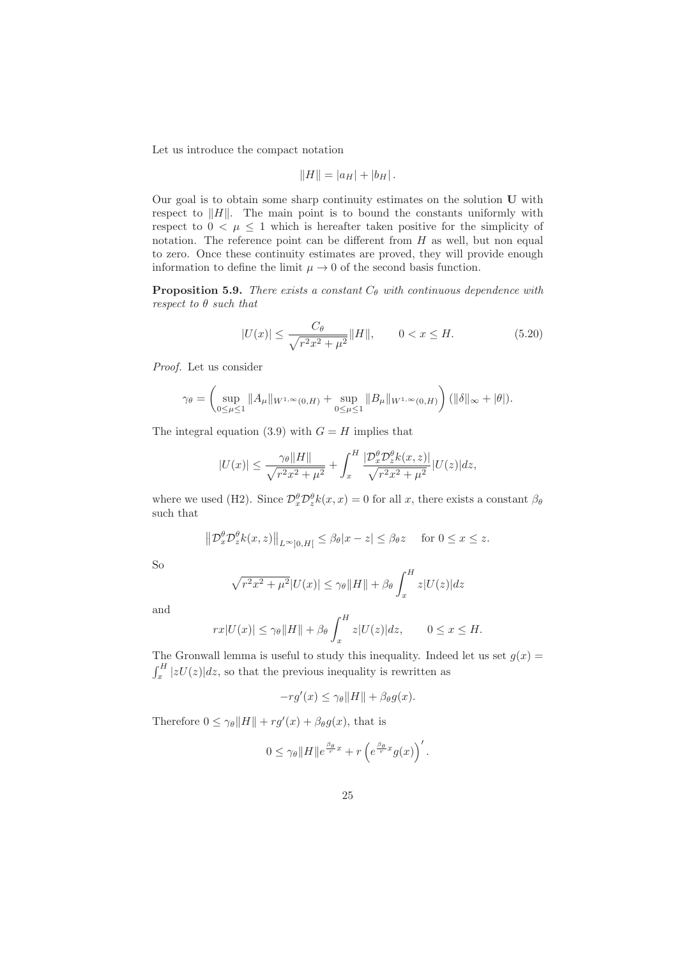Let us introduce the compact notation

$$
||H|| = |a_H| + |b_H|.
$$

Our goal is to obtain some sharp continuity estimates on the solution U with respect to  $||H||$ . The main point is to bound the constants uniformly with respect to  $0 < \mu \leq 1$  which is hereafter taken positive for the simplicity of notation. The reference point can be different from  $H$  as well, but non equal to zero. Once these continuity estimates are proved, they will provide enough information to define the limit  $\mu \to 0$  of the second basis function.

**Proposition 5.9.** There exists a constant  $C_{\theta}$  with continuous dependence with respect to θ such that

$$
|U(x)| \le \frac{C_{\theta}}{\sqrt{r^2 x^2 + \mu^2}} \|H\|, \qquad 0 < x \le H. \tag{5.20}
$$

Proof. Let us consider

$$
\gamma_{\theta} = \left(\sup_{0 \le \mu \le 1} \|A_{\mu}\|_{W^{1,\infty}(0,H)} + \sup_{0 \le \mu \le 1} \|B_{\mu}\|_{W^{1,\infty}(0,H)}\right) (\|\delta\|_{\infty} + |\theta|).
$$

The integral equation (3.9) with  $G = H$  implies that

$$
|U(x)| \le \frac{\gamma_{\theta} \|H\|}{\sqrt{r^2 x^2 + \mu^2}} + \int_x^H \frac{|\mathcal{D}_x^{\theta} \mathcal{D}_z^{\theta} k(x, z)|}{\sqrt{r^2 x^2 + \mu^2}} |U(z)| dz,
$$

where we used (H2). Since  $\mathcal{D}_x^{\theta} \mathcal{D}_z^{\theta} k(x, x) = 0$  for all x, there exists a constant  $\beta_{\theta}$ such that

$$
||\mathcal{D}_x^{\theta} \mathcal{D}_z^{\theta} k(x, z)||_{L^{\infty}[0, H]} \le \beta_{\theta} |x - z| \le \beta_{\theta} z \quad \text{ for } 0 \le x \le z.
$$

So

$$
\sqrt{r^2x^2 + \mu^2}|U(x)| \le \gamma_\theta ||H|| + \beta_\theta \int_x^H z|U(z)|dz
$$

and

$$
rx|U(x)| \leq \gamma_{\theta} ||H|| + \beta_{\theta} \int_x^H z|U(z)|dz, \qquad 0 \leq x \leq H.
$$

The Gronwall lemma is useful to study this inequality. Indeed let us set  $g(x)$  =  $\int_x^H |zU(z)|dz$ , so that the previous inequality is rewritten as

$$
-rg'(x) \le \gamma_{\theta} ||H|| + \beta_{\theta} g(x).
$$

Therefore  $0 \leq \gamma_{\theta} ||H|| + rg'(x) + \beta_{\theta} g(x)$ , that is

$$
0 \leq \gamma_{\theta} ||H|| e^{\frac{\beta_{\theta}}{r}x} + r \left( e^{\frac{\beta_{\theta}}{r}x} g(x) \right)'.
$$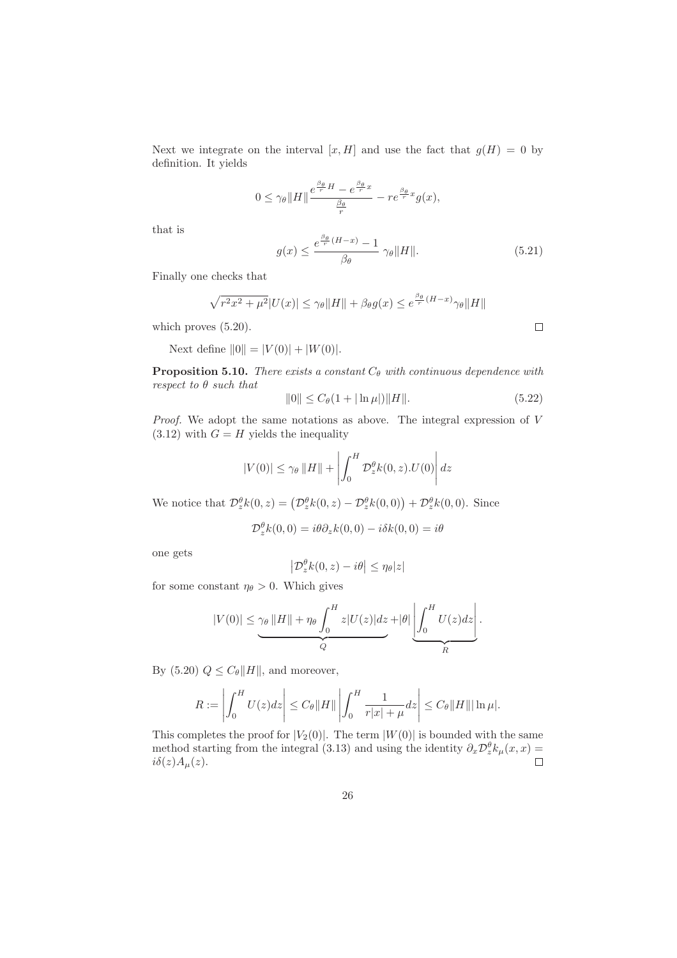Next we integrate on the interval  $[x, H]$  and use the fact that  $g(H) = 0$  by definition. It yields

$$
0 \leq \gamma_\theta \|H\| \frac{e^{\frac{\beta_\theta}{r}H}-e^{\frac{\beta_\theta}{r}x}}{\frac{\beta_\theta}{r}} - r e^{\frac{\beta_\theta}{r}x}g(x),
$$

that is

$$
g(x) \le \frac{e^{\frac{\beta_{\theta}}{r}(H-x)} - 1}{\beta_{\theta}} \gamma_{\theta} \|H\|.
$$
 (5.21)

Finally one checks that

$$
\sqrt{r^2x^2 + \mu^2}|U(x)| \le \gamma_\theta \|H\| + \beta_\theta g(x) \le e^{\frac{\beta_\theta}{r}(H-x)}\gamma_\theta\|H\|
$$

which proves  $(5.20)$ .

Next define  $||0|| = |V(0)| + |W(0)|$ .

**Proposition 5.10.** There exists a constant  $C_{\theta}$  with continuous dependence with respect to  $\theta$  such that

$$
||0|| \le C_{\theta}(1 + |\ln \mu|) ||H||. \tag{5.22}
$$

Proof. We adopt the same notations as above. The integral expression of V  $(3.12)$  with  $G = H$  yields the inequality

$$
|V(0)| \le \gamma_{\theta} ||H|| + \left| \int_0^H \mathcal{D}_z^{\theta} k(0, z) . U(0) \right| dz
$$

We notice that  $\mathcal{D}_z^{\theta} k(0, z) = (\mathcal{D}_z^{\theta} k(0, z) - \mathcal{D}_z^{\theta} k(0, 0)) + \mathcal{D}_z^{\theta} k(0, 0)$ . Since

$$
\mathcal{D}_z^{\theta}k(0,0) = i\theta\partial_z k(0,0) - i\delta k(0,0) = i\theta
$$

one gets

$$
\left|\mathcal{D}_z^{\theta}k(0,z)-i\theta\right|\leq \eta_\theta|z|
$$

for some constant  $\eta_{\theta} > 0$ . Which gives

$$
|V(0)| \leq \underbrace{\gamma_{\theta} ||H||}_{Q} + \eta_{\theta} \underbrace{\int_0^H z |U(z)| dz}_{Q} + |\theta| \underbrace{\left| \int_0^H U(z) dz \right|}_{R}.
$$

By (5.20)  $Q \leq C_{\theta} ||H||$ , and moreover,

$$
R := \left| \int_0^H U(z) dz \right| \le C_\theta \|H\| \left| \int_0^H \frac{1}{r|x| + \mu} dz \right| \le C_\theta \|H\| |\ln \mu|.
$$

This completes the proof for  $|V_2(0)|$ . The term  $|W(0)|$  is bounded with the same method starting from the integral (3.13) and using the identity  $\partial_x \mathcal{D}_z^{\theta} k_{\mu}(x,x) =$  $i\delta(z)A_\mu(z)$ .

 $\Box$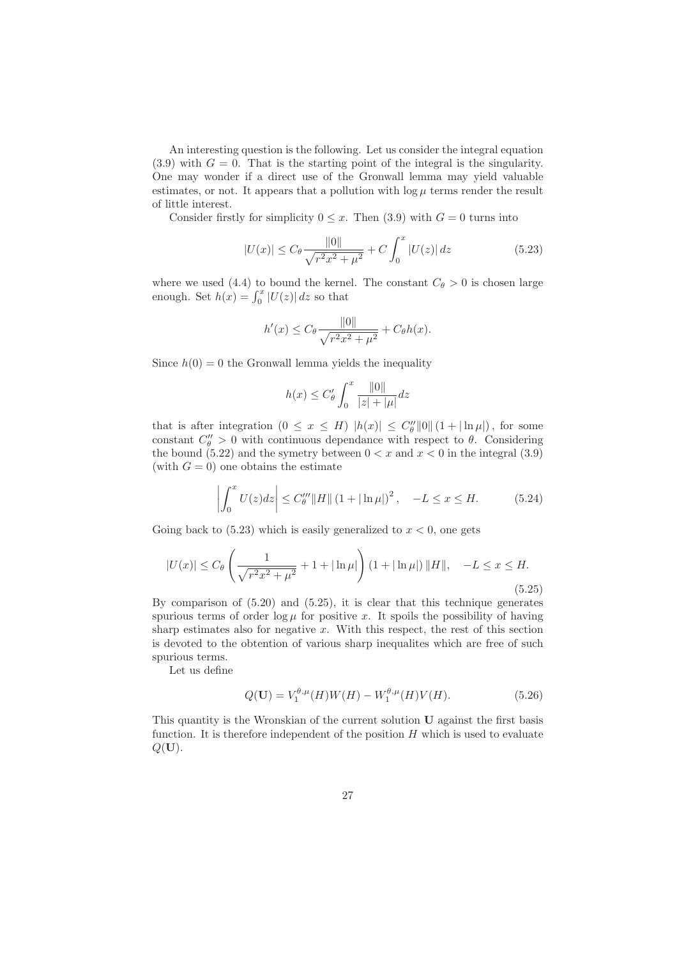An interesting question is the following. Let us consider the integral equation  $(3.9)$  with  $G = 0$ . That is the starting point of the integral is the singularity. One may wonder if a direct use of the Gronwall lemma may yield valuable estimates, or not. It appears that a pollution with  $\log \mu$  terms render the result of little interest.

Consider firstly for simplicity  $0 \leq x$ . Then (3.9) with  $G = 0$  turns into

$$
|U(x)| \le C_{\theta} \frac{\|0\|}{\sqrt{r^2 x^2 + \mu^2}} + C \int_0^x |U(z)| \, dz \tag{5.23}
$$

where we used (4.4) to bound the kernel. The constant  $C_{\theta} > 0$  is chosen large enough. Set  $h(x) = \int_0^x |U(z)| dz$  so that

$$
h'(x) \le C_{\theta} \frac{\|0\|}{\sqrt{r^2 x^2 + \mu^2}} + C_{\theta} h(x).
$$

Since  $h(0) = 0$  the Gronwall lemma yields the inequality

$$
h(x)\leq C_\theta'\int_0^x\frac{\|0\|}{|z|+|\mu|}dz
$$

that is after integration  $(0 \le x \le H)$   $|h(x)| \le C_{\theta}^{\prime\prime} ||0|| (1 + |\ln \mu|)$ , for some constant  $C''_{\theta} > 0$  with continuous dependance with respect to  $\theta$ . Considering the bound (5.22) and the symetry between  $0 < x$  and  $x < 0$  in the integral (3.9) (with  $G = 0$ ) one obtains the estimate

$$
\left| \int_0^x U(z)dz \right| \le C_{\theta}''' \|H\| \left(1 + |\ln \mu|\right)^2, \quad -L \le x \le H. \tag{5.24}
$$

Going back to  $(5.23)$  which is easily generalized to  $x < 0$ , one gets

$$
|U(x)| \le C_{\theta} \left( \frac{1}{\sqrt{r^2 x^2 + \mu^2}} + 1 + |\ln \mu| \right) (1 + |\ln \mu|) ||H||, -L \le x \le H.
$$
\n(5.25)

By comparison of (5.20) and (5.25), it is clear that this technique generates spurious terms of order  $\log \mu$  for positive x. It spoils the possibility of having sharp estimates also for negative  $x$ . With this respect, the rest of this section is devoted to the obtention of various sharp inequalites which are free of such spurious terms.

Let us define

$$
Q(\mathbf{U}) = V_1^{\theta,\mu}(H)W(H) - W_1^{\theta,\mu}(H)V(H). \tag{5.26}
$$

This quantity is the Wronskian of the current solution U against the first basis function. It is therefore independent of the position  $H$  which is used to evaluate  $Q(\mathbf{U}).$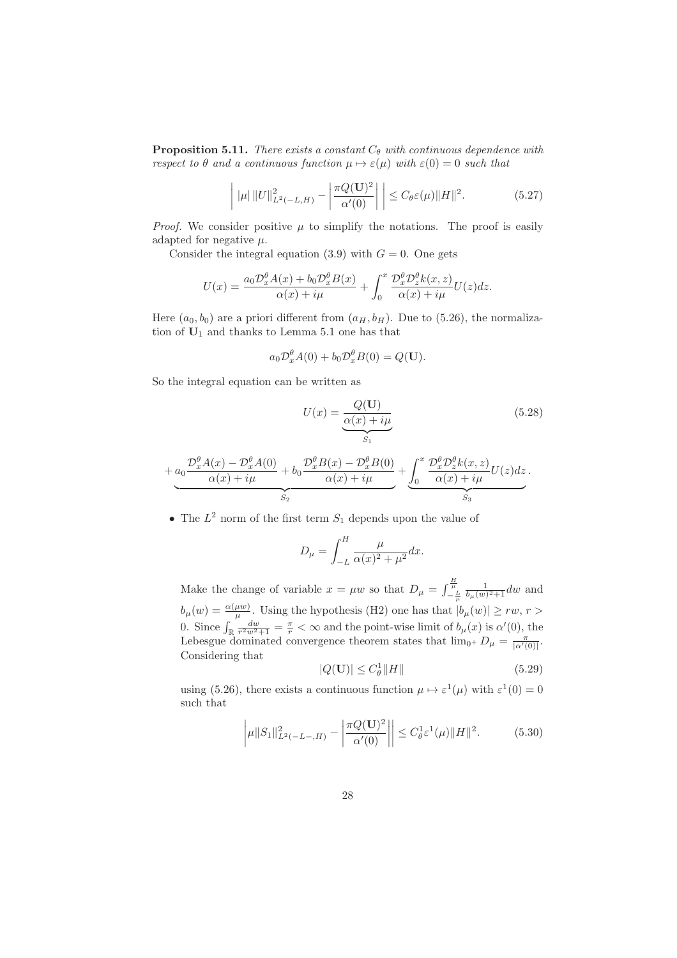**Proposition 5.11.** There exists a constant  $C_{\theta}$  with continuous dependence with respect to  $\theta$  and a continuous function  $\mu \mapsto \varepsilon(\mu)$  with  $\varepsilon(0) = 0$  such that

$$
\left| \|\mu\| \|U\|_{L^2(-L,H)}^2 - \left| \frac{\pi Q(\mathbf{U})^2}{\alpha'(0)} \right| \right| \le C_\theta \varepsilon(\mu) \|H\|^2. \tag{5.27}
$$

*Proof.* We consider positive  $\mu$  to simplify the notations. The proof is easily adapted for negative  $\mu$ .

Consider the integral equation (3.9) with  $G = 0$ . One gets

$$
U(x) = \frac{a_0 \mathcal{D}_x^{\theta} A(x) + b_0 \mathcal{D}_x^{\theta} B(x)}{\alpha(x) + i\mu} + \int_0^x \frac{\mathcal{D}_x^{\theta} \mathcal{D}_z^{\theta} k(x, z)}{\alpha(x) + i\mu} U(z) dz.
$$

Here  $(a_0, b_0)$  are a priori different from  $(a_H, b_H)$ . Due to (5.26), the normalization of  $U_1$  and thanks to Lemma 5.1 one has that

$$
a_0 \mathcal{D}_x^{\theta} A(0) + b_0 \mathcal{D}_x^{\theta} B(0) = Q(\mathbf{U}).
$$

So the integral equation can be written as

$$
U(x) = \underbrace{\frac{Q(\mathbf{U})}{\alpha(x) + i\mu}}_{S_1}
$$
\n(5.28)

$$
+\underbrace{a_0\frac{\mathcal{D}_x^{\theta}A(x)-\mathcal{D}_x^{\theta}A(0)}{\alpha(x)+i\mu}+b_0\frac{\mathcal{D}_x^{\theta}B(x)-\mathcal{D}_x^{\theta}B(0)}{\alpha(x)+i\mu}}_{S_2}+\underbrace{\int_0^x\frac{\mathcal{D}_x^{\theta}\mathcal{D}_z^{\theta}k(x,z)}{\alpha(x)+i\mu}U(z)dz}_{S_3}.
$$

• The  $L^2$  norm of the first term  $S_1$  depends upon the value of

$$
D_{\mu} = \int_{-L}^{H} \frac{\mu}{\alpha(x)^2 + \mu^2} dx.
$$

Make the change of variable  $x = \mu w$  so that  $D_{\mu} = \int_{-\frac{L}{\mu}}^{\frac{H}{\mu}} \frac{1}{b_{\mu}(w)^2 + 1} dw$  and  $b_{\mu}(w) = \frac{\alpha(\mu w)}{\mu}$ . Using the hypothesis (H2) one has that  $|b_{\mu}(w)| \ge rw, r >$ 0. Since  $\int_{\mathbb{R}} \frac{dw}{r^2 w^2 + 1} = \frac{\pi}{r} < \infty$  and the point-wise limit of  $b_{\mu}(x)$  is  $\alpha'(0)$ , the Lebesgue dominated convergence theorem states that  $\lim_{0^+} D_\mu = \frac{\pi}{|\alpha'(0)|}$ . Considering that

$$
|Q(\mathbf{U})| \le C_{\theta}^1 ||H|| \tag{5.29}
$$

using (5.26), there exists a continuous function  $\mu \mapsto \varepsilon^1(\mu)$  with  $\varepsilon^1(0) = 0$ such that

$$
\left| \mu \|S_1\|_{L^2(-L-,H)}^2 - \left| \frac{\pi Q(\mathbf{U})^2}{\alpha'(0)} \right| \right| \le C_\theta^1 \varepsilon^1(\mu) \|H\|^2. \tag{5.30}
$$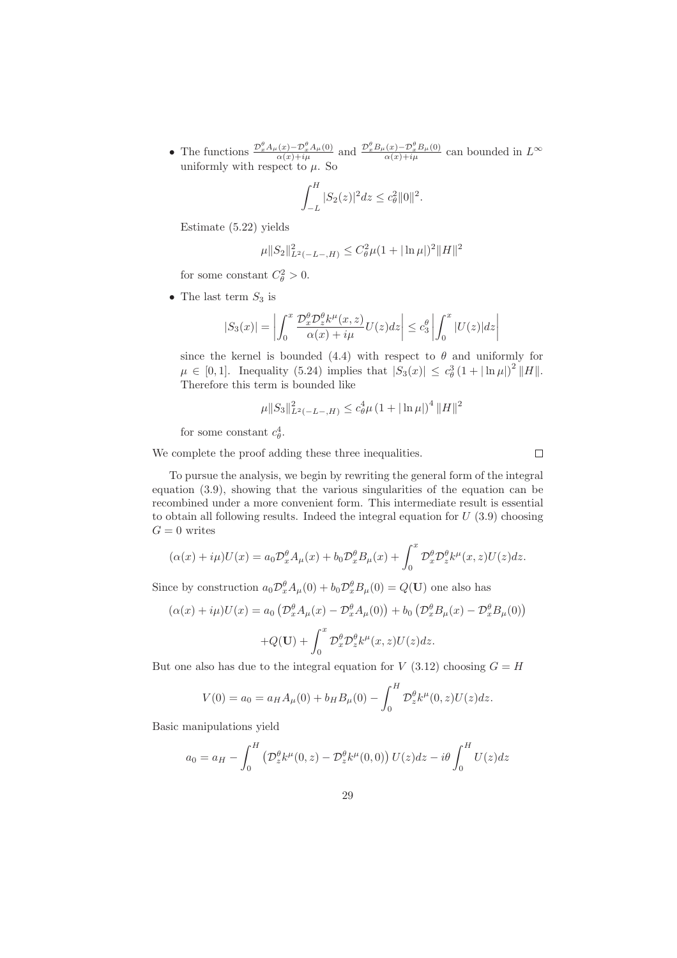• The functions  $\frac{\mathcal{D}_{x}^{\theta} A_{\mu}(x) - \mathcal{D}_{x}^{\theta} A_{\mu}(0)}{\alpha(x) + i\mu}$  and  $\frac{\mathcal{D}_{x}^{\theta} B_{\mu}(x) - \mathcal{D}_{x}^{\theta} B_{\mu}(0)}{\alpha(x) + i\mu}$  can bounded in  $L^{\infty}$ uniformly with respect to  $\mu$ . So

$$
\int_{-L}^{H} |S_2(z)|^2 dz \le c_\theta^2 \|0\|^2.
$$

Estimate (5.22) yields

$$
\mu \|S_2\|_{L^2(-L-,H)}^2 \le C_\theta^2 \mu (1+|\ln \mu|)^2 \|H\|^2
$$

for some constant  $C_{\theta}^2 > 0$ .

• The last term  $S_3$  is

$$
|S_3(x)| = \left| \int_0^x \frac{\mathcal{D}_x^{\theta} \mathcal{D}_z^{\theta} k^{\mu}(x, z)}{\alpha(x) + i\mu} U(z) dz \right| \le c_3^{\theta} \left| \int_0^x |U(z)| dz \right|
$$

since the kernel is bounded (4.4) with respect to  $\theta$  and uniformly for  $\mu \in [0, 1].$  Inequality (5.24) implies that  $|S_3(x)| \leq c_\theta^3 (1 + |\ln \mu|)^2 ||H||.$ Therefore this term is bounded like

$$
\mu \|S_3\|_{L^2(-L-,H)}^2 \le c_\theta^4 \mu \left(1 + |\ln \mu|\right)^4 \|H\|^2
$$

for some constant  $c_{\theta}^4$ .

We complete the proof adding these three inequalities.

 $\Box$ 

To pursue the analysis, we begin by rewriting the general form of the integral equation (3.9), showing that the various singularities of the equation can be recombined under a more convenient form. This intermediate result is essential to obtain all following results. Indeed the integral equation for  $U(3.9)$  choosing  $G=0$  writes

$$
(\alpha(x) + i\mu)U(x) = a_0 \mathcal{D}_x^{\theta} A_{\mu}(x) + b_0 \mathcal{D}_x^{\theta} B_{\mu}(x) + \int_0^x \mathcal{D}_x^{\theta} \mathcal{D}_z^{\theta} k^{\mu}(x, z) U(z) dz.
$$

Since by construction  $a_0 \mathcal{D}_x^{\theta} A_{\mu}(0) + b_0 \mathcal{D}_x^{\theta} B_{\mu}(0) = Q(\mathbf{U})$  one also has

$$
(\alpha(x) + i\mu)U(x) = a_0 \left( \mathcal{D}_x^{\theta} A_{\mu}(x) - \mathcal{D}_x^{\theta} A_{\mu}(0) \right) + b_0 \left( \mathcal{D}_x^{\theta} B_{\mu}(x) - \mathcal{D}_x^{\theta} B_{\mu}(0) \right)
$$

$$
+ Q(\mathbf{U}) + \int_0^x \mathcal{D}_x^{\theta} \mathcal{D}_z^{\theta} k^{\mu}(x, z) U(z) dz.
$$

But one also has due to the integral equation for  $V(3.12)$  choosing  $G = H$ 

$$
V(0) = a_0 = a_H A_\mu(0) + b_H B_\mu(0) - \int_0^H \mathcal{D}_z^\theta k^\mu(0, z) U(z) dz.
$$

Basic manipulations yield

$$
a_0 = a_H - \int_0^H \left( \mathcal{D}_z^{\theta} k^{\mu}(0, z) - \mathcal{D}_z^{\theta} k^{\mu}(0, 0) \right) U(z) dz - i\theta \int_0^H U(z) dz
$$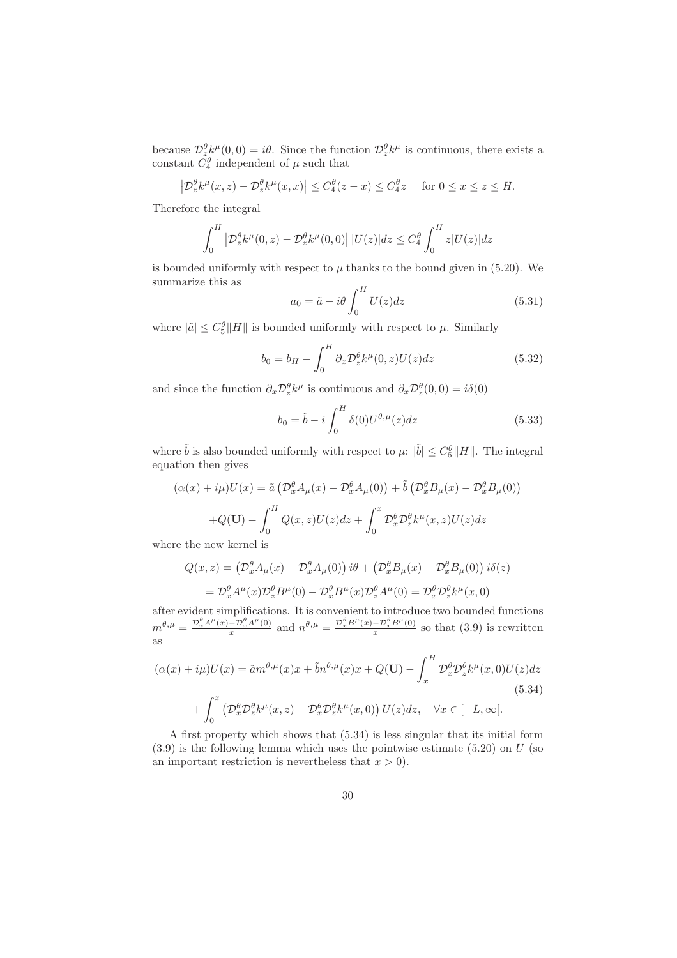because  $\mathcal{D}_{z_0}^{\theta} k^{\mu}(0,0) = i\theta$ . Since the function  $\mathcal{D}_z^{\theta} k^{\mu}$  is continuous, there exists a constant  $C_4^{\theta}$  independent of  $\mu$  such that

$$
\left|\mathcal{D}_z^{\theta}k^{\mu}(x,z)-\mathcal{D}_z^{\theta}k^{\mu}(x,x)\right|\leq C_4^{\theta}(z-x)\leq C_4^{\theta}z \quad \text{ for } 0\leq x\leq z\leq H.
$$

Therefore the integral

$$
\int_0^H \left| \mathcal{D}_z^{\theta} k^{\mu}(0, z) - \mathcal{D}_z^{\theta} k^{\mu}(0, 0) \right| |U(z)| dz \le C_4^{\theta} \int_0^H z |U(z)| dz
$$

is bounded uniformly with respect to  $\mu$  thanks to the bound given in (5.20). We summarize this as

$$
a_0 = \tilde{a} - i\theta \int_0^H U(z)dz
$$
 (5.31)

where  $|\tilde{a}| \leq C_5^{\theta} ||H||$  is bounded uniformly with respect to  $\mu$ . Similarly

$$
b_0 = b_H - \int_0^H \partial_x \mathcal{D}_z^{\theta} k^{\mu}(0, z) U(z) dz
$$
\n(5.32)

and since the function  $\partial_x \mathcal{D}_{z}^{\theta} k^{\mu}$  is continuous and  $\partial_x \mathcal{D}_{z}^{\theta}(0,0) = i\delta(0)$ 

$$
b_0 = \tilde{b} - i \int_0^H \delta(0) U^{\theta,\mu}(z) dz
$$
\n(5.33)

where  $\tilde{b}$  is also bounded uniformly with respect to  $\mu$ :  $|\tilde{b}| \leq C_6^{\theta} ||H||$ . The integral equation then gives

$$
(\alpha(x) + i\mu)U(x) = \tilde{a} \left( \mathcal{D}_x^{\theta} A_{\mu}(x) - \mathcal{D}_x^{\theta} A_{\mu}(0) \right) + \tilde{b} \left( \mathcal{D}_x^{\theta} B_{\mu}(x) - \mathcal{D}_x^{\theta} B_{\mu}(0) \right)
$$

$$
+ Q(\mathbf{U}) - \int_0^H Q(x, z)U(z)dz + \int_0^x \mathcal{D}_x^{\theta} \mathcal{D}_z^{\theta} k^{\mu}(x, z)U(z)dz
$$

where the new kernel is

$$
Q(x, z) = \left(\mathcal{D}_x^{\theta} A_{\mu}(x) - \mathcal{D}_x^{\theta} A_{\mu}(0)\right) i\theta + \left(\mathcal{D}_x^{\theta} B_{\mu}(x) - \mathcal{D}_x^{\theta} B_{\mu}(0)\right) i\delta(z)
$$

$$
= \mathcal{D}_x^{\theta} A^{\mu}(x) \mathcal{D}_z^{\theta} B^{\mu}(0) - \mathcal{D}_x^{\theta} B^{\mu}(x) \mathcal{D}_z^{\theta} A^{\mu}(0) = \mathcal{D}_x^{\theta} \mathcal{D}_z^{\theta} k^{\mu}(x, 0)
$$

after evident simplifications. It is convenient to introduce two bounded functions  $m^{\theta,\mu} = \frac{\mathcal{D}_x^{\theta} A^{\mu}(x) - \mathcal{D}_x^{\theta} A^{\mu}(0)}{x}$  $-\frac{\mathcal{D}_x^{\theta} A^{\mu}(0)}{x}$  and  $n^{\theta,\mu} = \frac{\mathcal{D}_x^{\theta} B^{\mu}(x) - \mathcal{D}_x^{\theta} B^{\mu}(0)}{x}$  so that (3.9) is rewritten as

$$
(\alpha(x) + i\mu)U(x) = \tilde{a}m^{\theta,\mu}(x)x + \tilde{b}n^{\theta,\mu}(x)x + Q(\mathbf{U}) - \int_x^H \mathcal{D}_x^{\theta} \mathcal{D}_z^{\theta} k^{\mu}(x,0)U(z)dz
$$
\n
$$
+ \int_0^x \left( \mathcal{D}_x^{\theta} \mathcal{D}_z^{\theta} k^{\mu}(x,z) - \mathcal{D}_x^{\theta} \mathcal{D}_z^{\theta} k^{\mu}(x,0) \right) U(z)dz, \quad \forall x \in [-L, \infty].
$$
\n(5.34)

A first property which shows that (5.34) is less singular that its initial form  $(3.9)$  is the following lemma which uses the pointwise estimate  $(5.20)$  on U (so an important restriction is nevertheless that  $x > 0$ .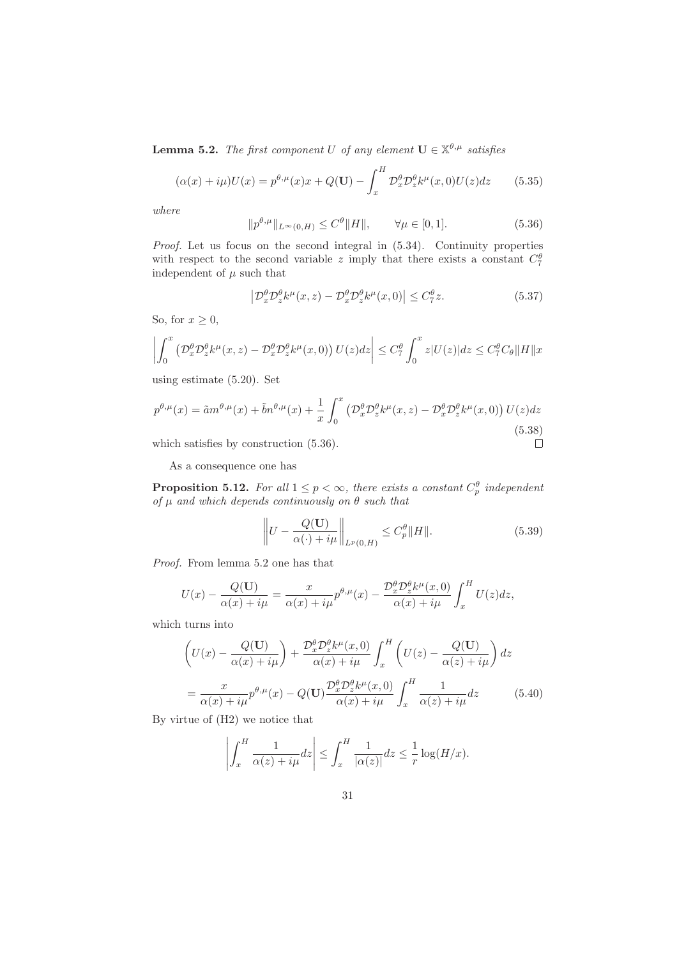**Lemma 5.2.** The first component U of any element  $\mathbf{U} \in \mathbb{X}^{\theta,\mu}$  satisfies

$$
(\alpha(x) + i\mu)U(x) = p^{\theta,\mu}(x)x + Q(\mathbf{U}) - \int_x^H \mathcal{D}_x^{\theta} \mathcal{D}_z^{\theta} k^{\mu}(x,0)U(z)dz \qquad (5.35)
$$

where

$$
||p^{\theta,\mu}||_{L^{\infty}(0,H)} \le C^{\theta}||H||, \qquad \forall \mu \in [0,1].
$$
 (5.36)

Proof. Let us focus on the second integral in (5.34). Continuity properties with respect to the second variable z imply that there exists a constant  $C_7^{\theta}$ independent of  $\mu$  such that

$$
\left| \mathcal{D}_x^{\theta} \mathcal{D}_z^{\theta} k^{\mu}(x, z) - \mathcal{D}_x^{\theta} \mathcal{D}_z^{\theta} k^{\mu}(x, 0) \right| \le C_7^{\theta} z. \tag{5.37}
$$

So, for  $x \geq 0$ ,

$$
\left| \int_0^x \left( \mathcal{D}_x^{\theta} \mathcal{D}_z^{\theta} k^{\mu}(x, z) - \mathcal{D}_x^{\theta} \mathcal{D}_z^{\theta} k^{\mu}(x, 0) \right) U(z) dz \right| \leq C_7^{\theta} \int_0^x z |U(z)| dz \leq C_7^{\theta} C_{\theta} \|H\| x
$$

using estimate (5.20). Set

$$
p^{\theta,\mu}(x) = \tilde{a}m^{\theta,\mu}(x) + \tilde{b}n^{\theta,\mu}(x) + \frac{1}{x} \int_0^x \left( \mathcal{D}_x^{\theta} \mathcal{D}_z^{\theta} k^{\mu}(x,z) - \mathcal{D}_x^{\theta} \mathcal{D}_z^{\theta} k^{\mu}(x,0) \right) U(z) dz
$$
\nwhich satisfies by construction (5.36).

\n
$$
\Box
$$

which satisfies by construction (5.36).

As a consequence one has

**Proposition 5.12.** For all  $1 \leq p < \infty$ , there exists a constant  $C_p^{\theta}$  independent of  $\mu$  and which depends continuously on  $\theta$  such that

$$
\left\| U - \frac{Q(\mathbf{U})}{\alpha(\cdot) + i\mu} \right\|_{L^p(0, H)} \le C_p^{\theta} \|H\|.
$$
\n(5.39)

Proof. From lemma 5.2 one has that

$$
U(x) - \frac{Q(\mathbf{U})}{\alpha(x) + i\mu} = \frac{x}{\alpha(x) + i\mu} p^{\theta,\mu}(x) - \frac{\mathcal{D}_x^{\theta} \mathcal{D}_z^{\theta} k^{\mu}(x,0)}{\alpha(x) + i\mu} \int_x^H U(z) dz,
$$

which turns into

$$
\left(U(x) - \frac{Q(\mathbf{U})}{\alpha(x) + i\mu}\right) + \frac{\mathcal{D}_x^{\theta} \mathcal{D}_z^{\theta} k^{\mu}(x,0)}{\alpha(x) + i\mu} \int_x^H \left(U(z) - \frac{Q(\mathbf{U})}{\alpha(z) + i\mu}\right) dz
$$

$$
= \frac{x}{\alpha(x) + i\mu} p^{\theta,\mu}(x) - Q(\mathbf{U}) \frac{\mathcal{D}_x^{\theta} \mathcal{D}_z^{\theta} k^{\mu}(x,0)}{\alpha(x) + i\mu} \int_x^H \frac{1}{\alpha(z) + i\mu} dz \tag{5.40}
$$

By virtue of (H2) we notice that

$$
\left| \int_x^H \frac{1}{\alpha(z) + i\mu} dz \right| \leq \int_x^H \frac{1}{|\alpha(z)|} dz \leq \frac{1}{r} \log(H/x).
$$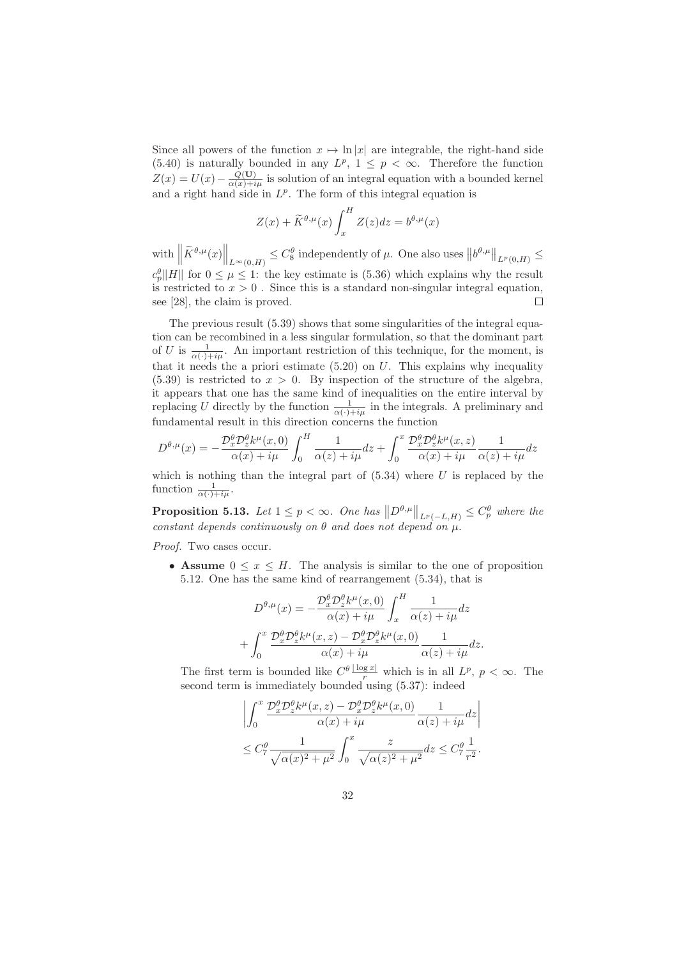Since all powers of the function  $x \mapsto \ln |x|$  are integrable, the right-hand side (5.40) is naturally bounded in any  $L^p$ ,  $1 \leq p < \infty$ . Therefore the function  $Z(x) = U(x) - \frac{\tilde{Q}(U)}{\alpha(x) + i\mu}$  is solution of an integral equation with a bounded kernel and a right hand side in  $L^p$ . The form of this integral equation is

$$
Z(x) + \widetilde{K}^{\theta,\mu}(x) \int_x^H Z(z) dz = b^{\theta,\mu}(x)
$$

with  $\left\|\widetilde{K}^{\theta,\mu}(x)\right\|_{L^{\infty}(0,H)} \leq C_8^{\theta}$  independently of  $\mu$ . One also uses  $||b^{\theta,\mu}||_{L^p(0,H)} \leq$  $c_p^{\theta} ||H||$  for  $0 \leq \mu \leq 1$ : the key estimate is (5.36) which explains why the result is restricted to  $x > 0$ . Since this is a standard non-singular integral equation, see [28], the claim is proved.  $\Box$ 

The previous result (5.39) shows that some singularities of the integral equation can be recombined in a less singular formulation, so that the dominant part of U is  $\frac{1}{\alpha(\cdot)+i\mu}$ . An important restriction of this technique, for the moment, is that it needs the a priori estimate  $(5.20)$  on  $U$ . This explains why inequality  $(5.39)$  is restricted to  $x > 0$ . By inspection of the structure of the algebra, it appears that one has the same kind of inequalities on the entire interval by replacing U directly by the function  $\frac{1}{\alpha(\cdot)+i\mu}$  in the integrals. A preliminary and fundamental result in this direction concerns the function

$$
D^{\theta,\mu}(x) = -\frac{\mathcal{D}_x^{\theta} \mathcal{D}_z^{\theta} k^{\mu}(x,0)}{\alpha(x) + i\mu} \int_0^H \frac{1}{\alpha(z) + i\mu} dz + \int_0^x \frac{\mathcal{D}_x^{\theta} \mathcal{D}_z^{\theta} k^{\mu}(x,z)}{\alpha(x) + i\mu} \frac{1}{\alpha(z) + i\mu} dz
$$

which is nothing than the integral part of  $(5.34)$  where U is replaced by the function  $\frac{1}{\alpha(\cdot)+i\mu}$ .

**Proposition 5.13.** Let  $1 \leq p < \infty$ . One has  $||D^{\theta,\mu}||_{L^p(-L,H)} \leq C_p^{\theta}$  where the constant depends continuously on  $\theta$  and does not depend on  $\mu$ .

Proof. Two cases occur.

• Assume  $0 \leq x \leq H$ . The analysis is similar to the one of proposition 5.12. One has the same kind of rearrangement (5.34), that is

$$
D^{\theta,\mu}(x) = -\frac{\mathcal{D}_x^{\theta} \mathcal{D}_z^{\theta} k^{\mu}(x,0)}{\alpha(x) + i\mu} \int_x^H \frac{1}{\alpha(z) + i\mu} dz
$$

$$
+ \int_0^x \frac{\mathcal{D}_x^{\theta} \mathcal{D}_z^{\theta} k^{\mu}(x,z) - \mathcal{D}_x^{\theta} \mathcal{D}_z^{\theta} k^{\mu}(x,0)}{\alpha(x) + i\mu} \frac{1}{\alpha(z) + i\mu} dz.
$$

The first term is bounded like  $C^{\theta} \frac{|\log x|}{r}$  which is in all  $L^p$ ,  $p < \infty$ . The second term is immediately bounded using  $(5.37)$ : indeed

$$
\left| \int_0^x \frac{\mathcal{D}_x^{\theta} \mathcal{D}_z^{\theta} k^{\mu}(x, z) - \mathcal{D}_x^{\theta} \mathcal{D}_z^{\theta} k^{\mu}(x, 0)}{\alpha(x) + i\mu} \frac{1}{\alpha(z) + i\mu} dz \right|
$$
  

$$
\leq C_7^{\theta} \frac{1}{\sqrt{\alpha(x)^2 + \mu^2}} \int_0^x \frac{z}{\sqrt{\alpha(z)^2 + \mu^2}} dz \leq C_7^{\theta} \frac{1}{r^2}.
$$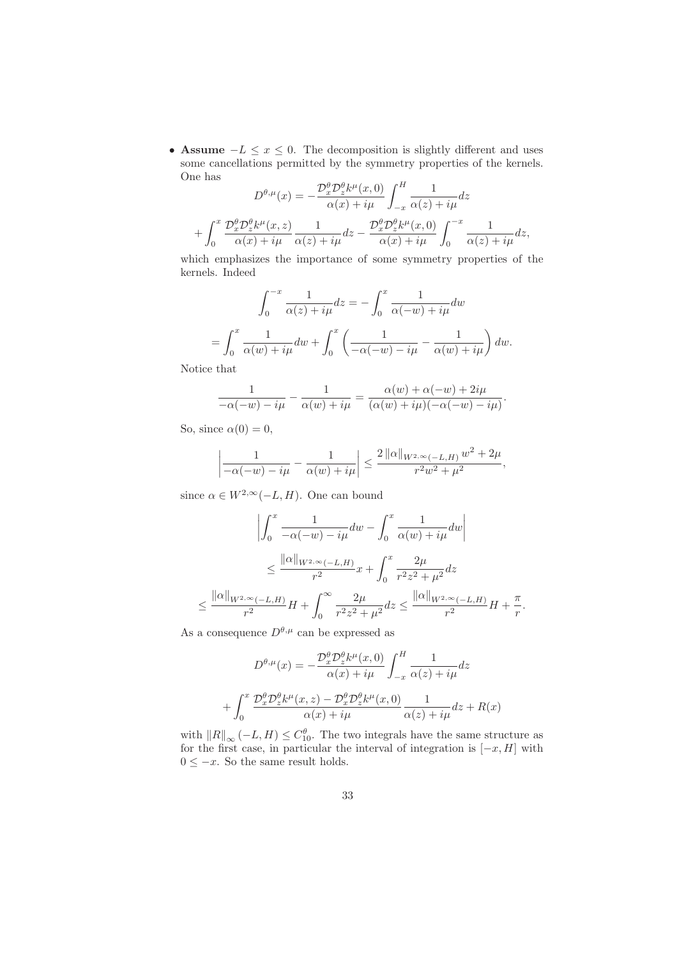• Assume  $-L \leq x \leq 0$ . The decomposition is slightly different and uses some cancellations permitted by the symmetry properties of the kernels. One has

$$
D^{\theta,\mu}(x) = -\frac{\mathcal{D}_x^{\theta} \mathcal{D}_z^{\theta} k^{\mu}(x,0)}{\alpha(x) + i\mu} \int_{-x}^{H} \frac{1}{\alpha(z) + i\mu} dz
$$

$$
+ \int_0^x \frac{\mathcal{D}_x^{\theta} \mathcal{D}_z^{\theta} k^{\mu}(x,z)}{\alpha(x) + i\mu} \frac{1}{\alpha(z) + i\mu} dz - \frac{\mathcal{D}_x^{\theta} \mathcal{D}_z^{\theta} k^{\mu}(x,0)}{\alpha(x) + i\mu} \int_0^{-x} \frac{1}{\alpha(z) + i\mu} dz,
$$

which emphasizes the importance of some symmetry properties of the kernels. Indeed

$$
\int_0^{-x} \frac{1}{\alpha(z) + i\mu} dz = -\int_0^x \frac{1}{\alpha(-w) + i\mu} dw
$$

$$
= \int_0^x \frac{1}{\alpha(w) + i\mu} dw + \int_0^x \left(\frac{1}{-\alpha(-w) - i\mu} - \frac{1}{\alpha(w) + i\mu}\right) dw.
$$

Notice that

$$
\frac{1}{-\alpha(-w)-i\mu} - \frac{1}{\alpha(w)+i\mu} = \frac{\alpha(w)+\alpha(-w)+2i\mu}{(\alpha(w)+i\mu)(-\alpha(-w)-i\mu)}.
$$

So, since  $\alpha(0) = 0$ ,

$$
\left|\frac{1}{-\alpha(-w)-i\mu}-\frac{1}{\alpha(w)+i\mu}\right| \leq \frac{2 \left\|\alpha\right\|_{W^{2,\infty}(-L,H)} w^2 + 2\mu}{r^2 w^2 + \mu^2},
$$

since  $\alpha \in W^{2,\infty}(-L, H)$ . One can bound

$$
\left| \int_0^x \frac{1}{-\alpha(-w) - i\mu} dw - \int_0^x \frac{1}{\alpha(w) + i\mu} dw \right|
$$
  

$$
\leq \frac{\|\alpha\|_{W^{2,\infty}(-L,H)}}{r^2} x + \int_0^x \frac{2\mu}{r^2 z^2 + \mu^2} dz
$$
  

$$
\leq \frac{\|\alpha\|_{W^{2,\infty}(-L,H)}}{r^2} H + \int_0^\infty \frac{2\mu}{r^2 z^2 + \mu^2} dz \leq \frac{\|\alpha\|_{W^{2,\infty}(-L,H)}}{r^2} H + \frac{\pi}{r}
$$

.

As a consequence  $D^{\theta,\mu}$  can be expressed as

$$
D^{\theta,\mu}(x) = -\frac{\mathcal{D}_x^{\theta} \mathcal{D}_z^{\theta} k^{\mu}(x,0)}{\alpha(x) + i\mu} \int_{-x}^{H} \frac{1}{\alpha(z) + i\mu} dz
$$

$$
+ \int_0^x \frac{\mathcal{D}_x^{\theta} \mathcal{D}_z^{\theta} k^{\mu}(x,z) - \mathcal{D}_x^{\theta} \mathcal{D}_z^{\theta} k^{\mu}(x,0)}{\alpha(x) + i\mu} \frac{1}{\alpha(z) + i\mu} dz + R(x)
$$

with  $||R||_{\infty}(-L, H) \leq C_{10}^{\theta}$ . The two integrals have the same structure as for the first case, in particular the interval of integration is  $[-x, H]$  with  $0 \leq -x$ . So the same result holds.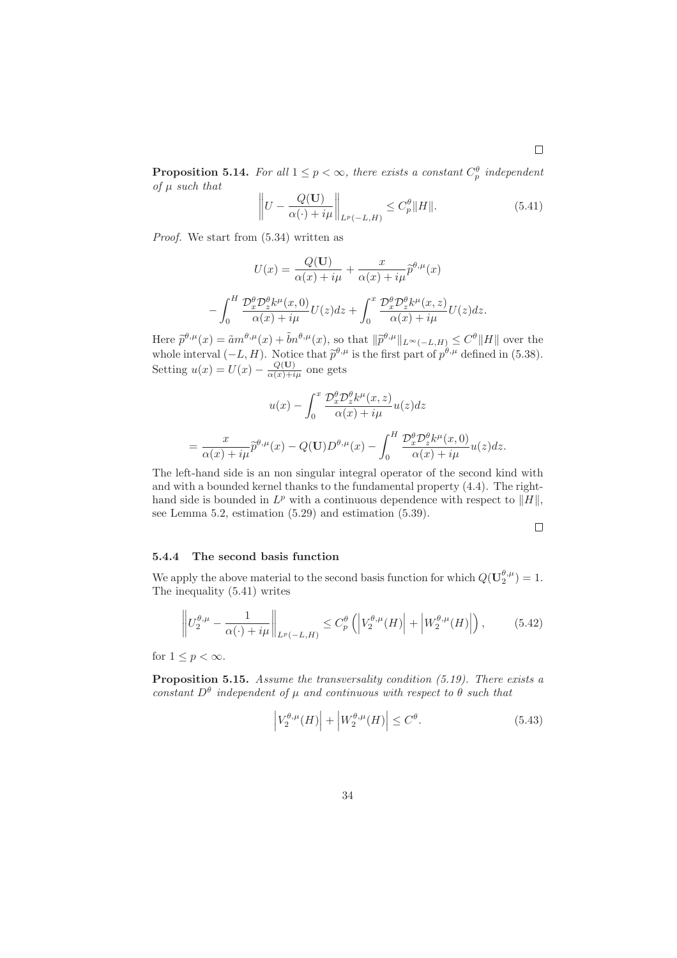**Proposition 5.14.** For all  $1 \leq p < \infty$ , there exists a constant  $C_p^{\theta}$  independent of  $\mu$  such that

$$
\left\| U - \frac{Q(\mathbf{U})}{\alpha(\cdot) + i\mu} \right\|_{L^p(-L, H)} \le C_p^{\theta} \| H \|.
$$
\n(5.41)

Proof. We start from (5.34) written as

$$
U(x) = \frac{Q(\mathbf{U})}{\alpha(x) + i\mu} + \frac{x}{\alpha(x) + i\mu} \tilde{p}^{\theta,\mu}(x)
$$

$$
-\int_0^H \frac{\mathcal{D}_x^{\theta} \mathcal{D}_z^{\theta} k^{\mu}(x,0)}{\alpha(x) + i\mu} U(z) dz + \int_0^x \frac{\mathcal{D}_x^{\theta} \mathcal{D}_z^{\theta} k^{\mu}(x,z)}{\alpha(x) + i\mu} U(z) dz.
$$

Here  $\tilde{p}^{\theta,\mu}(x) = \tilde{a}m^{\theta,\mu}(x) + \tilde{b}n^{\theta,\mu}(x)$ , so that  $\|\tilde{p}^{\theta,\mu}\|_{L^{\infty}(-L,H)} \leq C^{\theta}\|H\|$  over the whole interval  $(-L, H)$ . Notice that  $\tilde{p}^{\theta,\mu}$  is the first part of  $p^{\theta,\mu}$  defined in (5.38). Setting  $u(x) = U(x) - \frac{Q(\mathbf{U})}{\alpha(x) + i\mu}$  one gets

$$
u(x) - \int_0^x \frac{\mathcal{D}_x^{\theta} \mathcal{D}_z^{\theta} k^{\mu}(x, z)}{\alpha(x) + i\mu} u(z) dz
$$
  
= 
$$
\frac{x}{\alpha(x) + i\mu} \widetilde{p}^{\theta, \mu}(x) - Q(\mathbf{U}) D^{\theta, \mu}(x) - \int_0^H \frac{\mathcal{D}_x^{\theta} \mathcal{D}_z^{\theta} k^{\mu}(x, 0)}{\alpha(x) + i\mu} u(z) dz.
$$

The left-hand side is an non singular integral operator of the second kind with and with a bounded kernel thanks to the fundamental property (4.4). The righthand side is bounded in  $L^p$  with a continuous dependence with respect to  $||H||$ , see Lemma 5.2, estimation (5.29) and estimation (5.39).

 $\Box$ 

#### 5.4.4 The second basis function

We apply the above material to the second basis function for which  $Q(\mathbf{U}_{2}^{\theta,\mu}) = 1$ . The inequality (5.41) writes

$$
\left\| U_2^{\theta,\mu} - \frac{1}{\alpha(\cdot) + i\mu} \right\|_{L^p(-L,H)} \le C_p^{\theta} \left( \left| V_2^{\theta,\mu}(H) \right| + \left| W_2^{\theta,\mu}(H) \right| \right), \tag{5.42}
$$

for  $1 \leq p < \infty$ .

Proposition 5.15. Assume the transversality condition (5.19). There exists a constant  $D^{\theta}$  independent of  $\mu$  and continuous with respect to  $\theta$  such that

$$
\left| V_2^{\theta,\mu}(H) \right| + \left| W_2^{\theta,\mu}(H) \right| \le C^{\theta}.
$$
\n(5.43)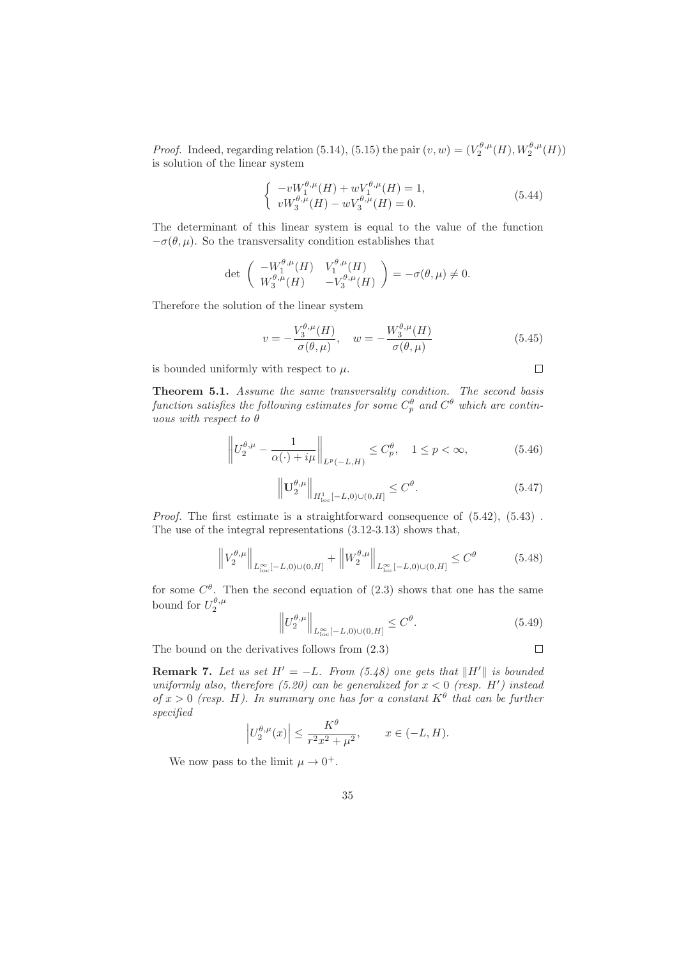*Proof.* Indeed, regarding relation (5.14), (5.15) the pair  $(v, w) = (V_2^{\theta,\mu}(H), W_2^{\theta,\mu}(H))$ is solution of the linear system

$$
\begin{cases}\n-vW_1^{\theta,\mu}(H) + wV_1^{\theta,\mu}(H) = 1, \\
vW_3^{\theta,\mu}(H) - wV_3^{\theta,\mu}(H) = 0.\n\end{cases}
$$
\n(5.44)

The determinant of this linear system is equal to the value of the function  $-\sigma(\theta, \mu)$ . So the transversality condition establishes that

$$
\det\left(\begin{array}{cc} -W_1^{\theta,\mu}(H) & V_1^{\theta,\mu}(H) \\ W_3^{\theta,\mu}(H) & -V_3^{\theta,\mu}(H) \end{array}\right) = -\sigma(\theta,\mu) \neq 0.
$$

Therefore the solution of the linear system

$$
v = -\frac{V_3^{\theta,\mu}(H)}{\sigma(\theta,\mu)}, \quad w = -\frac{W_3^{\theta,\mu}(H)}{\sigma(\theta,\mu)}
$$
(5.45)

is bounded uniformly with respect to  $\mu$ .

Theorem 5.1. Assume the same transversality condition. The second basis function satisfies the following estimates for some  $C_p^{\theta}$  and  $C^{\theta}$  which are continuous with respect to  $\theta$ 

$$
\left\| U_2^{\theta,\mu} - \frac{1}{\alpha(\cdot) + i\mu} \right\|_{L^p(-L,H)} \le C_p^{\theta}, \quad 1 \le p < \infty,
$$
\n(5.46)

$$
\left\| \mathbf{U}_2^{\theta,\mu} \right\|_{H^1_{\text{loc}}[-L,0)\cup(0,H]} \leq C^{\theta}.
$$
 (5.47)

Proof. The first estimate is a straightforward consequence of  $(5.42)$ ,  $(5.43)$ . The use of the integral representations (3.12-3.13) shows that,

$$
\left\|V_2^{\theta,\mu}\right\|_{L_{\text{loc}}^{\infty}[-L,0)\cup(0,H]} + \left\|W_2^{\theta,\mu}\right\|_{L_{\text{loc}}^{\infty}[-L,0)\cup(0,H]} \leq C^{\theta} \tag{5.48}
$$

for some  $C^{\theta}$ . Then the second equation of (2.3) shows that one has the same bound for  $U_2^{\theta,\mu}$ 

$$
\left\| U_2^{\theta,\mu} \right\|_{L_{\text{loc}}^{\infty}[-L,0)\cup(0,H]} \leq C^{\theta}.
$$
 (5.49)

The bound on the derivatives follows from (2.3)

**Remark 7.** Let us set  $H' = -L$ . From (5.48) one gets that  $\|H'\|$  is bounded uniformly also, therefore (5.20) can be generalized for  $x < 0$  (resp. H') instead of  $x > 0$  (resp. H). In summary one has for a constant  $K^{\theta}$  that can be further specified

$$
\left|U_2^{\theta,\mu}(x)\right| \le \frac{K^{\theta}}{r^2 x^2 + \mu^2}, \qquad x \in (-L, H).
$$

We now pass to the limit  $\mu \to 0^+$ .

 $\Box$ 

 $\Box$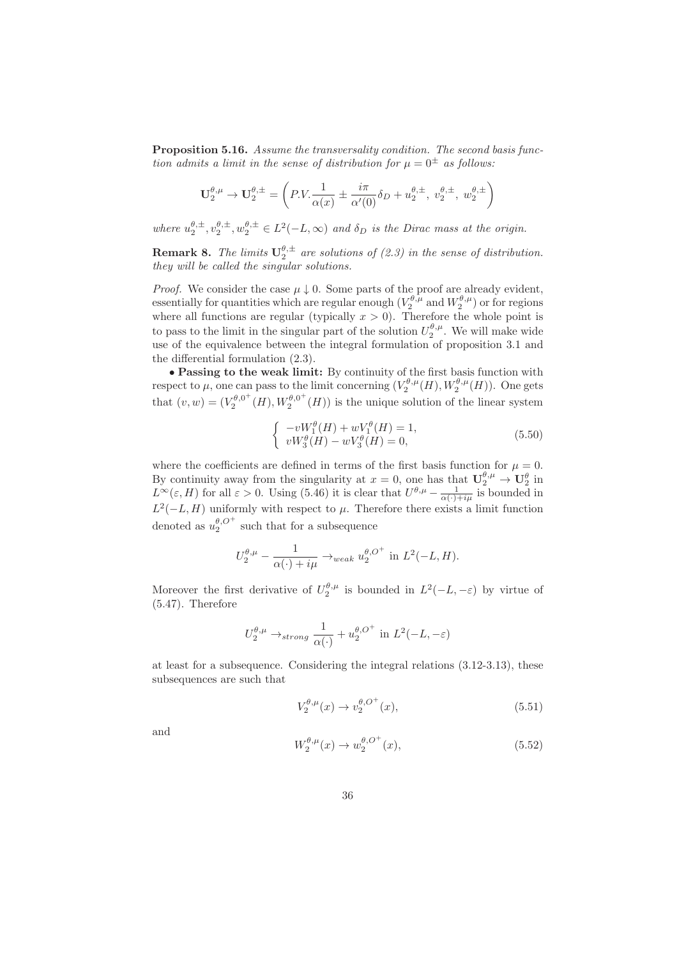**Proposition 5.16.** Assume the transversality condition. The second basis function admits a limit in the sense of distribution for  $\mu = 0^{\pm}$  as follows:

$$
\mathbf{U}_{2}^{\theta,\mu}\rightarrow\mathbf{U}_{2}^{\theta,\pm}=\left(P.V.\frac{1}{\alpha(x)}\pm\frac{i\pi}{\alpha'(0)}\delta_{D}+u_{2}^{\theta,\pm},\;v_{2}^{\theta,\pm},\;w_{2}^{\theta,\pm}\right)
$$

where  $u_2^{\theta,\pm}, v_2^{\theta,\pm}, w_2^{\theta,\pm} \in L^2(-L,\infty)$  and  $\delta_D$  is the Dirac mass at the origin.

**Remark 8.** The limits  $U_2^{\theta,\pm}$  are solutions of (2.3) in the sense of distribution. they will be called the singular solutions.

*Proof.* We consider the case  $\mu \downarrow 0$ . Some parts of the proof are already evident, essentially for quantities which are regular enough  $(V_2^{\theta,\mu}$  and  $W_2^{\theta,\mu})$  or for regions where all functions are regular (typically  $x > 0$ ). Therefore the whole point is to pass to the limit in the singular part of the solution  $U_2^{\theta,\mu}$ . We will make wide use of the equivalence between the integral formulation of proposition 3.1 and the differential formulation (2.3).

• Passing to the weak limit: By continuity of the first basis function with respect to  $\mu$ , one can pass to the limit concerning  $(V_2^{\theta,\mu}(H), W_2^{\theta,\mu}(H))$ . One gets that  $(v, w) = (V_2^{\theta, 0^+})$  $\chi_2^{\theta,0^+}(H), W_2^{\theta,0^+}$  $2^{6,0}$  (*H*)) is the unique solution of the linear system

$$
\begin{cases}\n-vW_1^{\theta}(H) + wV_1^{\theta}(H) = 1, \\
vW_3^{\theta}(H) - wV_3^{\theta}(H) = 0,\n\end{cases}
$$
\n(5.50)

where the coefficients are defined in terms of the first basis function for  $\mu = 0$ . By continuity away from the singularity at  $x = 0$ , one has that  $\mathbf{U}_2^{\theta,\mu} \to \mathbf{U}_2^{\theta}$  in  $L^{\infty}(\varepsilon, H)$  for all  $\varepsilon > 0$ . Using (5.46) it is clear that  $U^{\theta,\mu} - \frac{1}{\alpha(\cdot) + i\mu}$  is bounded in  $L^2(-L, H)$  uniformly with respect to  $\mu$ . Therefore there exists a limit function denoted as  $u_2^{\theta, O^+}$  such that for a subsequence

$$
U_2^{\theta,\mu} - \frac{1}{\alpha(\cdot) + i\mu} \rightarrow_{weak} u_2^{\theta,O^+} \text{ in } L^2(-L, H).
$$

Moreover the first derivative of  $U_2^{\theta,\mu}$  is bounded in  $L^2(-L, -\varepsilon)$  by virtue of (5.47). Therefore

$$
U_2^{\theta,\mu} \to_{strong} \frac{1}{\alpha(\cdot)} + u_2^{\theta,O^+} \text{ in } L^2(-L,-\varepsilon)
$$

at least for a subsequence. Considering the integral relations (3.12-3.13), these subsequences are such that

$$
V_2^{\theta,\mu}(x) \to v_2^{\theta,O^+}(x), \tag{5.51}
$$

and

$$
W_2^{\theta,\mu}(x) \to w_2^{\theta,O^+}(x),\tag{5.52}
$$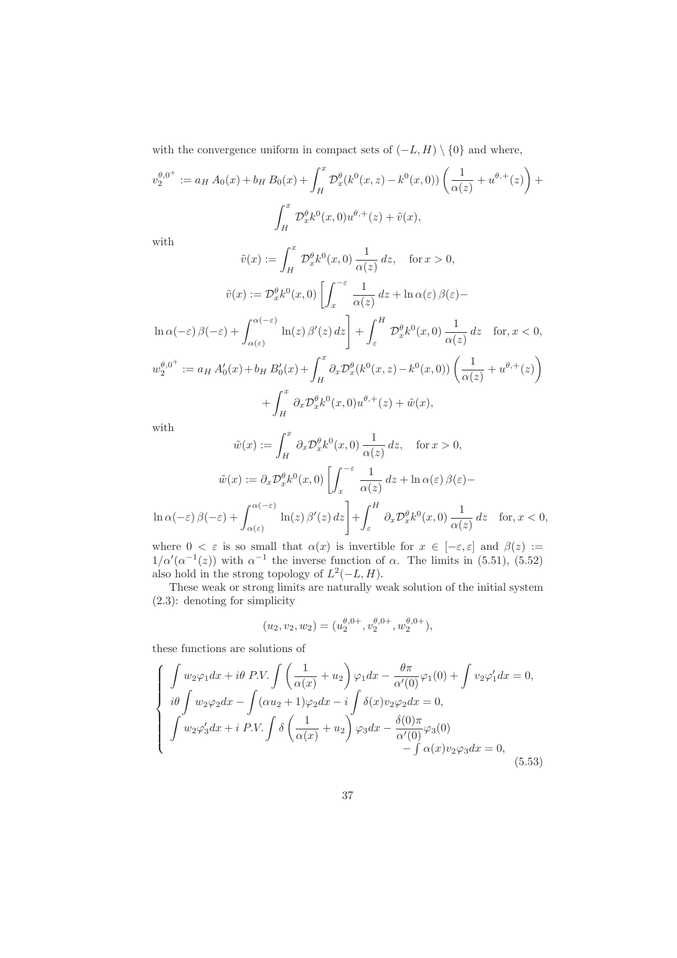with the convergence uniform in compact sets of  $(-L, H) \setminus \{0\}$  and where,

$$
v_2^{\theta,0^+} := a_H A_0(x) + b_H B_0(x) + \int_H^x \mathcal{D}_x^{\theta}(k^0(x,z) - k^0(x,0)) \left( \frac{1}{\alpha(z)} + u^{\theta,+}(z) \right) +
$$

$$
\int_H^x \mathcal{D}_x^{\theta}(k^0(x,0)u^{\theta,+}(z) + \tilde{v}(x),
$$

with

$$
\tilde{v}(x) := \int_H^x \mathcal{D}_x^{\theta} k^0(x,0) \frac{1}{\alpha(z)} dz, \quad \text{for } x > 0,
$$

$$
\tilde{v}(x) := \mathcal{D}_x^{\theta} k^0(x,0) \left[ \int_x^{-\varepsilon} \frac{1}{\alpha(z)} dz + \ln \alpha(\varepsilon) \beta(\varepsilon) - \ln \alpha(-\varepsilon) \beta(-\varepsilon) + \int_{\alpha(\varepsilon)}^{\alpha(-\varepsilon)} \ln(z) \beta'(z) dz \right] + \int_{\varepsilon}^H \mathcal{D}_x^{\theta} k^0(x,0) \frac{1}{\alpha(z)} dz \quad \text{for } x < 0,
$$

$$
w_2^{\theta,0^+} := a_H A'_0(x) + b_H B'_0(x) + \int_H^x \partial_x \mathcal{D}_x^{\theta} (k^0(x,z) - k^0(x,0)) \left( \frac{1}{\alpha(z)} + u^{\theta,+}(z) \right)
$$

$$
+ \int_H^x \partial_x \mathcal{D}_x^{\theta} k^0(x,0) u^{\theta,+}(z) + \tilde{w}(x),
$$

with

$$
\tilde{w}(x) := \int_H^x \partial_x \mathcal{D}_x^{\theta} k^0(x, 0) \frac{1}{\alpha(z)} dz, \quad \text{for } x > 0,
$$

$$
\tilde{w}(x) := \partial_x \mathcal{D}_x^{\theta} k^0(x, 0) \left[ \int_x^{-\varepsilon} \frac{1}{\alpha(z)} dz + \ln \alpha(\varepsilon) \beta(\varepsilon) - \ln \alpha(-\varepsilon) \beta(-\varepsilon) + \int_{\alpha(\varepsilon)}^{\alpha(-\varepsilon)} \ln(z) \beta'(z) dz \right] + \int_{\varepsilon}^H \partial_x \mathcal{D}_x^{\theta} k^0(x, 0) \frac{1}{\alpha(z)} dz \quad \text{for } x < 0,
$$

where  $0 < \varepsilon$  is so small that  $\alpha(x)$  is invertible for  $x \in [-\varepsilon, \varepsilon]$  and  $\beta(z) :=$  $1/\alpha'(\alpha^{-1}(z))$  with  $\alpha^{-1}$  the inverse function of  $\alpha$ . The limits in (5.51), (5.52) also hold in the strong topology of  $L^2(-L, H)$ .

These weak or strong limits are naturally weak solution of the initial system (2.3): denoting for simplicity

$$
(u_2, v_2, w_2) = (u_2^{\theta, 0+}, v_2^{\theta, 0+}, w_2^{\theta, 0+}),
$$

these functions are solutions of

$$
\begin{cases}\n\int w_2 \varphi_1 dx + i\theta \, P.V. \int \left(\frac{1}{\alpha(x)} + u_2\right) \varphi_1 dx - \frac{\theta \pi}{\alpha'(0)} \varphi_1(0) + \int v_2 \varphi_1' dx = 0, \\
i\theta \int w_2 \varphi_2 dx - \int (\alpha u_2 + 1) \varphi_2 dx - i \int \delta(x) v_2 \varphi_2 dx = 0, \\
\int w_2 \varphi_3' dx + i \, P.V. \int \delta\left(\frac{1}{\alpha(x)} + u_2\right) \varphi_3 dx - \frac{\delta(0)\pi}{\alpha'(0)} \varphi_3(0) \\
- \int \alpha(x) v_2 \varphi_3 dx = 0, \tag{5.53}\n\end{cases}
$$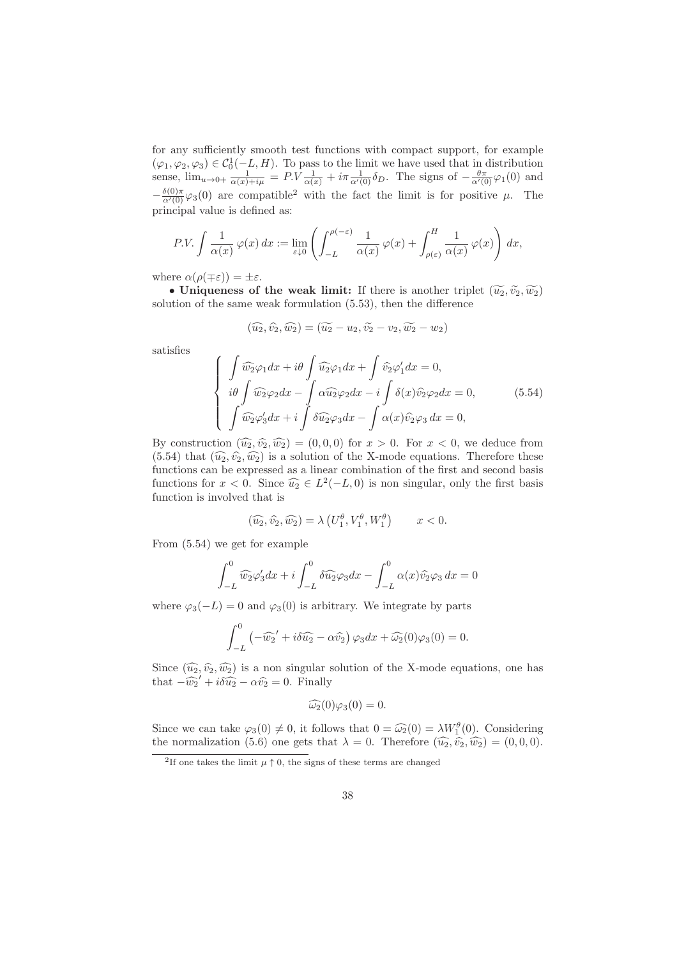for any sufficiently smooth test functions with compact support, for example  $(\varphi_1, \varphi_2, \varphi_3) \in C_0^1(-L, H)$ . To pass to the limit we have used that in distribution sense,  $\lim_{u\to 0+} \frac{1}{\alpha(x)+i\mu} = P.V \frac{1}{\alpha(x)} + i\pi \frac{1}{\alpha'(0)} \delta_D$ . The signs of  $-\frac{\theta\pi}{\alpha'(0)} \varphi_1(0)$  and  $-\frac{\delta(0)\pi}{\alpha'(0)}\varphi_3(0)$  are compatible<sup>2</sup> with the fact the limit is for positive  $\mu$ . The principal value is defined as:

$$
P.V. \int \frac{1}{\alpha(x)} \, \varphi(x) \, dx := \lim_{\varepsilon \downarrow 0} \left( \int_{-L}^{\rho(-\varepsilon)} \frac{1}{\alpha(x)} \, \varphi(x) + \int_{\rho(\varepsilon)}^{H} \frac{1}{\alpha(x)} \, \varphi(x) \right) \, dx,
$$

where  $\alpha(\rho(\mp \varepsilon)) = \pm \varepsilon$ .

• Uniqueness of the weak limit: If there is another triplet  $(\widetilde{u_2}, \widetilde{v_2}, \widetilde{w_2})$ solution of the same weak formulation (5.53), then the difference

$$
(\widehat{u_2}, \widehat{v_2}, \widehat{w_2}) = (\widetilde{u_2} - u_2, \widetilde{v_2} - v_2, \widetilde{w_2} - w_2)
$$

satisfies

$$
\begin{cases}\n\int \widehat{w_2} \varphi_1 dx + i\theta \int \widehat{u_2} \varphi_1 dx + \int \widehat{v_2} \varphi_1' dx = 0, \\
i\theta \int \widehat{w_2} \varphi_2 dx - \int \alpha \widehat{u_2} \varphi_2 dx - i \int \delta(x) \widehat{v_2} \varphi_2 dx = 0, \\
\int \widehat{w_2} \varphi_3' dx + i \int \delta \widehat{u_2} \varphi_3 dx - \int \alpha(x) \widehat{v_2} \varphi_3 dx = 0,\n\end{cases}
$$
\n(5.54)

By construction  $(\widehat{u_2}, \widehat{v_2}, \widehat{w_2}) = (0, 0, 0)$  for  $x > 0$ . For  $x < 0$ , we deduce from  $(5.54)$  that  $(\widehat{u_2}, \widehat{v_2}, \widehat{w_2})$  is a solution of the X-mode equations. Therefore these functions can be expressed as a linear combination of the first and second basis functions for  $x < 0$ . Since  $\widehat{u}_2 \in L^2(-L, 0)$  is non singular, only the first basis function is involved that is

$$
(\widehat{u_2}, \widehat{v_2}, \widehat{w_2}) = \lambda \left( U_1^{\theta}, V_1^{\theta}, W_1^{\theta} \right) \qquad x < 0.
$$

From (5.54) we get for example

$$
\int_{-L}^{0} \widehat{w_2} \varphi_3' dx + i \int_{-L}^{0} \delta \widehat{u_2} \varphi_3 dx - \int_{-L}^{0} \alpha(x) \widehat{v_2} \varphi_3 dx = 0
$$

where  $\varphi_3(-L) = 0$  and  $\varphi_3(0)$  is arbitrary. We integrate by parts

$$
\int_{-L}^{0} \left(-\widehat{w_2}' + i\delta \widehat{u_2} - \alpha \widehat{v_2}\right) \varphi_3 dx + \widehat{\omega_2}(0)\varphi_3(0) = 0.
$$

Since  $(\widehat{u_2}, \widehat{v_2}, \widehat{w_2})$  is a non singular solution of the X-mode equations, one has that  $-\widehat{w_2}' + i\delta \widehat{u_2} - \alpha \widehat{v_2} = 0$ . Finally

$$
\widehat{\omega_2}(0)\varphi_3(0)=0.
$$

Since we can take  $\varphi_3(0) \neq 0$ , it follows that  $0 = \widehat{\omega_2}(0) = \lambda W_1^{\theta}(0)$ . Considering the normalization (5.6) one gets that  $\lambda = 0$ . Therefore  $(\widehat{u_2}, \widehat{v_2}, \widehat{w_2}) = (0, 0, 0)$ .

<sup>&</sup>lt;sup>2</sup>If one takes the limit  $\mu \uparrow 0$ , the signs of these terms are changed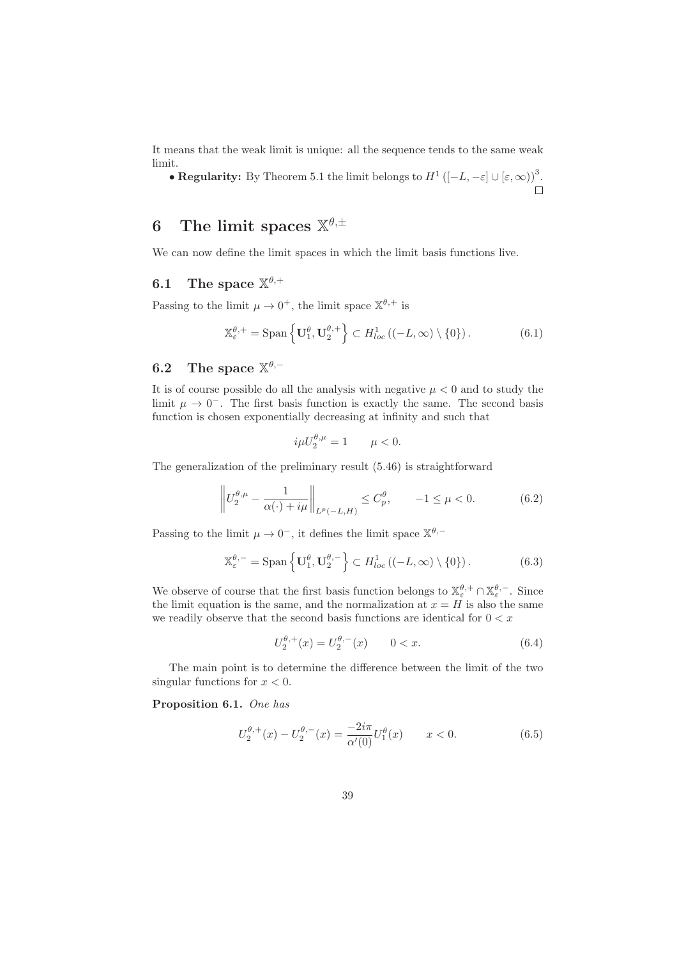It means that the weak limit is unique: all the sequence tends to the same weak limit.

• Regularity: By Theorem 5.1 the limit belongs to  $H^1([-L, -\varepsilon] \cup [\varepsilon, \infty))$ <sup>3</sup>.

# 6 The limit spaces  $\mathbb{X}^{\theta,\pm}$

We can now define the limit spaces in which the limit basis functions live.

# 6.1 The space  $\mathbb{X}^{\theta,+}$

Passing to the limit  $\mu \to 0^+$ , the limit space  $\mathbb{X}^{\theta,+}$  is

$$
\mathbb{X}_{\varepsilon}^{\theta,+} = \text{Span}\left\{ \mathbf{U}_1^{\theta}, \mathbf{U}_2^{\theta,+} \right\} \subset H^1_{loc} \left( (-L, \infty) \setminus \{0\} \right). \tag{6.1}
$$

# 6.2 The space  $\mathbb{X}^{\theta,-}$

It is of course possible do all the analysis with negative  $\mu < 0$  and to study the limit  $\mu \to 0^-$ . The first basis function is exactly the same. The second basis function is chosen exponentially decreasing at infinity and such that

$$
i\mu U_2^{\theta,\mu} = 1 \qquad \mu < 0.
$$

The generalization of the preliminary result (5.46) is straightforward

$$
\left\| U_2^{\theta,\mu} - \frac{1}{\alpha(\cdot) + i\mu} \right\|_{L^p(-L,H)} \le C_p^{\theta}, \qquad -1 \le \mu < 0. \tag{6.2}
$$

Passing to the limit  $\mu \to 0^-$ , it defines the limit space  $\mathbb{X}^{\theta,-}$ 

$$
\mathbb{X}_{\varepsilon}^{\theta,-} = \text{Span}\left\{ \mathbf{U}_1^{\theta}, \mathbf{U}_2^{\theta,-} \right\} \subset H_{loc}^1 \left( (-L,\infty) \setminus \{0\} \right). \tag{6.3}
$$

We observe of course that the first basis function belongs to  $\mathbb{X}_{\varepsilon}^{\theta,+} \cap \mathbb{X}_{\varepsilon}^{\theta,-}$ . Since the limit equation is the same, and the normalization at  $x = H$  is also the same we readily observe that the second basis functions are identical for  $0 < x$ 

$$
U_2^{\theta,+}(x) = U_2^{\theta,-}(x) \qquad 0 < x. \tag{6.4}
$$

The main point is to determine the difference between the limit of the two singular functions for  $x < 0$ .

Proposition 6.1. One has

$$
U_2^{\theta,+}(x) - U_2^{\theta,-}(x) = \frac{-2i\pi}{\alpha'(0)} U_1^{\theta}(x) \qquad x < 0.
$$
 (6.5)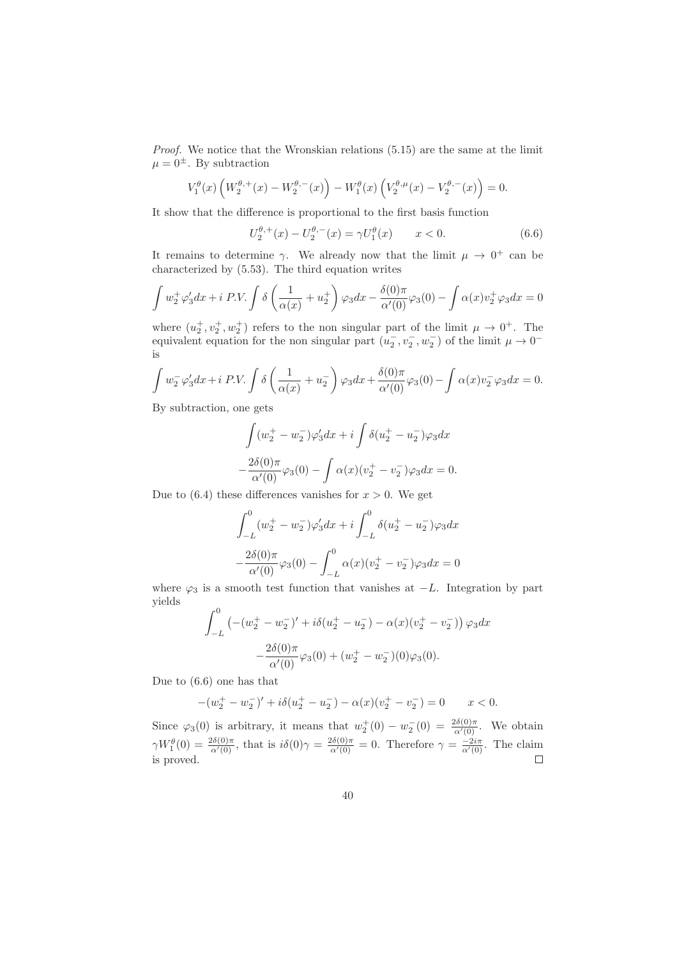Proof. We notice that the Wronskian relations (5.15) are the same at the limit  $\mu = 0^{\pm}$ . By subtraction

$$
V_1^{\theta}(x)\left(W_2^{\theta,+}(x)-W_2^{\theta,-}(x)\right)-W_1^{\theta}(x)\left(V_2^{\theta,\mu}(x)-V_2^{\theta,-}(x)\right)=0.
$$

It show that the difference is proportional to the first basis function

$$
U_2^{\theta,+}(x) - U_2^{\theta,-}(x) = \gamma U_1^{\theta}(x) \qquad x < 0.
$$
 (6.6)

It remains to determine  $\gamma$ . We already now that the limit  $\mu \to 0^+$  can be characterized by (5.53). The third equation writes

$$
\int w_2^+ \varphi_3' dx + i \, P.V. \int \delta \left( \frac{1}{\alpha(x)} + u_2^+ \right) \varphi_3 dx - \frac{\delta(0)\pi}{\alpha'(0)} \varphi_3(0) - \int \alpha(x) v_2^+ \varphi_3 dx = 0
$$

where  $(u_2^+, v_2^+, w_2^+)$  refers to the non singular part of the limit  $\mu \to 0^+$ . The equivalent equation for the non singular part  $(u_2^-, v_2^-, w_2^-)$  of the limit  $\mu \to 0^$ is

$$
\int w_2^- \varphi_3' dx + i \, P.V. \int \delta \left( \frac{1}{\alpha(x)} + u_2^- \right) \varphi_3 dx + \frac{\delta(0)\pi}{\alpha'(0)} \varphi_3(0) - \int \alpha(x) v_2^- \varphi_3 dx = 0.
$$

By subtraction, one gets

$$
\int (w_2^+ - w_2^-)\varphi_3'dx + i \int \delta(u_2^+ - u_2^-)\varphi_3 dx
$$
  

$$
-\frac{2\delta(0)\pi}{\alpha'(0)}\varphi_3(0) - \int \alpha(x)(v_2^+ - v_2^-)\varphi_3 dx = 0.
$$

Due to  $(6.4)$  these differences vanishes for  $x > 0$ . We get

$$
\int_{-L}^{0} (w_2^+ - w_2^-)\varphi_3'dx + i \int_{-L}^{0} \delta(u_2^+ - u_2^-)\varphi_3 dx
$$

$$
- \frac{2\delta(0)\pi}{\alpha'(0)}\varphi_3(0) - \int_{-L}^{0} \alpha(x)(v_2^+ - v_2^-)\varphi_3 dx = 0
$$

where  $\varphi_3$  is a smooth test function that vanishes at  $-L$ . Integration by part yields

$$
\int_{-L}^{0} \left( -(w_2^+ - w_2^-)' + i \delta (u_2^+ - u_2^-) - \alpha(x)(v_2^+ - v_2^-) \right) \varphi_3 dx
$$

$$
- \frac{2\delta(0)\pi}{\alpha'(0)} \varphi_3(0) + (w_2^+ - w_2^-)(0)\varphi_3(0).
$$

Due to (6.6) one has that

$$
-(w_2^+ - w_2^-)' + i\delta(u_2^+ - u_2^-) - \alpha(x)(v_2^+ - v_2^-) = 0 \qquad x < 0.
$$

Since  $\varphi_3(0)$  is arbitrary, it means that  $w_2^+(0) - w_2^-(0) = \frac{2\delta(0)\pi}{\alpha'(0)}$ . We obtain  $\gamma W_1^{\theta}(0) = \frac{2\delta(0)\pi}{\alpha'(0)}$ , that is  $i\delta(0)\gamma = \frac{2\delta(0)\pi}{\alpha'(0)} = 0$ . Therefore  $\gamma = \frac{-2i\pi}{\alpha'(0)}$ . The claim is proved.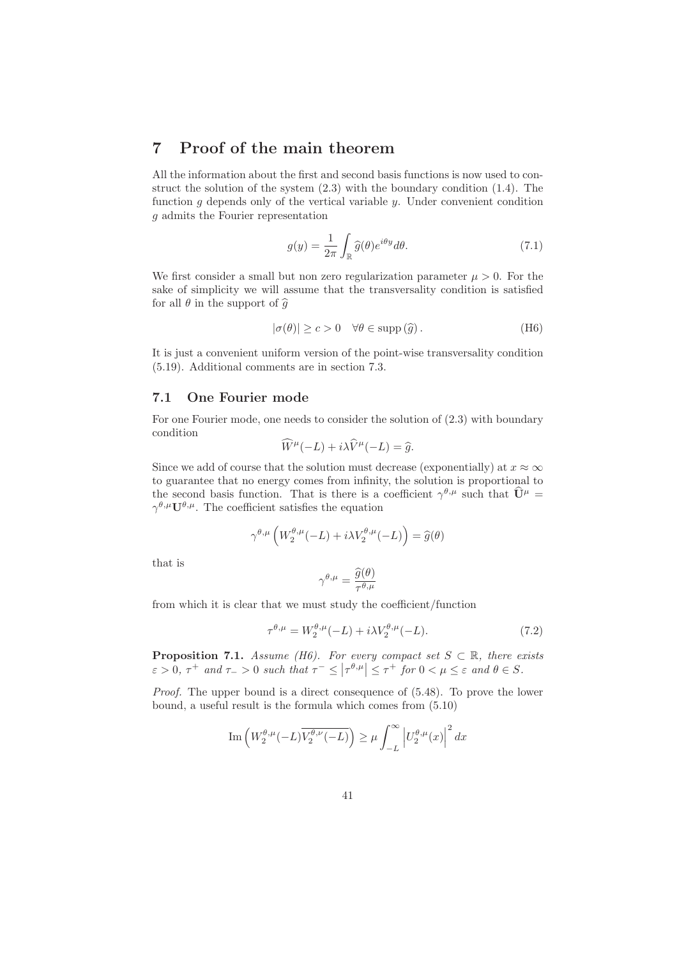# 7 Proof of the main theorem

All the information about the first and second basis functions is now used to construct the solution of the system (2.3) with the boundary condition (1.4). The function  $g$  depends only of the vertical variable  $y$ . Under convenient condition g admits the Fourier representation

$$
g(y) = \frac{1}{2\pi} \int_{\mathbb{R}} \hat{g}(\theta) e^{i\theta y} d\theta.
$$
 (7.1)

We first consider a small but non zero regularization parameter  $\mu > 0$ . For the sake of simplicity we will assume that the transversality condition is satisfied for all  $\theta$  in the support of  $\widehat{g}$ 

$$
|\sigma(\theta)| \ge c > 0 \quad \forall \theta \in \text{supp}(\hat{g}).
$$
 (H6)

It is just a convenient uniform version of the point-wise transversality condition (5.19). Additional comments are in section 7.3.

### 7.1 One Fourier mode

For one Fourier mode, one needs to consider the solution of (2.3) with boundary condition

$$
\widehat{W}^{\mu}(-L) + i\lambda \widehat{V}^{\mu}(-L) = \widehat{g}.
$$

Since we add of course that the solution must decrease (exponentially) at  $x \approx \infty$ to guarantee that no energy comes from infinity, the solution is proportional to the second basis function. That is there is a coefficient  $\gamma^{\theta,\mu}$  such that  $\hat{\mathbf{U}}^{\mu} =$  $\gamma^{\theta,\mu}U^{\theta,\mu}$ . The coefficient satisfies the equation

$$
\gamma^{\theta,\mu}\left(W^{\theta,\mu}_2(-L)+i\lambda V^{\theta,\mu}_2(-L)\right)=\widehat{g}(\theta)
$$

that is

$$
\gamma^{\theta,\mu}=\frac{\widehat{g}(\theta)}{\tau^{\theta,\mu}}
$$

from which it is clear that we must study the coefficient/function

$$
\tau^{\theta,\mu} = W_2^{\theta,\mu}(-L) + i\lambda V_2^{\theta,\mu}(-L). \tag{7.2}
$$

**Proposition 7.1.** Assume (H6). For every compact set  $S \subset \mathbb{R}$ , there exists  $\varepsilon > 0$ ,  $\tau^+$  and  $\tau^- > 0$  such that  $\tau^- \leq |\tau^{\theta,\mu}| \leq \tau^+$  for  $0 < \mu \leq \varepsilon$  and  $\theta \in S$ .

Proof. The upper bound is a direct consequence of (5.48). To prove the lower bound, a useful result is the formula which comes from (5.10)

$$
\mathrm{Im}\left( W_2^{\theta,\mu}(-L)\overline{V_2^{\theta,\nu}(-L)}\right)\geq \mu \int_{-L}^{\infty} \left|U_2^{\theta,\mu}(x)\right|^2dx
$$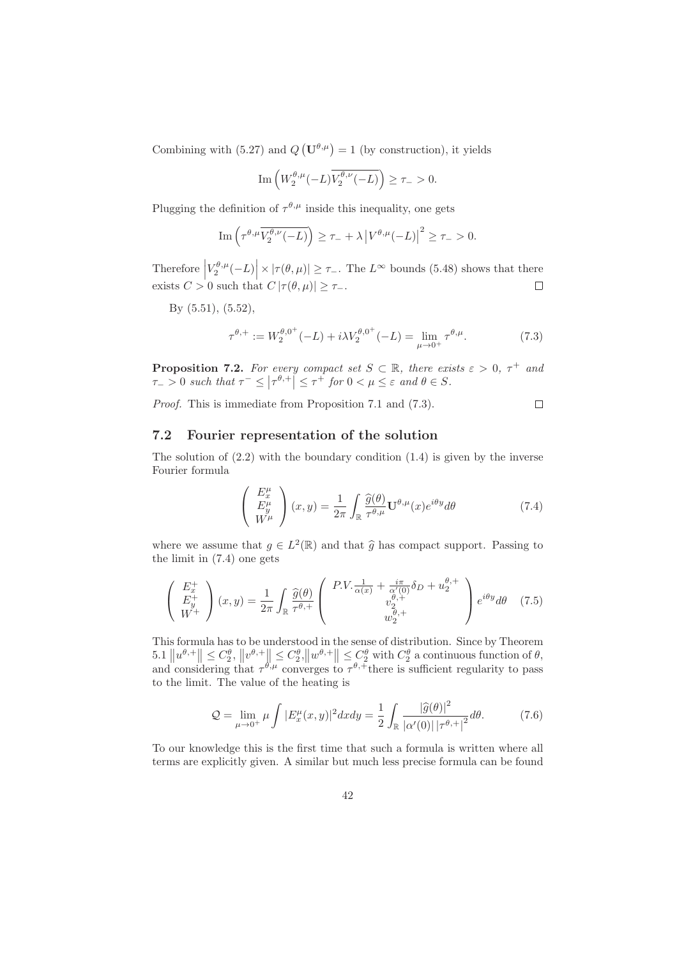Combining with (5.27) and  $Q(\mathbf{U}^{\theta,\mu}) = 1$  (by construction), it yields

$$
\mathrm{Im}\left( W^{\theta,\mu}_2(-L)\overline{V^{\theta,\nu}_2(-L)}\right)\geq \tau_->0.
$$

Plugging the definition of  $\tau^{\theta,\mu}$  inside this inequality, one gets

$$
\operatorname{Im}\left(\tau^{\theta,\mu}\overline{V_2^{\theta,\nu}(-L)}\right) \geq \tau_- + \lambda \left|V^{\theta,\mu}(-L)\right|^2 \geq \tau_- > 0.
$$

Therefore  $\left|V^{\theta,\mu}_{2}(-L)\right| \times |\tau(\theta,\mu)| \geq \tau_{-}.$  The  $L^{\infty}$  bounds (5.48) shows that there exists  $C > 0$  such that  $C |\tau(\theta, \mu)| \geq \tau_{-}.$ 

By (5.51), (5.52),

$$
\tau^{\theta,+} := W_2^{\theta,0^+}(-L) + i\lambda V_2^{\theta,0^+}(-L) = \lim_{\mu \to 0^+} \tau^{\theta,\mu}.
$$
 (7.3)

**Proposition 7.2.** For every compact set  $S \subset \mathbb{R}$ , there exists  $\varepsilon > 0$ ,  $\tau^+$  and  $\tau_{-} > 0$  such that  $\tau^{-} \leq |\tau^{\theta,+}| \leq \tau^{+}$  for  $0 < \mu \leq \varepsilon$  and  $\theta \in S$ .

Proof. This is immediate from Proposition 7.1 and (7.3).  $\Box$ 

#### 7.2 Fourier representation of the solution

The solution of  $(2.2)$  with the boundary condition  $(1.4)$  is given by the inverse Fourier formula

$$
\begin{pmatrix} E_x^{\mu} \\ E_y^{\mu} \\ W^{\mu} \end{pmatrix} (x, y) = \frac{1}{2\pi} \int_{\mathbb{R}} \frac{\widehat{g}(\theta)}{\tau^{\theta, \mu}} \mathbf{U}^{\theta, \mu}(x) e^{i\theta y} d\theta \tag{7.4}
$$

where we assume that  $g \in L^2(\mathbb{R})$  and that  $\hat{g}$  has compact support. Passing to the limit in (7.4) one gets

$$
\begin{pmatrix} E_x^+ \\ E_y^+ \\ W^+ \end{pmatrix} (x, y) = \frac{1}{2\pi} \int_{\mathbb{R}} \frac{\widehat{g}(\theta)}{\tau^{\theta,+}} \begin{pmatrix} P.V. \frac{1}{\alpha(x)} + \frac{i\pi}{\alpha'(0)} \delta_D + u_2^{\theta,+} \\ v_2^{\theta,+} \\ w_2^{\theta,+} \end{pmatrix} e^{i\theta y} d\theta \quad (7.5)
$$

This formula has to be understood in the sense of distribution. Since by Theorem  $5.1 \|u^{\theta,+}\| \leq C_2^{\theta}, \|v^{\theta,+}\| \leq C_2^{\theta}, \|w^{\theta,+}\| \leq C_2^{\theta}$  with  $C_2^{\theta}$  a continuous function of  $\theta$ , and considering that  $\tau^{\theta,\mu}$  converges to  $\tau^{\theta,+}$  there is sufficient regularity to pass to the limit. The value of the heating is

$$
\mathcal{Q} = \lim_{\mu \to 0^+} \mu \int |E_x^{\mu}(x, y)|^2 dx dy = \frac{1}{2} \int_{\mathbb{R}} \frac{|\widehat{g}(\theta)|^2}{|\alpha'(0)| |\tau^{\theta, +}|^2} d\theta. \tag{7.6}
$$

To our knowledge this is the first time that such a formula is written where all terms are explicitly given. A similar but much less precise formula can be found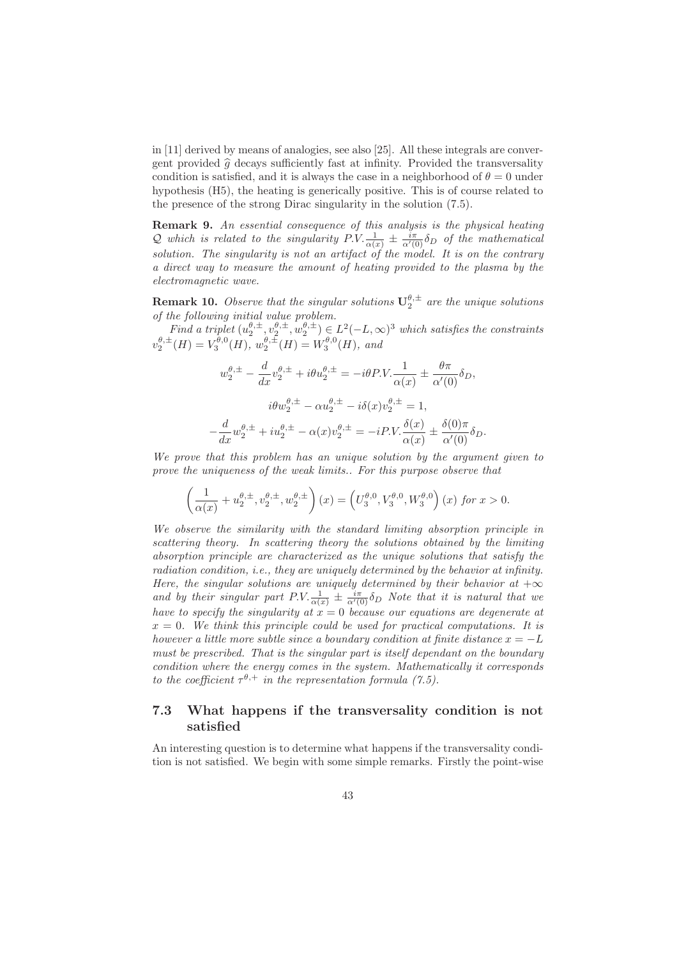in [11] derived by means of analogies, see also [25]. All these integrals are convergent provided  $\hat{g}$  decays sufficiently fast at infinity. Provided the transversality condition is satisfied, and it is always the case in a neighborhood of  $\theta = 0$  under hypothesis (H5), the heating is generically positive. This is of course related to the presence of the strong Dirac singularity in the solution (7.5).

Remark 9. An essential consequence of this analysis is the physical heating Q which is related to the singularity  $P.V. \frac{1}{\alpha(x)} \pm \frac{i\pi}{\alpha'(0)} \delta_D$  of the mathematical solution. The singularity is not an artifact of the model. It is on the contrary a direct way to measure the amount of heating provided to the plasma by the electromagnetic wave.

**Remark 10.** Observe that the singular solutions  $U_2^{\theta,\pm}$  are the unique solutions of the following initial value problem.

Find a triplet  $(u_2^{\theta,\pm}, v_2^{\theta,\pm}, w_2^{\theta,\pm}) \in L^2(-L,\infty)^3$  which satisfies the constraints  $v_2^{\theta,\pm}(H) = V_3^{\theta,0}(H), w_2^{\theta,\pm}(H) = W_3^{\theta,0}(H),$  and

$$
w_2^{\theta,\pm} - \frac{d}{dx}v_2^{\theta,\pm} + i\theta u_2^{\theta,\pm} = -i\theta P.V. \frac{1}{\alpha(x)} \pm \frac{\theta \pi}{\alpha'(0)} \delta_D,
$$
  

$$
i\theta w_2^{\theta,\pm} - \alpha u_2^{\theta,\pm} - i\delta(x)v_2^{\theta,\pm} = 1,
$$
  

$$
-\frac{d}{dx}w_2^{\theta,\pm} + i u_2^{\theta,\pm} - \alpha(x)v_2^{\theta,\pm} = -i P.V. \frac{\delta(x)}{\alpha(x)} \pm \frac{\delta(0)\pi}{\alpha'(0)} \delta_D.
$$

We prove that this problem has an unique solution by the argument given to prove the uniqueness of the weak limits.. For this purpose observe that

$$
\left(\frac{1}{\alpha(x)}+u_2^{\theta,\pm},v_2^{\theta,\pm},w_2^{\theta,\pm}\right)(x)=\left(U_3^{\theta,0},V_3^{\theta,0},W_3^{\theta,0}\right)(x) \text{ for } x>0.
$$

We observe the similarity with the standard limiting absorption principle in scattering theory. In scattering theory the solutions obtained by the limiting absorption principle are characterized as the unique solutions that satisfy the radiation condition, i.e., they are uniquely determined by the behavior at infinity. Here, the singular solutions are uniquely determined by their behavior at  $+\infty$ and by their singular part  $P.V. \frac{1}{\alpha(x)} \pm \frac{i\pi}{\alpha'(0)} \delta_D$  Note that it is natural that we have to specify the singularity at  $x = 0$  because our equations are degenerate at  $x = 0$ . We think this principle could be used for practical computations. It is however a little more subtle since a boundary condition at finite distance  $x = -L$ must be prescribed. That is the singular part is itself dependant on the boundary condition where the energy comes in the system. Mathematically it corresponds to the coefficient  $\tau^{\theta,+}$  in the representation formula (7.5).

## 7.3 What happens if the transversality condition is not satisfied

An interesting question is to determine what happens if the transversality condition is not satisfied. We begin with some simple remarks. Firstly the point-wise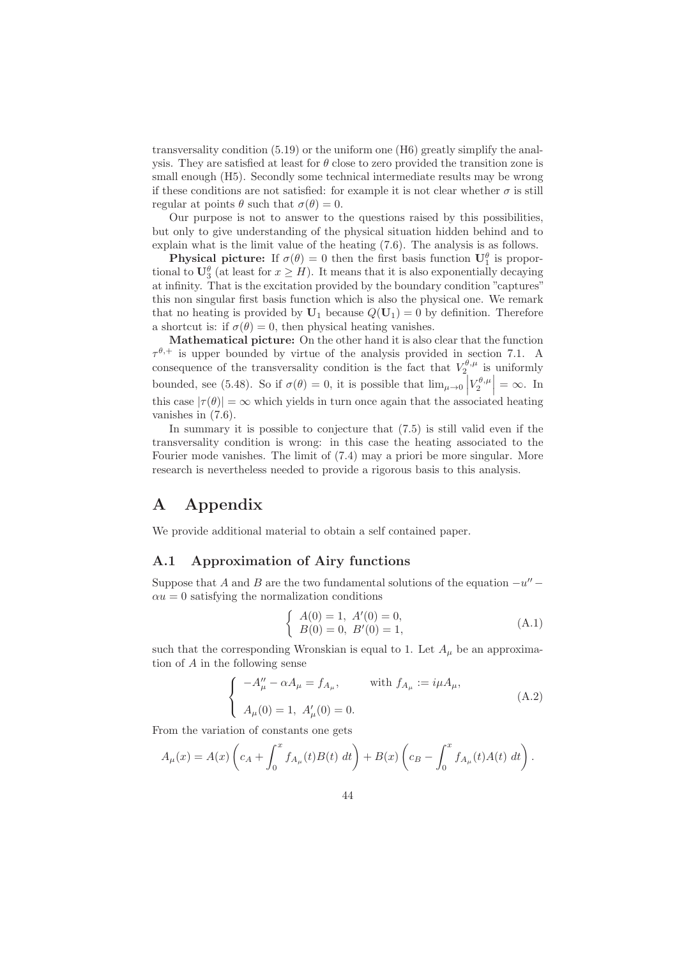transversality condition (5.19) or the uniform one (H6) greatly simplify the analysis. They are satisfied at least for  $\theta$  close to zero provided the transition zone is small enough (H5). Secondly some technical intermediate results may be wrong if these conditions are not satisfied: for example it is not clear whether  $\sigma$  is still regular at points  $\theta$  such that  $\sigma(\theta) = 0$ .

Our purpose is not to answer to the questions raised by this possibilities, but only to give understanding of the physical situation hidden behind and to explain what is the limit value of the heating (7.6). The analysis is as follows.

**Physical picture:** If  $\sigma(\theta) = 0$  then the first basis function  $\mathbf{U}_1^{\theta}$  is proportional to  $\mathbf{U}_{3}^{\theta}$  (at least for  $x \geq H$ ). It means that it is also exponentially decaying at infinity. That is the excitation provided by the boundary condition "captures" this non singular first basis function which is also the physical one. We remark that no heating is provided by  $U_1$  because  $Q(U_1) = 0$  by definition. Therefore a shortcut is: if  $\sigma(\theta) = 0$ , then physical heating vanishes.

Mathematical picture: On the other hand it is also clear that the function  $\tau^{\theta,+}$  is upper bounded by virtue of the analysis provided in section 7.1. A consequence of the transversality condition is the fact that  $V_2^{\theta,\mu}$  is uniformly bounded, see (5.48). So if  $\sigma(\theta) = 0$ , it is possible that  $\lim_{\mu \to 0} \left| V_2^{\theta,\mu} \right| = \infty$ . In this case  $|\tau(\theta)| = \infty$  which yields in turn once again that the associated heating vanishes in (7.6).

In summary it is possible to conjecture that (7.5) is still valid even if the transversality condition is wrong: in this case the heating associated to the Fourier mode vanishes. The limit of (7.4) may a priori be more singular. More research is nevertheless needed to provide a rigorous basis to this analysis.

# A Appendix

We provide additional material to obtain a self contained paper.

#### A.1 Approximation of Airy functions

Suppose that A and B are the two fundamental solutions of the equation  $-u''$  –  $\alpha u = 0$  satisfying the normalization conditions

$$
\begin{cases}\nA(0) = 1, A'(0) = 0, \\
B(0) = 0, B'(0) = 1,\n\end{cases}
$$
\n(A.1)

such that the corresponding Wronskian is equal to 1. Let  $A_\mu$  be an approximation of A in the following sense

$$
\begin{cases}\n- A''_{\mu} - \alpha A_{\mu} = f_{A_{\mu}}, & \text{with } f_{A_{\mu}} := i\mu A_{\mu}, \\
A_{\mu}(0) = 1, \ A'_{\mu}(0) = 0.\n\end{cases}
$$
\n(A.2)

From the variation of constants one gets

$$
A_{\mu}(x) = A(x) \left( c_A + \int_0^x f_{A_{\mu}}(t) B(t) \, dt \right) + B(x) \left( c_B - \int_0^x f_{A_{\mu}}(t) A(t) \, dt \right).
$$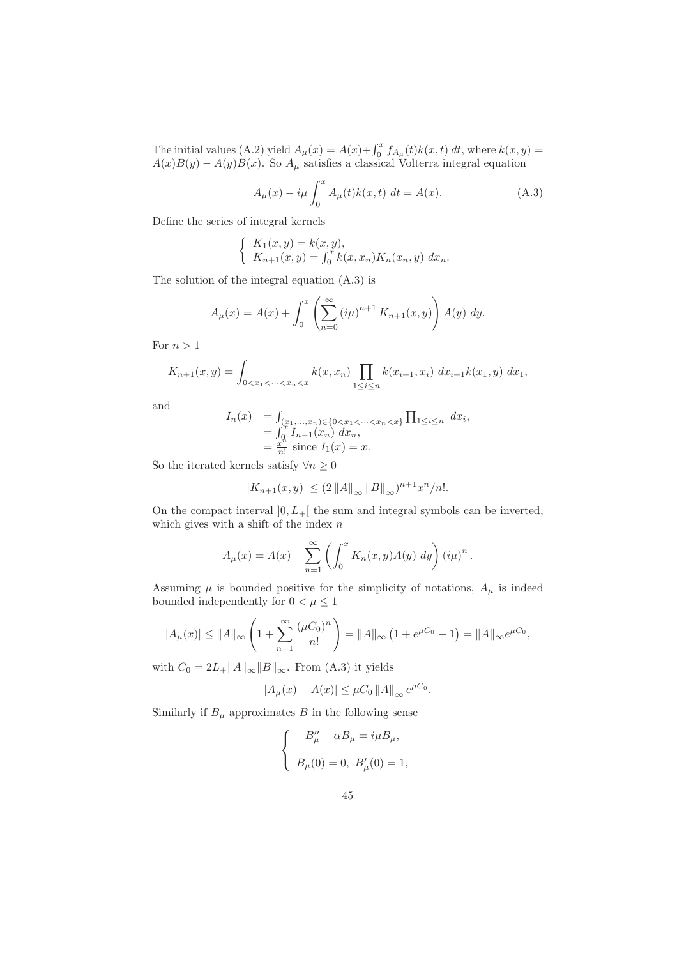The initial values (A.2) yield  $A_{\mu}(x) = A(x) + \int_0^x f_{A_{\mu}}(t)k(x, t) dt$ , where  $k(x, y) =$  $A(x)B(y) - A(y)B(x)$ . So  $A_{\mu}$  satisfies a classical Volterra integral equation

$$
A_{\mu}(x) - i\mu \int_0^x A_{\mu}(t)k(x, t) dt = A(x).
$$
 (A.3)

Define the series of integral kernels

$$
\begin{cases} K_1(x, y) = k(x, y), \\ K_{n+1}(x, y) = \int_0^x k(x, x_n) K_n(x_n, y) dx_n. \end{cases}
$$

The solution of the integral equation (A.3) is

$$
A_{\mu}(x) = A(x) + \int_0^x \left( \sum_{n=0}^\infty (i\mu)^{n+1} K_{n+1}(x, y) \right) A(y) \ dy.
$$

For  $n > 1$ 

$$
K_{n+1}(x,y) = \int_{0 < x_1 < \dots < x_n < x} k(x,x_n) \prod_{1 \le i \le n} k(x_{i+1},x_i) dx_{i+1} k(x_1,y) dx_1,
$$

and

$$
I_n(x) = \int_{(x_1,...,x_n)\in\{0  
= 
$$
\int_0^x I_{n-1}(x_n) dx_n,
$$
  
= 
$$
\frac{x^n}{n!}
$$
 since  $I_1(x) = x$ .
$$

So the iterated kernels satisfy  $\forall n\geq 0$ 

$$
|K_{n+1}(x,y)| \le (2 ||A||_{\infty} ||B||_{\infty})^{n+1} x^n/n!.
$$

On the compact interval  $]0, L_+[$  the sum and integral symbols can be inverted, which gives with a shift of the index  $\boldsymbol{n}$ 

$$
A_{\mu}(x) = A(x) + \sum_{n=1}^{\infty} \left( \int_0^x K_n(x, y) A(y) \, dy \right) (i\mu)^n.
$$

Assuming  $\mu$  is bounded positive for the simplicity of notations,  $A_{\mu}$  is indeed bounded independently for  $0<\mu\leq 1$ 

$$
|A_{\mu}(x)| \le ||A||_{\infty} \left(1 + \sum_{n=1}^{\infty} \frac{(\mu C_0)^n}{n!} \right) = ||A||_{\infty} \left(1 + e^{\mu C_0} - 1\right) = ||A||_{\infty} e^{\mu C_0},
$$

with  $C_0 = 2L_{+}||A||_{\infty}||B||_{\infty}$ . From (A.3) it yields

$$
|A_{\mu}(x) - A(x)| \leq \mu C_0 ||A||_{\infty} e^{\mu C_0}.
$$

Similarly if  $B_{\mu}$  approximates B in the following sense

$$
\begin{cases}\n-B_{\mu}'' - \alpha B_{\mu} = i\mu B_{\mu}, \\
B_{\mu}(0) = 0, B_{\mu}'(0) = 1,\n\end{cases}
$$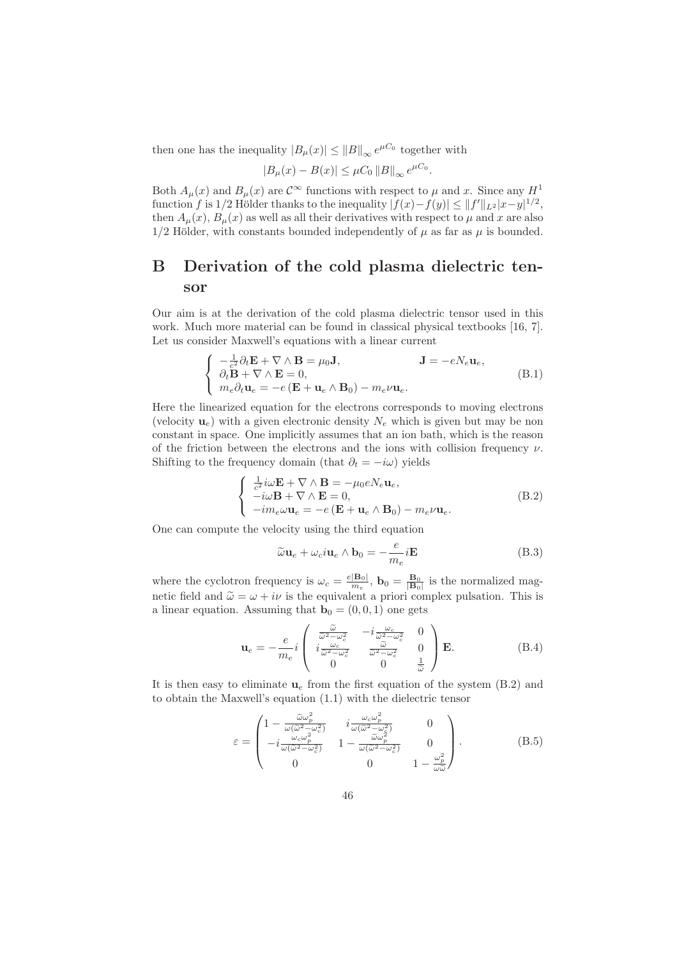then one has the inequality  $|B_{\mu}(x)| \leq ||B||_{\infty} e^{\mu C_0}$  together with

$$
|B_{\mu}(x) - B(x)| \leq \mu C_0 ||B||_{\infty} e^{\mu C_0}.
$$

Both  $A_\mu(x)$  and  $B_\mu(x)$  are  $\mathcal{C}^\infty$  functions with respect to  $\mu$  and x. Since any  $H^1$ function f is 1/2 Hölder thanks to the inequality  $|f(x)-f(y)| \leq ||f'||_{L^2}|x-y|^{1/2}$ , then  $A_\mu(x)$ ,  $B_\mu(x)$  as well as all their derivatives with respect to  $\mu$  and x are also  $1/2$  Hölder, with constants bounded independently of  $\mu$  as far as  $\mu$  is bounded.

# B Derivation of the cold plasma dielectric tensor

Our aim is at the derivation of the cold plasma dielectric tensor used in this work. Much more material can be found in classical physical textbooks [16, 7]. Let us consider Maxwell's equations with a linear current

$$
\begin{cases}\n-\frac{1}{c^2}\partial_t \mathbf{E} + \nabla \wedge \mathbf{B} = \mu_0 \mathbf{J}, & \mathbf{J} = -eN_e \mathbf{u}_e, \\
\partial_t \mathbf{B} + \nabla \wedge \mathbf{E} = 0, \\
m_e \partial_t \mathbf{u}_e = -e(\mathbf{E} + \mathbf{u}_e \wedge \mathbf{B}_0) - m_e \nu \mathbf{u}_e.\n\end{cases}
$$
\n(B.1)

Here the linearized equation for the electrons corresponds to moving electrons (velocity  $\mathbf{u}_e$ ) with a given electronic density  $N_e$  which is given but may be non constant in space. One implicitly assumes that an ion bath, which is the reason of the friction between the electrons and the ions with collision frequency  $\nu$ . Shifting to the frequency domain (that  $\partial_t = -i\omega$ ) yields

$$
\begin{cases}\n\frac{1}{c^2} i\omega \mathbf{E} + \nabla \wedge \mathbf{B} = -\mu_0 e N_e \mathbf{u}_e, \\
-i\omega \mathbf{B} + \nabla \wedge \mathbf{E} = 0, \\
-i m_e \omega \mathbf{u}_e = -e (\mathbf{E} + \mathbf{u}_e \wedge \mathbf{B}_0) - m_e \nu \mathbf{u}_e.\n\end{cases}
$$
\n(B.2)

One can compute the velocity using the third equation

$$
\widetilde{\omega} \mathbf{u}_e + \omega_c i \mathbf{u}_e \wedge \mathbf{b}_0 = -\frac{e}{m_e} i \mathbf{E}
$$
 (B.3)

where the cyclotron frequency is  $\omega_c = \frac{e|\mathbf{B}_0|}{m_c}$  $\frac{|\mathbf{B}_0|}{m_e}$ ,  $\mathbf{b}_0 = \frac{\mathbf{B}_0}{|\mathbf{B}_0|}$  is the normalized magnetic field and  $\tilde{\omega} = \omega + i\nu$  is the equivalent a priori complex pulsation. This is a linear equation. Assuming that  $\mathbf{b}_0 = (0, 0, 1)$  one gets

$$
\mathbf{u}_e = -\frac{e}{m_e} i \begin{pmatrix} \frac{\widetilde{\omega}}{\widetilde{\omega}^2 - \omega_c^2} & -i\frac{\omega_c}{\widetilde{\omega}^2 - \omega_c^2} & 0\\ i\frac{\omega_c}{\widetilde{\omega}^2 - \omega_c^2} & \frac{\widetilde{\omega}}{\widetilde{\omega}^2 - \omega_c^2} & 0\\ 0 & 0 & \frac{1}{\widetilde{\omega}} \end{pmatrix} \mathbf{E}.
$$
 (B.4)

It is then easy to eliminate  $\mathbf{u}_e$  from the first equation of the system (B.2) and to obtain the Maxwell's equation (1.1) with the dielectric tensor

$$
\varepsilon = \begin{pmatrix}\n1 - \frac{\widetilde{\omega}\omega_p^2}{\omega(\widetilde{\omega}^2 - \omega_c^2)} & i\frac{\omega_c\omega_p^2}{\omega(\widetilde{\omega}^2 - \omega_c^2)} & 0 \\
-i\frac{\omega_c\omega_p^2}{\omega(\widetilde{\omega}^2 - \omega_c^2)} & 1 - \frac{\widetilde{\omega}\omega_p^2}{\omega(\widetilde{\omega}^2 - \omega_c^2)} & 0 \\
0 & 0 & 1 - \frac{\omega_p^2}{\omega\widetilde{\omega}}\n\end{pmatrix} .
$$
\n(B.5)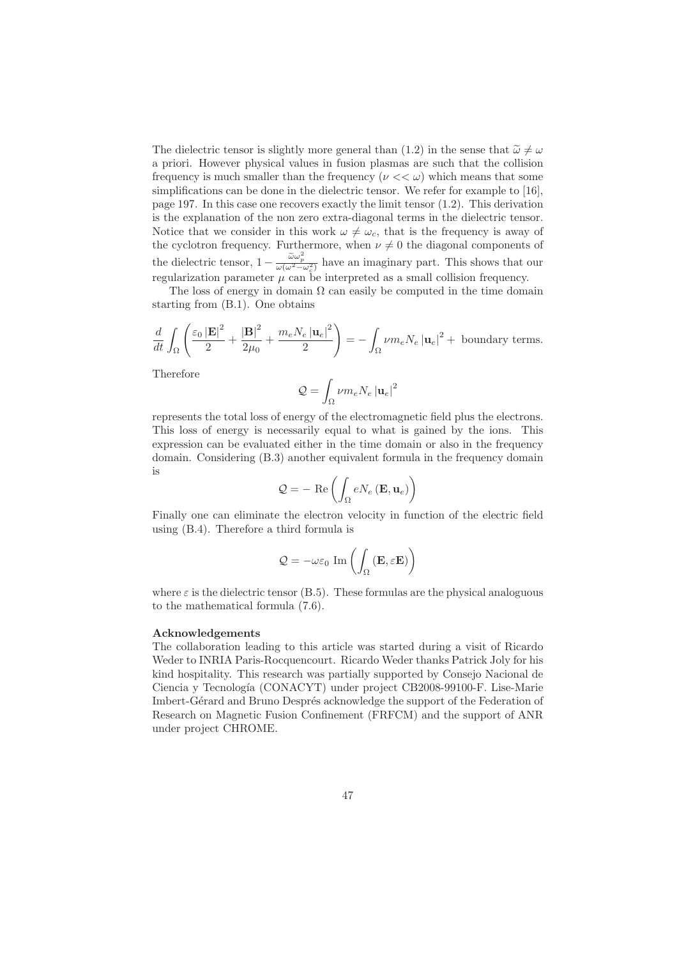The dielectric tensor is slightly more general than (1.2) in the sense that  $\tilde{\omega} \neq \omega$ a priori. However physical values in fusion plasmas are such that the collision frequency is much smaller than the frequency ( $\nu \ll \omega$ ) which means that some simplifications can be done in the dielectric tensor. We refer for example to [16], page 197. In this case one recovers exactly the limit tensor (1.2). This derivation is the explanation of the non zero extra-diagonal terms in the dielectric tensor. Notice that we consider in this work  $\omega \neq \omega_c$ , that is the frequency is away of the cyclotron frequency. Furthermore, when  $\nu \neq 0$  the diagonal components of the dielectric tensor,  $1 - \frac{\tilde{\omega}\omega_p^2}{\omega(\omega^2 - \omega_c^2)}$  have an imaginary part. This shows that our regularization parameter  $\mu$  can be interpreted as a small collision frequency.

The loss of energy in domain  $\Omega$  can easily be computed in the time domain starting from (B.1). One obtains

$$
\frac{d}{dt} \int_{\Omega} \left( \frac{\varepsilon_0 |\mathbf{E}|^2}{2} + \frac{|\mathbf{B}|^2}{2\mu_0} + \frac{m_e N_e |\mathbf{u}_e|^2}{2} \right) = - \int_{\Omega} \nu m_e N_e |\mathbf{u}_e|^2 + \text{ boundary terms.}
$$

Therefore

$$
\mathcal{Q}=\int_{\Omega}\nu m_{e}N_{e}\left\vert \mathbf{u}_{e}\right\vert ^{2}
$$

represents the total loss of energy of the electromagnetic field plus the electrons. This loss of energy is necessarily equal to what is gained by the ions. This expression can be evaluated either in the time domain or also in the frequency domain. Considering (B.3) another equivalent formula in the frequency domain is

$$
\mathcal{Q} = - \ \mathrm{Re} \left( \int_{\Omega} e N_e \left( \mathbf{E}, \mathbf{u}_e \right) \right)
$$

Finally one can eliminate the electron velocity in function of the electric field using (B.4). Therefore a third formula is

$$
\mathcal{Q}=-\omega\varepsilon_{0}\,\operatorname{Im}\left(\int_{\Omega}\left(\mathbf{E},\varepsilon\mathbf{E}\right)\right)
$$

where  $\varepsilon$  is the dielectric tensor (B.5). These formulas are the physical analoguous to the mathematical formula (7.6).

#### Acknowledgements

The collaboration leading to this article was started during a visit of Ricardo Weder to INRIA Paris-Rocquencourt. Ricardo Weder thanks Patrick Joly for his kind hospitality. This research was partially supported by Consejo Nacional de Ciencia y Tecnología (CONACYT) under project CB2008-99100-F. Lise-Marie Imbert-Gérard and Bruno Després acknowledge the support of the Federation of Research on Magnetic Fusion Confinement (FRFCM) and the support of ANR under project CHROME.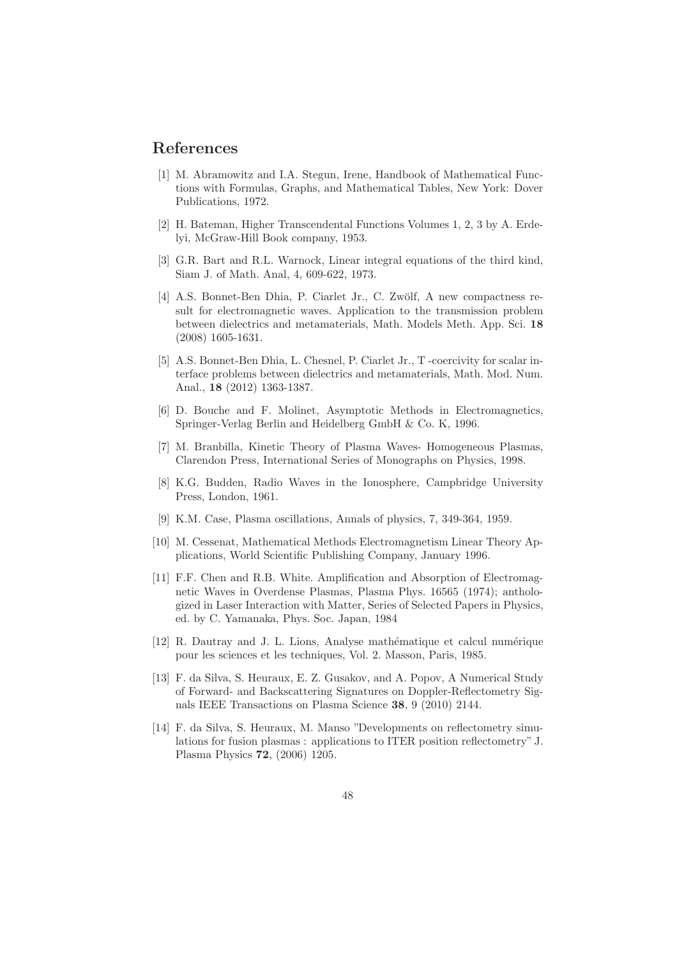# References

- [1] M. Abramowitz and I.A. Stegun, Irene, Handbook of Mathematical Functions with Formulas, Graphs, and Mathematical Tables, New York: Dover Publications, 1972.
- [2] H. Bateman, Higher Transcendental Functions Volumes 1, 2, 3 by A. Erdelyi, McGraw-Hill Book company, 1953.
- [3] G.R. Bart and R.L. Warnock, Linear integral equations of the third kind, Siam J. of Math. Anal, 4, 609-622, 1973.
- [4] A.S. Bonnet-Ben Dhia, P. Ciarlet Jr., C. Zwölf, A new compactness result for electromagnetic waves. Application to the transmission problem between dielectrics and metamaterials, Math. Models Meth. App. Sci. 18 (2008) 1605-1631.
- [5] A.S. Bonnet-Ben Dhia, L. Chesnel, P. Ciarlet Jr., T -coercivity for scalar interface problems between dielectrics and metamaterials, Math. Mod. Num. Anal., 18 (2012) 1363-1387.
- [6] D. Bouche and F. Molinet, Asymptotic Methods in Electromagnetics, Springer-Verlag Berlin and Heidelberg GmbH & Co. K, 1996.
- [7] M. Branbilla, Kinetic Theory of Plasma Waves- Homogeneous Plasmas, Clarendon Press, International Series of Monographs on Physics, 1998.
- [8] K.G. Budden, Radio Waves in the Ionosphere, Campbridge University Press, London, 1961.
- [9] K.M. Case, Plasma oscillations, Annals of physics, 7, 349-364, 1959.
- [10] M. Cessenat, Mathematical Methods Electromagnetism Linear Theory Applications, World Scientific Publishing Company, January 1996.
- [11] F.F. Chen and R.B. White. Amplification and Absorption of Electromagnetic Waves in Overdense Plasmas, Plasma Phys. 16565 (1974); anthologized in Laser Interaction with Matter, Series of Selected Papers in Physics, ed. by C. Yamanaka, Phys. Soc. Japan, 1984
- [12] R. Dautray and J. L. Lions, Analyse mathématique et calcul numérique pour les sciences et les techniques, Vol. 2. Masson, Paris, 1985.
- [13] F. da Silva, S. Heuraux, E. Z. Gusakov, and A. Popov, A Numerical Study of Forward- and Backscattering Signatures on Doppler-Reflectometry Signals IEEE Transactions on Plasma Science 38, 9 (2010) 2144.
- [14] F. da Silva, S. Heuraux, M. Manso "Developments on reflectometry simulations for fusion plasmas : applications to ITER position reflectometry" J. Plasma Physics 72, (2006) 1205.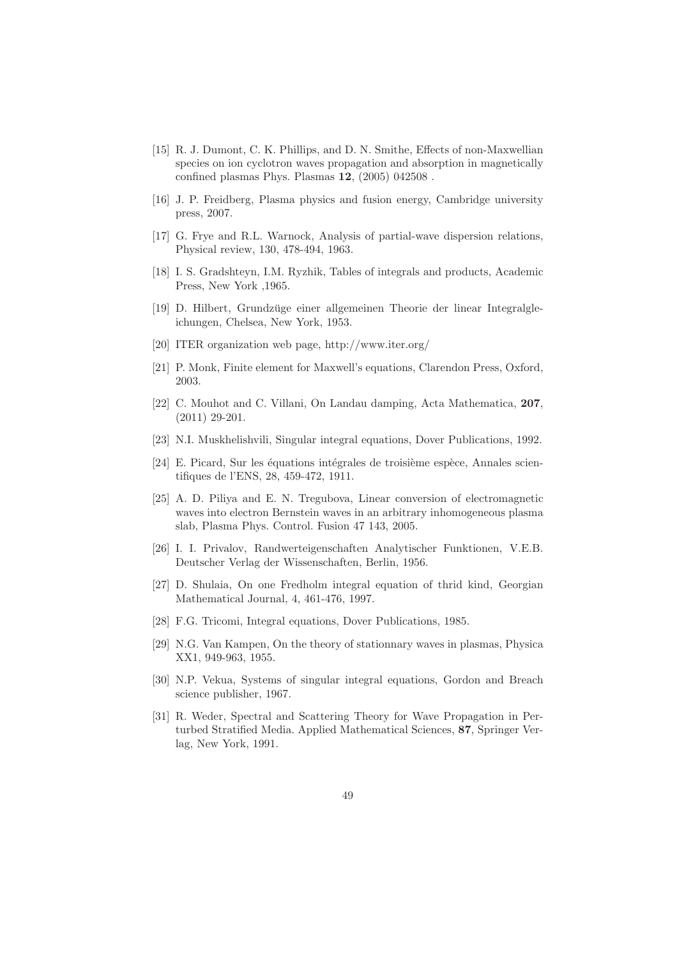- [15] R. J. Dumont, C. K. Phillips, and D. N. Smithe, Effects of non-Maxwellian species on ion cyclotron waves propagation and absorption in magnetically confined plasmas Phys. Plasmas 12, (2005) 042508 .
- [16] J. P. Freidberg, Plasma physics and fusion energy, Cambridge university press, 2007.
- [17] G. Frye and R.L. Warnock, Analysis of partial-wave dispersion relations, Physical review, 130, 478-494, 1963.
- [18] I. S. Gradshteyn, I.M. Ryzhik, Tables of integrals and products, Academic Press, New York ,1965.
- [19] D. Hilbert, Grundzüge einer allgemeinen Theorie der linear Integralgleichungen, Chelsea, New York, 1953.
- [20] ITER organization web page, http://www.iter.org/
- [21] P. Monk, Finite element for Maxwell's equations, Clarendon Press, Oxford, 2003.
- [22] C. Mouhot and C. Villani, On Landau damping, Acta Mathematica, 207, (2011) 29-201.
- [23] N.I. Muskhelishvili, Singular integral equations, Dover Publications, 1992.
- $[24]$  E. Picard, Sur les équations intégrales de troisième espèce, Annales scientifiques de l'ENS, 28, 459-472, 1911.
- [25] A. D. Piliya and E. N. Tregubova, Linear conversion of electromagnetic waves into electron Bernstein waves in an arbitrary inhomogeneous plasma slab, Plasma Phys. Control. Fusion 47 143, 2005.
- [26] I. I. Privalov, Randwerteigenschaften Analytischer Funktionen, V.E.B. Deutscher Verlag der Wissenschaften, Berlin, 1956.
- [27] D. Shulaia, On one Fredholm integral equation of thrid kind, Georgian Mathematical Journal, 4, 461-476, 1997.
- [28] F.G. Tricomi, Integral equations, Dover Publications, 1985.
- [29] N.G. Van Kampen, On the theory of stationnary waves in plasmas, Physica XX1, 949-963, 1955.
- [30] N.P. Vekua, Systems of singular integral equations, Gordon and Breach science publisher, 1967.
- [31] R. Weder, Spectral and Scattering Theory for Wave Propagation in Perturbed Stratified Media. Applied Mathematical Sciences, 87, Springer Verlag, New York, 1991.